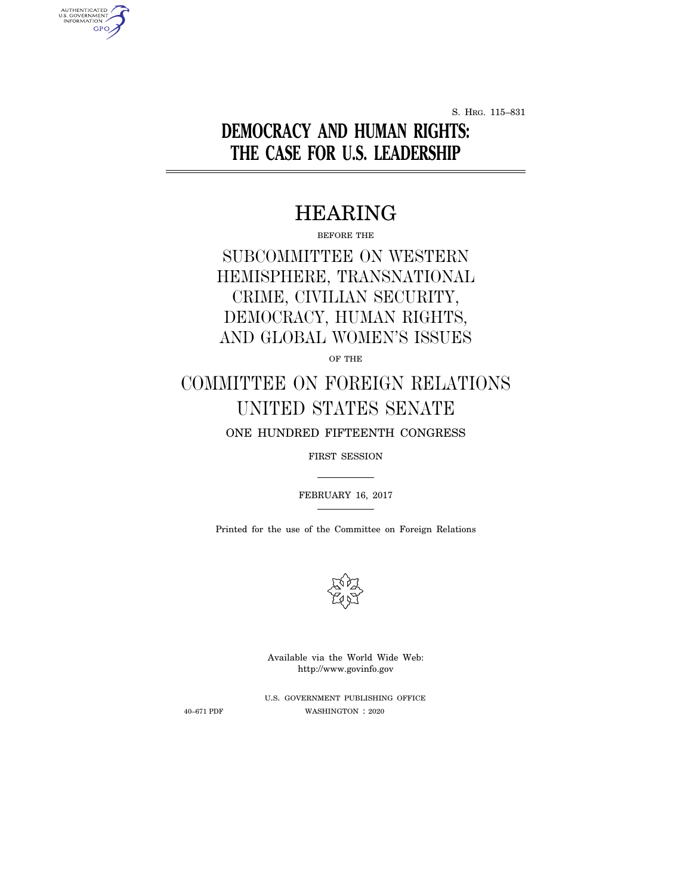S. HRG. 115–831

# **DEMOCRACY AND HUMAN RIGHTS: THE CASE FOR U.S. LEADERSHIP**

# HEARING

BEFORE THE

SUBCOMMITTEE ON WESTERN HEMISPHERE, TRANSNATIONAL CRIME, CIVILIAN SECURITY, DEMOCRACY, HUMAN RIGHTS, AND GLOBAL WOMEN'S ISSUES

OF THE

# COMMITTEE ON FOREIGN RELATIONS UNITED STATES SENATE

ONE HUNDRED FIFTEENTH CONGRESS

FIRST SESSION

FEBRUARY 16, 2017

Printed for the use of the Committee on Foreign Relations



Available via the World Wide Web: http://www.govinfo.gov

AUTHENTICATED<br>U.S. GOVERNMENT<br>INFORMATION **GPO** 

> U.S. GOVERNMENT PUBLISHING OFFICE 40–671 PDF WASHINGTON : 2020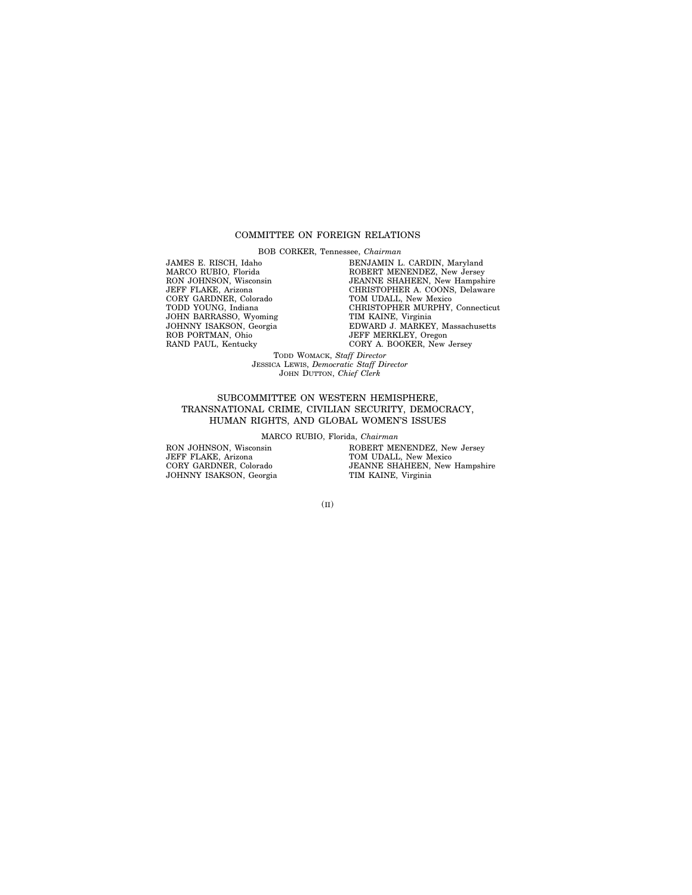# COMMITTEE ON FOREIGN RELATIONS

BOB CORKER, Tennessee, *Chairman*

JAMES E. RISCH, Idaho MARCO RUBIO, Florida RON JOHNSON, Wisconsin JEFF FLAKE, Arizona CORY GARDNER, Colorado TODD YOUNG, Indiana JOHN BARRASSO, Wyoming JOHNNY ISAKSON, Georgia ROB PORTMAN, Ohio RAND PAUL, Kentucky

BENJAMIN L. CARDIN, Maryland ROBERT MENENDEZ, New Jersey JEANNE SHAHEEN, New Hampshire CHRISTOPHER A. COONS, Delaware TOM UDALL, New Mexico CHRISTOPHER MURPHY, Connecticut TIM KAINE, Virginia EDWARD J. MARKEY, Massachusetts JEFF MERKLEY, Oregon CORY A. BOOKER, New Jersey

TODD WOMACK, *Staff Director* JESSICA LEWIS, *Democratic Staff Director* JOHN DUTTON, *Chief Clerk*

# SUBCOMMITTEE ON WESTERN HEMISPHERE, TRANSNATIONAL CRIME, CIVILIAN SECURITY, DEMOCRACY, HUMAN RIGHTS, AND GLOBAL WOMEN'S ISSUES

MARCO RUBIO, Florida, *Chairman*

RON JOHNSON, Wisconsin JEFF FLAKE, Arizona CORY GARDNER, Colorado JOHNNY ISAKSON, Georgia

ROBERT MENENDEZ, New Jersey TOM UDALL, New Mexico JEANNE SHAHEEN, New Hampshire TIM KAINE, Virginia

(II)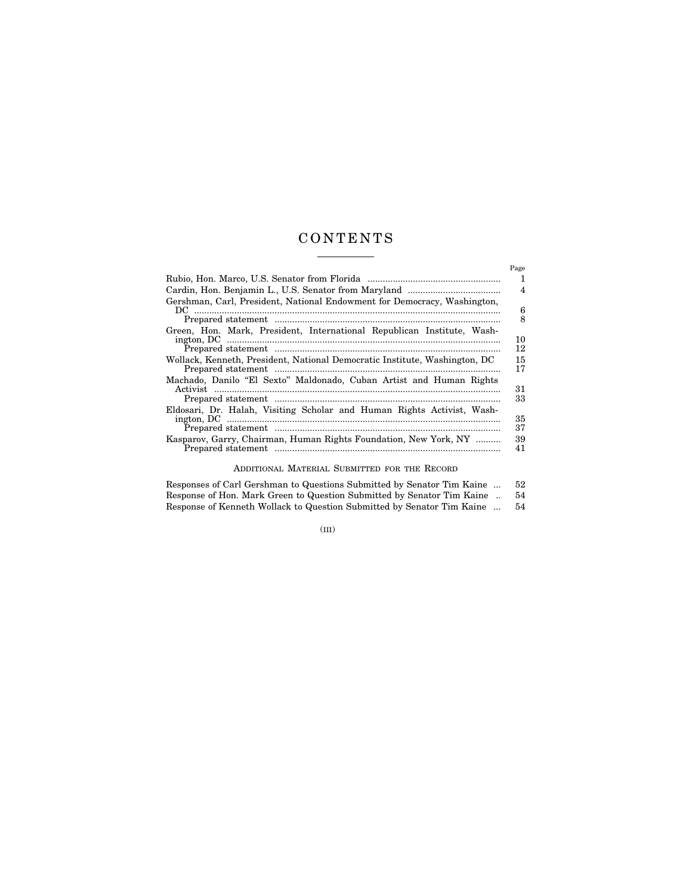# C O N T E N T S

|                                                                            | Page     |
|----------------------------------------------------------------------------|----------|
|                                                                            | 1        |
|                                                                            | 4        |
| Gershman, Carl, President, National Endowment for Democracy, Washington,   |          |
|                                                                            | 6<br>8   |
| Green, Hon. Mark, President, International Republican Institute, Wash-     |          |
|                                                                            | 10<br>12 |
| Wollack, Kenneth, President, National Democratic Institute, Washington, DC | 15<br>17 |
| Machado, Danilo "El Sexto" Maldonado, Cuban Artist and Human Rights        |          |
| Activist                                                                   | 31<br>33 |
| Eldosari, Dr. Halah, Visiting Scholar and Human Rights Activist, Wash-     | 35       |
|                                                                            | 37       |
| Kasparov, Garry, Chairman, Human Rights Foundation, New York, NY           | 39<br>41 |
|                                                                            |          |

# ADDITIONAL MATERIAL SUBMITTED FOR THE RECORD

| Responses of Carl Gershman to Questions Submitted by Senator Tim Kaine | 52 |
|------------------------------------------------------------------------|----|
| Response of Hon. Mark Green to Question Submitted by Senator Tim Kaine | 54 |
| Response of Kenneth Wollack to Question Submitted by Senator Tim Kaine | 54 |

(III)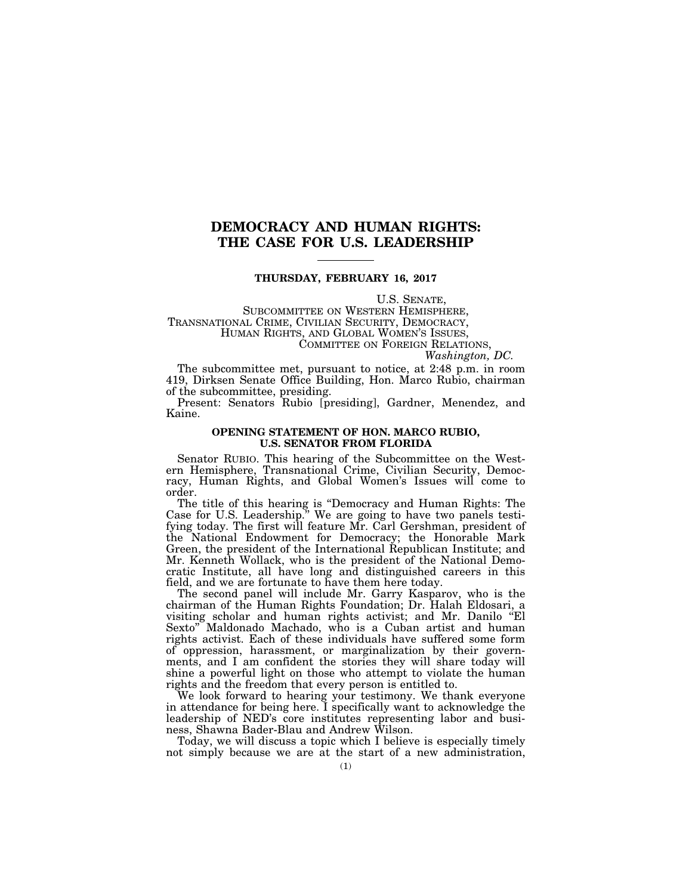# **DEMOCRACY AND HUMAN RIGHTS: THE CASE FOR U.S. LEADERSHIP**

# **THURSDAY, FEBRUARY 16, 2017**

U.S. SENATE,<br>SUBCOMMITTEE ON WESTERN HEMISPHERE,<br>TRANSNATIONAL CRIME, CIVILIAN SECURITY, DEMOCRACY,<br>HUMAN RIGHTS, AND GLOBAL WOMEN'S ISSUES,<br>COMMITTEE ON FOREIGN RELATIONS,<br>*Washington, DC.* 

The subcommittee met, pursuant to notice, at 2:48 p.m. in room 419, Dirksen Senate Office Building, Hon. Marco Rubio, chairman of the subcommittee, presiding.

Present: Senators Rubio [presiding], Gardner, Menendez, and Kaine.

# **OPENING STATEMENT OF HON. MARCO RUBIO, U.S. SENATOR FROM FLORIDA**

Senator RUBIO. This hearing of the Subcommittee on the Western Hemisphere, Transnational Crime, Civilian Security, Democracy, Human Rights, and Global Women's Issues will come to order.

The title of this hearing is ''Democracy and Human Rights: The Case for U.S. Leadership.'' We are going to have two panels testifying today. The first will feature Mr. Carl Gershman, president of the National Endowment for Democracy; the Honorable Mark Green, the president of the International Republican Institute; and Mr. Kenneth Wollack, who is the president of the National Democratic Institute, all have long and distinguished careers in this field, and we are fortunate to have them here today.

The second panel will include Mr. Garry Kasparov, who is the chairman of the Human Rights Foundation; Dr. Halah Eldosari, a visiting scholar and human rights activist; and Mr. Danilo ''El Sexto'' Maldonado Machado, who is a Cuban artist and human rights activist. Each of these individuals have suffered some form of oppression, harassment, or marginalization by their governments, and I am confident the stories they will share today will shine a powerful light on those who attempt to violate the human rights and the freedom that every person is entitled to.

We look forward to hearing your testimony. We thank everyone in attendance for being here. I specifically want to acknowledge the leadership of NED's core institutes representing labor and business, Shawna Bader-Blau and Andrew Wilson.

Today, we will discuss a topic which I believe is especially timely not simply because we are at the start of a new administration,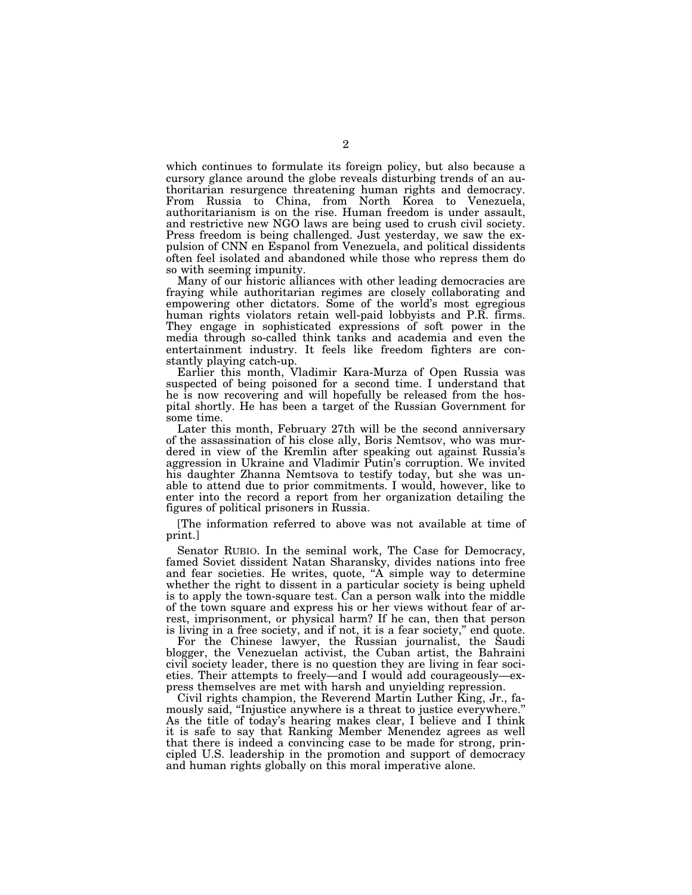which continues to formulate its foreign policy, but also because a cursory glance around the globe reveals disturbing trends of an authoritarian resurgence threatening human rights and democracy. From Russia to China, from North Korea to Venezuela, authoritarianism is on the rise. Human freedom is under assault, and restrictive new NGO laws are being used to crush civil society. Press freedom is being challenged. Just yesterday, we saw the expulsion of CNN en Espanol from Venezuela, and political dissidents often feel isolated and abandoned while those who repress them do so with seeming impunity.

Many of our historic alliances with other leading democracies are fraying while authoritarian regimes are closely collaborating and empowering other dictators. Some of the world's most egregious human rights violators retain well-paid lobbyists and P.R. firms. They engage in sophisticated expressions of soft power in the media through so-called think tanks and academia and even the entertainment industry. It feels like freedom fighters are constantly playing catch-up.

Earlier this month, Vladimir Kara-Murza of Open Russia was suspected of being poisoned for a second time. I understand that he is now recovering and will hopefully be released from the hospital shortly. He has been a target of the Russian Government for some time.

Later this month, February 27th will be the second anniversary of the assassination of his close ally, Boris Nemtsov, who was murdered in view of the Kremlin after speaking out against Russia's aggression in Ukraine and Vladimir Putin's corruption. We invited his daughter Zhanna Nemtsova to testify today, but she was unable to attend due to prior commitments. I would, however, like to enter into the record a report from her organization detailing the figures of political prisoners in Russia.

[The information referred to above was not available at time of print.]

Senator RUBIO. In the seminal work, The Case for Democracy, famed Soviet dissident Natan Sharansky, divides nations into free and fear societies. He writes, quote, "A simple way to determine whether the right to dissent in a particular society is being upheld is to apply the town-square test. Can a person walk into the middle of the town square and express his or her views without fear of arrest, imprisonment, or physical harm? If he can, then that person is living in a free society, and if not, it is a fear society,'' end quote.

For the Chinese lawyer, the Russian journalist, the Saudi blogger, the Venezuelan activist, the Cuban artist, the Bahraini civil society leader, there is no question they are living in fear societies. Their attempts to freely—and I would add courageously—express themselves are met with harsh and unyielding repression.

Civil rights champion, the Reverend Martin Luther King, Jr., famously said, ''Injustice anywhere is a threat to justice everywhere.'' As the title of today's hearing makes clear, I believe and I think it is safe to say that Ranking Member Menendez agrees as well that there is indeed a convincing case to be made for strong, principled U.S. leadership in the promotion and support of democracy and human rights globally on this moral imperative alone.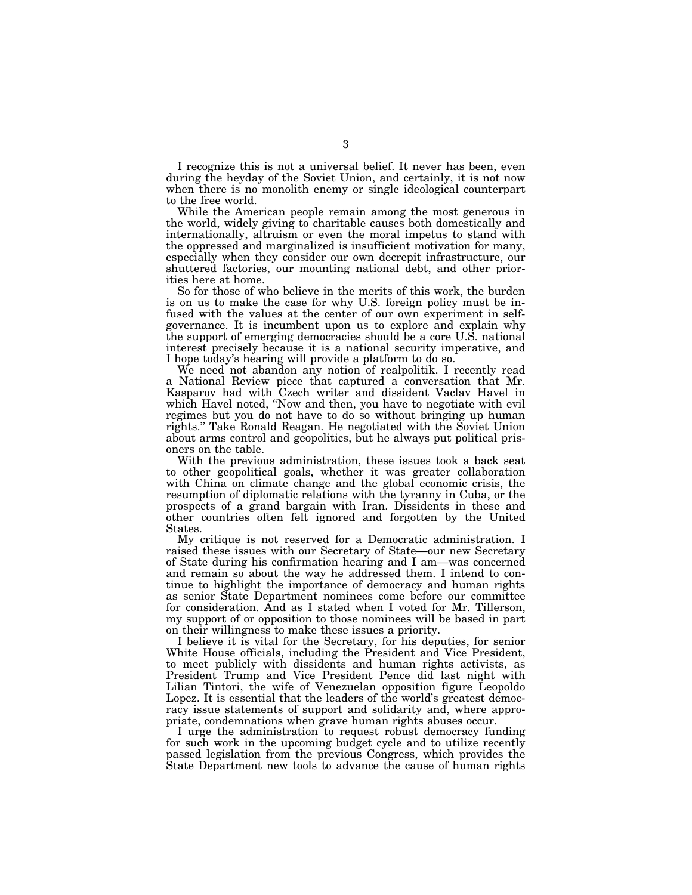I recognize this is not a universal belief. It never has been, even during the heyday of the Soviet Union, and certainly, it is not now when there is no monolith enemy or single ideological counterpart to the free world.

While the American people remain among the most generous in the world, widely giving to charitable causes both domestically and internationally, altruism or even the moral impetus to stand with the oppressed and marginalized is insufficient motivation for many, especially when they consider our own decrepit infrastructure, our shuttered factories, our mounting national debt, and other priorities here at home.

So for those of who believe in the merits of this work, the burden is on us to make the case for why U.S. foreign policy must be infused with the values at the center of our own experiment in selfgovernance. It is incumbent upon us to explore and explain why the support of emerging democracies should be a core U.S. national interest precisely because it is a national security imperative, and I hope today's hearing will provide a platform to do so.

We need not abandon any notion of realpolitik. I recently read a National Review piece that captured a conversation that Mr. Kasparov had with Czech writer and dissident Vaclav Havel in which Havel noted, "Now and then, you have to negotiate with evil regimes but you do not have to do so without bringing up human rights.'' Take Ronald Reagan. He negotiated with the Soviet Union about arms control and geopolitics, but he always put political prisoners on the table.

With the previous administration, these issues took a back seat to other geopolitical goals, whether it was greater collaboration with China on climate change and the global economic crisis, the resumption of diplomatic relations with the tyranny in Cuba, or the prospects of a grand bargain with Iran. Dissidents in these and other countries often felt ignored and forgotten by the United States.

My critique is not reserved for a Democratic administration. I raised these issues with our Secretary of State—our new Secretary of State during his confirmation hearing and I am—was concerned and remain so about the way he addressed them. I intend to continue to highlight the importance of democracy and human rights as senior State Department nominees come before our committee for consideration. And as I stated when I voted for Mr. Tillerson, my support of or opposition to those nominees will be based in part on their willingness to make these issues a priority.

I believe it is vital for the Secretary, for his deputies, for senior White House officials, including the President and Vice President, to meet publicly with dissidents and human rights activists, as President Trump and Vice President Pence did last night with Lilian Tintori, the wife of Venezuelan opposition figure Leopoldo Lopez. It is essential that the leaders of the world's greatest democracy issue statements of support and solidarity and, where appropriate, condemnations when grave human rights abuses occur.

I urge the administration to request robust democracy funding for such work in the upcoming budget cycle and to utilize recently passed legislation from the previous Congress, which provides the State Department new tools to advance the cause of human rights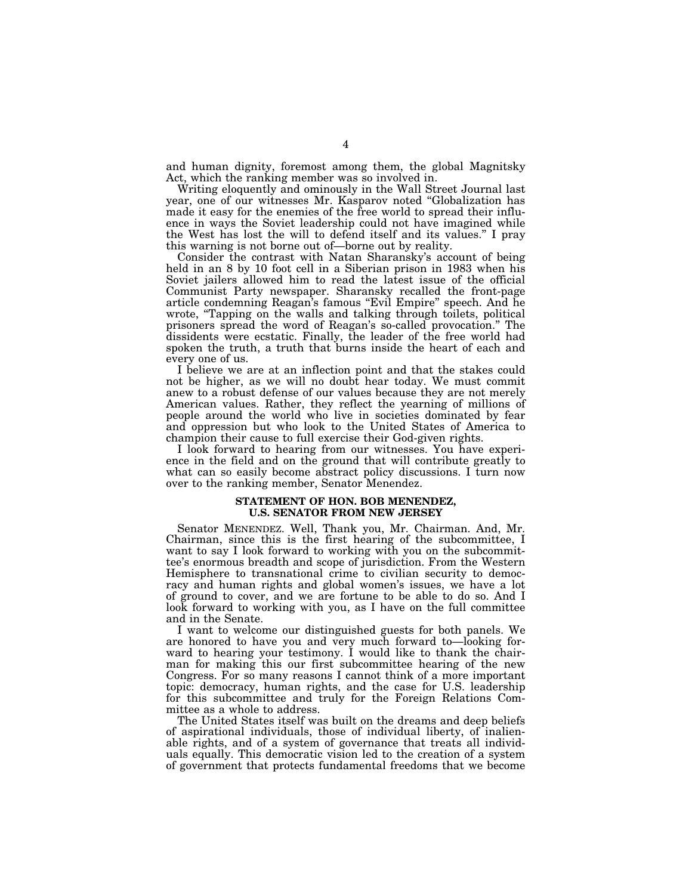and human dignity, foremost among them, the global Magnitsky Act, which the ranking member was so involved in.

Writing eloquently and ominously in the Wall Street Journal last year, one of our witnesses Mr. Kasparov noted ''Globalization has made it easy for the enemies of the free world to spread their influence in ways the Soviet leadership could not have imagined while the West has lost the will to defend itself and its values.'' I pray this warning is not borne out of—borne out by reality.

Consider the contrast with Natan Sharansky's account of being held in an 8 by 10 foot cell in a Siberian prison in 1983 when his Soviet jailers allowed him to read the latest issue of the official Communist Party newspaper. Sharansky recalled the front-page article condemning Reagan's famous ''Evil Empire'' speech. And he wrote, "Tapping on the walls and talking through toilets, political prisoners spread the word of Reagan's so-called provocation.'' The dissidents were ecstatic. Finally, the leader of the free world had spoken the truth, a truth that burns inside the heart of each and every one of us.

I believe we are at an inflection point and that the stakes could not be higher, as we will no doubt hear today. We must commit anew to a robust defense of our values because they are not merely American values. Rather, they reflect the yearning of millions of people around the world who live in societies dominated by fear and oppression but who look to the United States of America to champion their cause to full exercise their God-given rights.

I look forward to hearing from our witnesses. You have experience in the field and on the ground that will contribute greatly to what can so easily become abstract policy discussions. I turn now over to the ranking member, Senator Menendez.

### **STATEMENT OF HON. BOB MENENDEZ, U.S. SENATOR FROM NEW JERSEY**

Senator MENENDEZ. Well, Thank you, Mr. Chairman. And, Mr. Chairman, since this is the first hearing of the subcommittee, I want to say I look forward to working with you on the subcommittee's enormous breadth and scope of jurisdiction. From the Western Hemisphere to transnational crime to civilian security to democracy and human rights and global women's issues, we have a lot of ground to cover, and we are fortune to be able to do so. And I look forward to working with you, as I have on the full committee and in the Senate.

I want to welcome our distinguished guests for both panels. We are honored to have you and very much forward to—looking forward to hearing your testimony. I would like to thank the chairman for making this our first subcommittee hearing of the new Congress. For so many reasons I cannot think of a more important topic: democracy, human rights, and the case for U.S. leadership for this subcommittee and truly for the Foreign Relations Committee as a whole to address.

The United States itself was built on the dreams and deep beliefs of aspirational individuals, those of individual liberty, of inalienable rights, and of a system of governance that treats all individuals equally. This democratic vision led to the creation of a system of government that protects fundamental freedoms that we become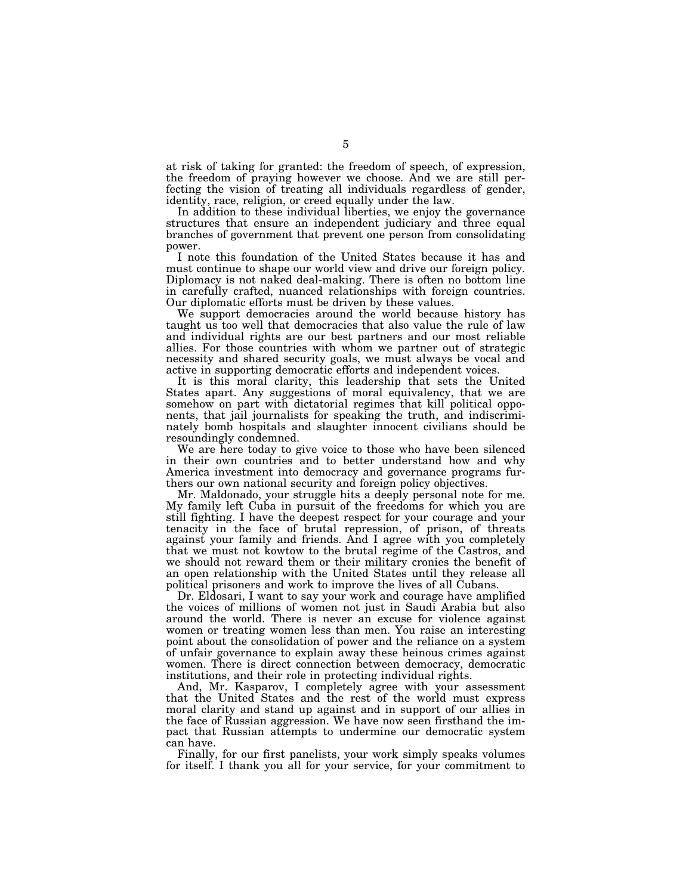at risk of taking for granted: the freedom of speech, of expression, the freedom of praying however we choose. And we are still perfecting the vision of treating all individuals regardless of gender, identity, race, religion, or creed equally under the law.

In addition to these individual liberties, we enjoy the governance structures that ensure an independent judiciary and three equal branches of government that prevent one person from consolidating power.

I note this foundation of the United States because it has and must continue to shape our world view and drive our foreign policy. Diplomacy is not naked deal-making. There is often no bottom line in carefully crafted, nuanced relationships with foreign countries. Our diplomatic efforts must be driven by these values.

We support democracies around the world because history has taught us too well that democracies that also value the rule of law and individual rights are our best partners and our most reliable allies. For those countries with whom we partner out of strategic necessity and shared security goals, we must always be vocal and active in supporting democratic efforts and independent voices.

It is this moral clarity, this leadership that sets the United States apart. Any suggestions of moral equivalency, that we are somehow on part with dictatorial regimes that kill political opponents, that jail journalists for speaking the truth, and indiscriminately bomb hospitals and slaughter innocent civilians should be resoundingly condemned.

We are here today to give voice to those who have been silenced in their own countries and to better understand how and why America investment into democracy and governance programs furthers our own national security and foreign policy objectives.

Mr. Maldonado, your struggle hits a deeply personal note for me. My family left Cuba in pursuit of the freedoms for which you are still fighting. I have the deepest respect for your courage and your tenacity in the face of brutal repression, of prison, of threats against your family and friends. And I agree with you completely that we must not kowtow to the brutal regime of the Castros, and we should not reward them or their military cronies the benefit of an open relationship with the United States until they release all political prisoners and work to improve the lives of all Cubans.

Dr. Eldosari, I want to say your work and courage have amplified the voices of millions of women not just in Saudi Arabia but also around the world. There is never an excuse for violence against women or treating women less than men. You raise an interesting point about the consolidation of power and the reliance on a system of unfair governance to explain away these heinous crimes against women. There is direct connection between democracy, democratic institutions, and their role in protecting individual rights.

And, Mr. Kasparov, I completely agree with your assessment that the United States and the rest of the world must express moral clarity and stand up against and in support of our allies in the face of Russian aggression. We have now seen firsthand the impact that Russian attempts to undermine our democratic system can have.

Finally, for our first panelists, your work simply speaks volumes for itself. I thank you all for your service, for your commitment to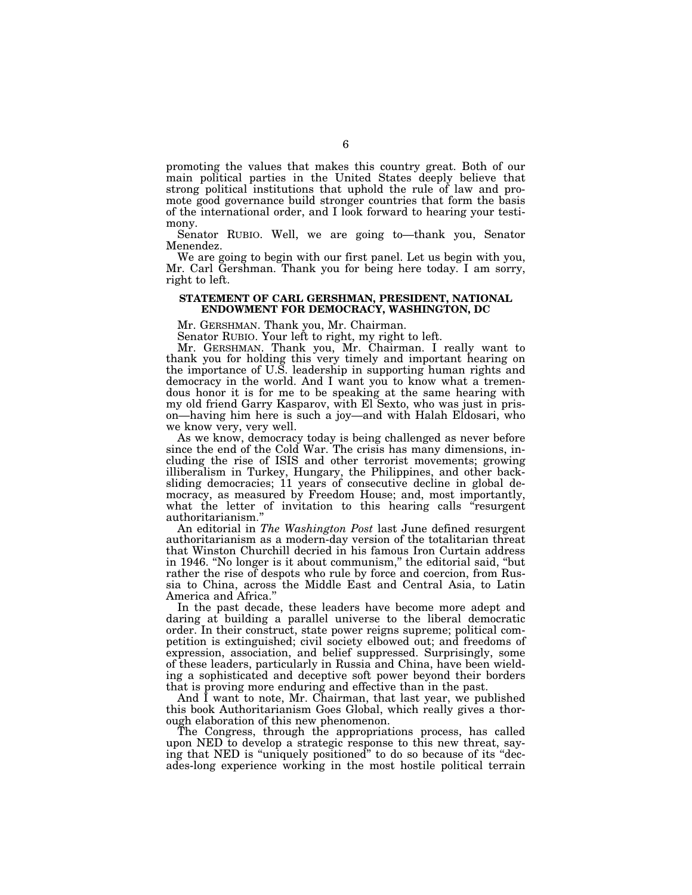promoting the values that makes this country great. Both of our main political parties in the United States deeply believe that strong political institutions that uphold the rule of law and promote good governance build stronger countries that form the basis of the international order, and I look forward to hearing your testimony.

Senator RUBIO. Well, we are going to—thank you, Senator Menendez.

We are going to begin with our first panel. Let us begin with you, Mr. Carl Gershman. Thank you for being here today. I am sorry, right to left.

# **STATEMENT OF CARL GERSHMAN, PRESIDENT, NATIONAL ENDOWMENT FOR DEMOCRACY, WASHINGTON, DC**

Mr. GERSHMAN. Thank you, Mr. Chairman.

Senator RUBIO. Your left to right, my right to left.

Mr. GERSHMAN. Thank you, Mr. Chairman. I really want to thank you for holding this very timely and important hearing on the importance of U.S. leadership in supporting human rights and democracy in the world. And I want you to know what a tremendous honor it is for me to be speaking at the same hearing with my old friend Garry Kasparov, with El Sexto, who was just in prison—having him here is such a joy—and with Halah Eldosari, who we know very, very well.

As we know, democracy today is being challenged as never before since the end of the Cold War. The crisis has many dimensions, including the rise of ISIS and other terrorist movements; growing illiberalism in Turkey, Hungary, the Philippines, and other backsliding democracies; 11 years of consecutive decline in global democracy, as measured by Freedom House; and, most importantly, what the letter of invitation to this hearing calls "resurgent" authoritarianism.''

An editorial in *The Washington Post* last June defined resurgent authoritarianism as a modern-day version of the totalitarian threat that Winston Churchill decried in his famous Iron Curtain address in 1946. ''No longer is it about communism,'' the editorial said, ''but rather the rise of despots who rule by force and coercion, from Russia to China, across the Middle East and Central Asia, to Latin America and Africa.

In the past decade, these leaders have become more adept and daring at building a parallel universe to the liberal democratic order. In their construct, state power reigns supreme; political competition is extinguished; civil society elbowed out; and freedoms of expression, association, and belief suppressed. Surprisingly, some of these leaders, particularly in Russia and China, have been wielding a sophisticated and deceptive soft power beyond their borders that is proving more enduring and effective than in the past.

And I want to note, Mr. Chairman, that last year, we published this book Authoritarianism Goes Global, which really gives a thorough elaboration of this new phenomenon.

The Congress, through the appropriations process, has called upon NED to develop a strategic response to this new threat, saying that NED is ''uniquely positioned'' to do so because of its ''decades-long experience working in the most hostile political terrain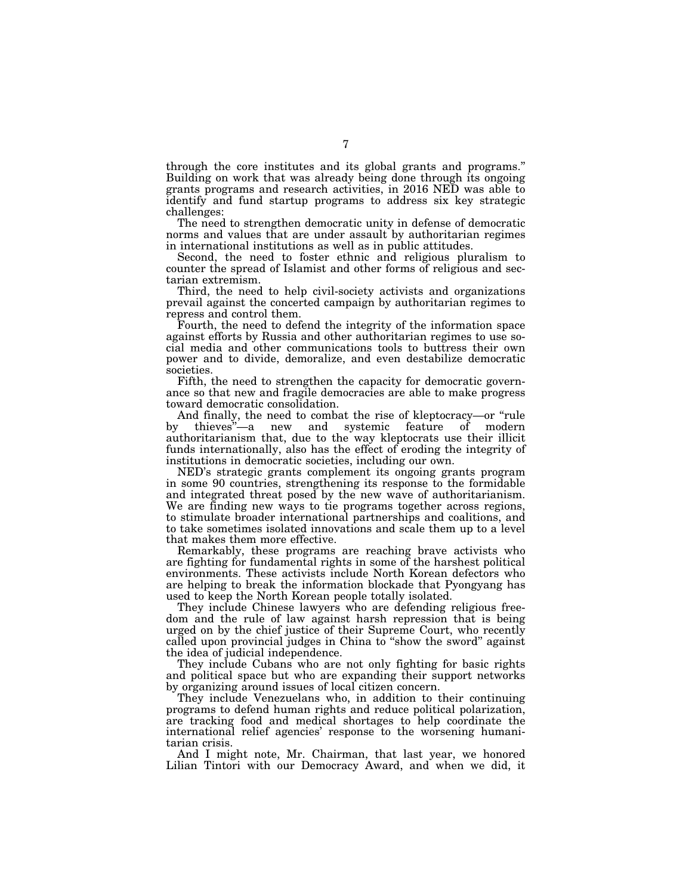through the core institutes and its global grants and programs.'' Building on work that was already being done through its ongoing grants programs and research activities, in 2016 NED was able to identify and fund startup programs to address six key strategic challenges:

The need to strengthen democratic unity in defense of democratic norms and values that are under assault by authoritarian regimes in international institutions as well as in public attitudes.

Second, the need to foster ethnic and religious pluralism to counter the spread of Islamist and other forms of religious and sectarian extremism.

Third, the need to help civil-society activists and organizations prevail against the concerted campaign by authoritarian regimes to repress and control them.

Fourth, the need to defend the integrity of the information space against efforts by Russia and other authoritarian regimes to use social media and other communications tools to buttress their own power and to divide, demoralize, and even destabilize democratic societies.

Fifth, the need to strengthen the capacity for democratic governance so that new and fragile democracies are able to make progress toward democratic consolidation.

And finally, the need to combat the rise of kleptocracy—or "rule<br>by thieves"—a new and systemic feature of modern by thieves''—a new and systemic feature of modern authoritarianism that, due to the way kleptocrats use their illicit funds internationally, also has the effect of eroding the integrity of institutions in democratic societies, including our own.

NED's strategic grants complement its ongoing grants program in some 90 countries, strengthening its response to the formidable and integrated threat posed by the new wave of authoritarianism. We are finding new ways to tie programs together across regions, to stimulate broader international partnerships and coalitions, and to take sometimes isolated innovations and scale them up to a level that makes them more effective.

Remarkably, these programs are reaching brave activists who are fighting for fundamental rights in some of the harshest political environments. These activists include North Korean defectors who are helping to break the information blockade that Pyongyang has used to keep the North Korean people totally isolated.

They include Chinese lawyers who are defending religious freedom and the rule of law against harsh repression that is being urged on by the chief justice of their Supreme Court, who recently called upon provincial judges in China to ''show the sword'' against the idea of judicial independence.

They include Cubans who are not only fighting for basic rights and political space but who are expanding their support networks by organizing around issues of local citizen concern.

They include Venezuelans who, in addition to their continuing programs to defend human rights and reduce political polarization, are tracking food and medical shortages to help coordinate the international relief agencies' response to the worsening humanitarian crisis.

And I might note, Mr. Chairman, that last year, we honored Lilian Tintori with our Democracy Award, and when we did, it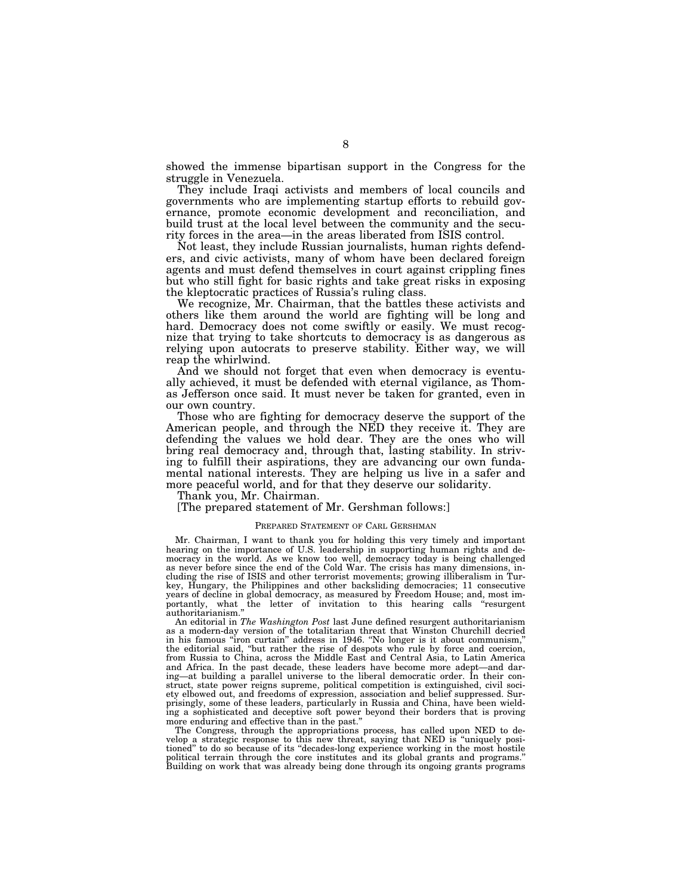showed the immense bipartisan support in the Congress for the struggle in Venezuela.

They include Iraqi activists and members of local councils and governments who are implementing startup efforts to rebuild governance, promote economic development and reconciliation, and build trust at the local level between the community and the security forces in the area—in the areas liberated from ISIS control.

Not least, they include Russian journalists, human rights defenders, and civic activists, many of whom have been declared foreign agents and must defend themselves in court against crippling fines but who still fight for basic rights and take great risks in exposing the kleptocratic practices of Russia's ruling class.

We recognize, Mr. Chairman, that the battles these activists and others like them around the world are fighting will be long and hard. Democracy does not come swiftly or easily. We must recognize that trying to take shortcuts to democracy is as dangerous as relying upon autocrats to preserve stability. Either way, we will reap the whirlwind.

And we should not forget that even when democracy is eventually achieved, it must be defended with eternal vigilance, as Thomas Jefferson once said. It must never be taken for granted, even in our own country.

Those who are fighting for democracy deserve the support of the American people, and through the NED they receive it. They are defending the values we hold dear. They are the ones who will bring real democracy and, through that, lasting stability. In striving to fulfill their aspirations, they are advancing our own fundamental national interests. They are helping us live in a safer and more peaceful world, and for that they deserve our solidarity.

Thank you, Mr. Chairman.

[The prepared statement of Mr. Gershman follows:]

### PREPARED STATEMENT OF CARL GERSHMAN

Mr. Chairman, I want to thank you for holding this very timely and important hearing on the importance of U.S. leadership in supporting human rights and democracy in the world. As we know too well, democracy today is being challenged as never before since the end of the Cold War. The crisis has many dimensions, including the rise of ISIS and other terrorist movements; growing illiberalism in Turkey, Hungary, the Philippines and other backsliding democracies; 11 consecutive years of decline in global democracy, as measured by Freedom House; and, most importantly, what the letter of invitation to this hearing calls ''resurgent authoritarianism.''

An editorial in *The Washington Post* last June defined resurgent authoritarianism as a modern-day version of the totalitarian threat that Winston Churchill decried in his famous ''iron curtain'' address in 1946. ''No longer is it about communism,'' the editorial said, ''but rather the rise of despots who rule by force and coercion, from Russia to China, across the Middle East and Central Asia, to Latin America and Africa. In the past decade, these leaders have become more adept—and daring—at building a parallel universe to the liberal democratic order. In their construct, state power reigns supreme, political competition is extinguished, civil society elbowed out, and freedoms of expression, association and belief suppressed. Surprisingly, some of these leaders, particularly in Russia and China, have been wielding a sophisticated and deceptive soft power beyond their borders that is proving more enduring and effective than in the past.''

The Congress, through the appropriations process, has called upon NED to develop a strategic response to this new threat, saying that NED is ''uniquely positioned'' to do so because of its ''decades-long experience working in the most hostile political terrain through the core institutes and its global grants and programs.'' Building on work that was already being done through its ongoing grants programs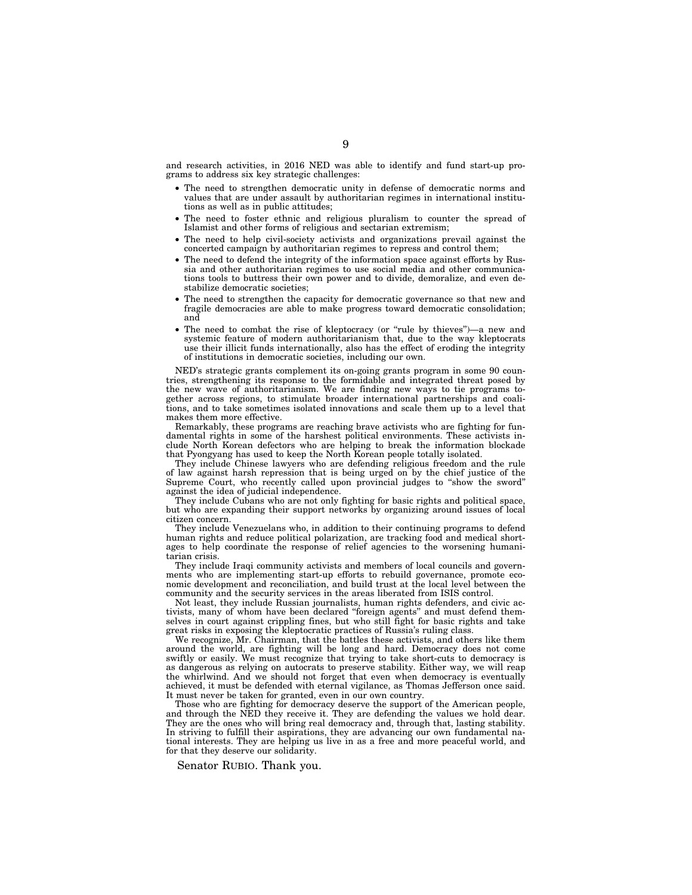and research activities, in 2016 NED was able to identify and fund start-up programs to address six key strategic challenges:

- The need to strengthen democratic unity in defense of democratic norms and values that are under assault by authoritarian regimes in international institutions as well as in public attitudes;
- The need to foster ethnic and religious pluralism to counter the spread of Islamist and other forms of religious and sectarian extremism;
- The need to help civil-society activists and organizations prevail against the concerted campaign by authoritarian regimes to repress and control them;
- The need to defend the integrity of the information space against efforts by Russia and other authoritarian regimes to use social media and other communications tools to buttress their own power and to divide, demoralize, and even destabilize democratic societies;
- The need to strengthen the capacity for democratic governance so that new and fragile democracies are able to make progress toward democratic consolidation; and
- The need to combat the rise of kleptocracy (or ''rule by thieves'')—a new and systemic feature of modern authoritarianism that, due to the way kleptocrats use their illicit funds internationally, also has the effect of eroding the integrity of institutions in democratic societies, including our own.

NED's strategic grants complement its on-going grants program in some 90 countries, strengthening its response to the formidable and integrated threat posed by the new wave of authoritarianism. We are finding new ways to tie programs together across regions, to stimulate broader international partnerships and coalitions, and to take sometimes isolated innovations and scale them up to a level that makes them more effective.

Remarkably, these programs are reaching brave activists who are fighting for fundamental rights in some of the harshest political environments. These activists include North Korean defectors who are helping to break the information blockade that Pyongyang has used to keep the North Korean people totally isolated.

They include Chinese lawyers who are defending religious freedom and the rule of law against harsh repression that is being urged on by the chief justice of the Supreme Court, who recently called upon provincial judges to ''show the sword'' against the idea of judicial independence.

They include Cubans who are not only fighting for basic rights and political space, but who are expanding their support networks by organizing around issues of local citizen concern.

They include Venezuelans who, in addition to their continuing programs to defend human rights and reduce political polarization, are tracking food and medical shortages to help coordinate the response of relief agencies to the worsening humanitarian crisis.

They include Iraqi community activists and members of local councils and governments who are implementing start-up efforts to rebuild governance, promote economic development and reconciliation, and build trust at the local level between the community and the security services in the areas liberated from ISIS control.

Not least, they include Russian journalists, human rights defenders, and civic activists, many of whom have been declared ''foreign agents'' and must defend themselves in court against crippling fines, but who still fight for basic rights and take great risks in exposing the kleptocratic practices of Russia's ruling class.

We recognize, Mr. Chairman, that the battles these activists, and others like them around the world, are fighting will be long and hard. Democracy does not come swiftly or easily. We must recognize that trying to take short-cuts to democracy is as dangerous as relying on autocrats to preserve stability. Either way, we will reap the whirlwind. And we should not forget that even when democracy is eventually achieved, it must be defended with eternal vigilance, as Thomas Jefferson once said. It must never be taken for granted, even in our own country.

Those who are fighting for democracy deserve the support of the American people, and through the NED they receive it. They are defending the values we hold dear. They are the ones who will bring real democracy and, through that, lasting stability. In striving to fulfill their aspirations, they are advancing our own fundamental national interests. They are helping us live in as a free and more peaceful world, and for that they deserve our solidarity.

Senator RUBIO. Thank you.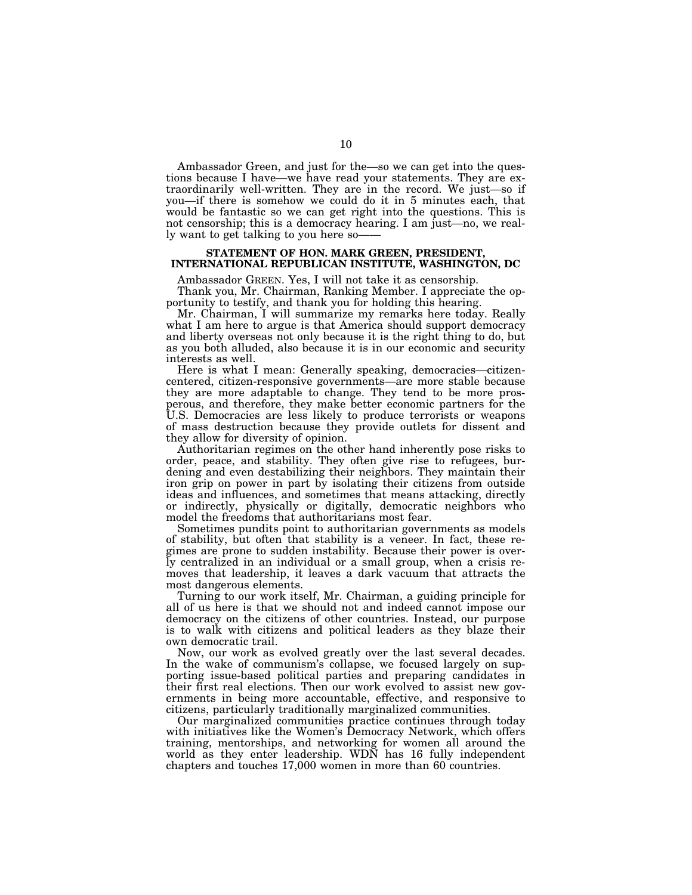Ambassador Green, and just for the—so we can get into the questions because I have—we have read your statements. They are extraordinarily well-written. They are in the record. We just—so if you—if there is somehow we could do it in 5 minutes each, that would be fantastic so we can get right into the questions. This is not censorship; this is a democracy hearing. I am just—no, we really want to get talking to you here so——

# **STATEMENT OF HON. MARK GREEN, PRESIDENT, INTERNATIONAL REPUBLICAN INSTITUTE, WASHINGTON, DC**

Ambassador GREEN. Yes, I will not take it as censorship.

Thank you, Mr. Chairman, Ranking Member. I appreciate the opportunity to testify, and thank you for holding this hearing.

Mr. Chairman, I will summarize my remarks here today. Really what I am here to argue is that America should support democracy and liberty overseas not only because it is the right thing to do, but as you both alluded, also because it is in our economic and security interests as well.

Here is what I mean: Generally speaking, democracies—citizencentered, citizen-responsive governments—are more stable because they are more adaptable to change. They tend to be more prosperous, and therefore, they make better economic partners for the U.S. Democracies are less likely to produce terrorists or weapons of mass destruction because they provide outlets for dissent and they allow for diversity of opinion.

Authoritarian regimes on the other hand inherently pose risks to order, peace, and stability. They often give rise to refugees, burdening and even destabilizing their neighbors. They maintain their iron grip on power in part by isolating their citizens from outside ideas and influences, and sometimes that means attacking, directly or indirectly, physically or digitally, democratic neighbors who model the freedoms that authoritarians most fear.

Sometimes pundits point to authoritarian governments as models of stability, but often that stability is a veneer. In fact, these regimes are prone to sudden instability. Because their power is overly centralized in an individual or a small group, when a crisis removes that leadership, it leaves a dark vacuum that attracts the most dangerous elements.

Turning to our work itself, Mr. Chairman, a guiding principle for all of us here is that we should not and indeed cannot impose our democracy on the citizens of other countries. Instead, our purpose is to walk with citizens and political leaders as they blaze their own democratic trail.

Now, our work as evolved greatly over the last several decades. In the wake of communism's collapse, we focused largely on supporting issue-based political parties and preparing candidates in their first real elections. Then our work evolved to assist new governments in being more accountable, effective, and responsive to citizens, particularly traditionally marginalized communities.

Our marginalized communities practice continues through today with initiatives like the Women's Democracy Network, which offers training, mentorships, and networking for women all around the world as they enter leadership. WDN has 16 fully independent chapters and touches 17,000 women in more than 60 countries.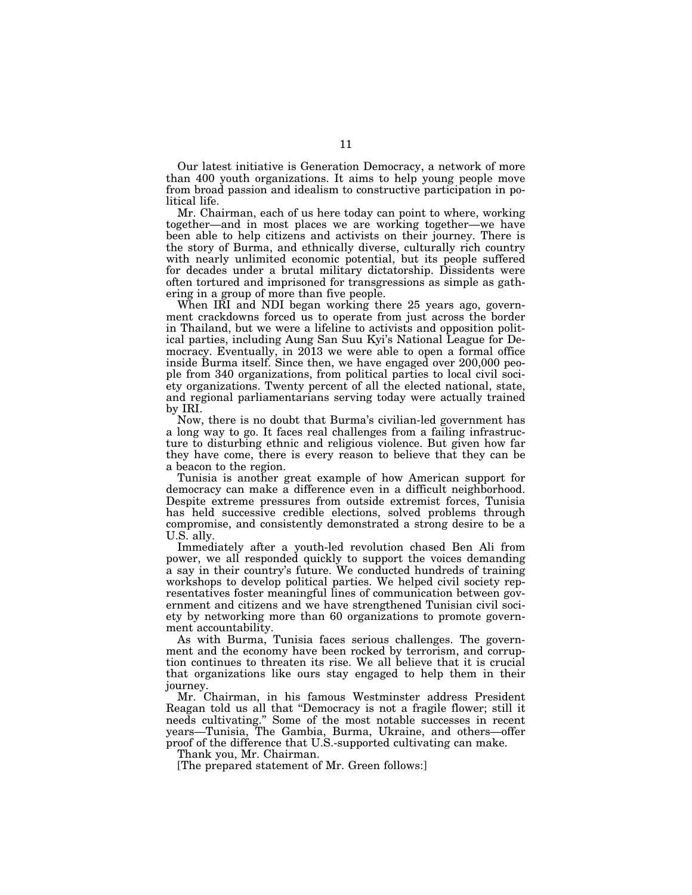Our latest initiative is Generation Democracy, a network of more than 400 youth organizations. It aims to help young people move from broad passion and idealism to constructive participation in political life.

Mr. Chairman, each of us here today can point to where, working together—and in most places we are working together—we have been able to help citizens and activists on their journey. There is the story of Burma, and ethnically diverse, culturally rich country with nearly unlimited economic potential, but its people suffered for decades under a brutal military dictatorship. Dissidents were often tortured and imprisoned for transgressions as simple as gathering in a group of more than five people.

When IRI and NDI began working there 25 years ago, government crackdowns forced us to operate from just across the border in Thailand, but we were a lifeline to activists and opposition political parties, including Aung San Suu Kyi's National League for Democracy. Eventually, in 2013 we were able to open a formal office inside Burma itself. Since then, we have engaged over 200,000 people from 340 organizations, from political parties to local civil society organizations. Twenty percent of all the elected national, state, and regional parliamentarians serving today were actually trained by IRI.

Now, there is no doubt that Burma's civilian-led government has a long way to go. It faces real challenges from a failing infrastructure to disturbing ethnic and religious violence. But given how far they have come, there is every reason to believe that they can be a beacon to the region.

Tunisia is another great example of how American support for democracy can make a difference even in a difficult neighborhood. Despite extreme pressures from outside extremist forces, Tunisia has held successive credible elections, solved problems through compromise, and consistently demonstrated a strong desire to be a U.S. ally.

Immediately after a youth-led revolution chased Ben Ali from power, we all responded quickly to support the voices demanding a say in their country's future. We conducted hundreds of training workshops to develop political parties. We helped civil society representatives foster meaningful lines of communication between government and citizens and we have strengthened Tunisian civil society by networking more than 60 organizations to promote government accountability.

As with Burma, Tunisia faces serious challenges. The government and the economy have been rocked by terrorism, and corruption continues to threaten its rise. We all believe that it is crucial that organizations like ours stay engaged to help them in their journey.

Mr. Chairman, in his famous Westminster address President Reagan told us all that ''Democracy is not a fragile flower; still it needs cultivating.'' Some of the most notable successes in recent years—Tunisia, The Gambia, Burma, Ukraine, and others—offer proof of the difference that U.S.-supported cultivating can make.

Thank you, Mr. Chairman.

[The prepared statement of Mr. Green follows:]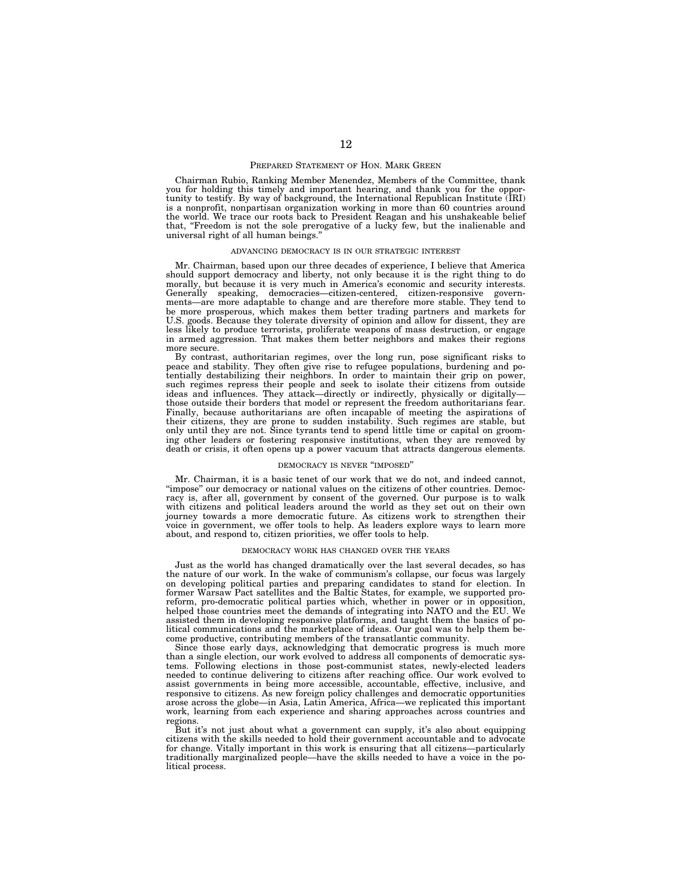#### PREPARED STATEMENT OF HON. MARK GREEN

Chairman Rubio, Ranking Member Menendez, Members of the Committee, thank you for holding this timely and important hearing, and thank you for the opportunity to testify. By way of background, the International Republican Institute (IRI) is a nonprofit, nonpartisan organization working in more than 60 countries around the world. We trace our roots back to President Reagan and his unshakeable belief that, "Freedom is not the sole prerogative of a lucky few, but the inalienable and universal right of all human beings.''

#### ADVANCING DEMOCRACY IS IN OUR STRATEGIC INTEREST

Mr. Chairman, based upon our three decades of experience, I believe that America should support democracy and liberty, not only because it is the right thing to do morally, but because it is very much in America's economic and security interests. Generally speaking, democracies—citizen-centered, citizen-responsive governments—are more adaptable to change and are therefore more stable. They tend to be more prosperous, which makes them better trading partners and markets for U.S. goods. Because they tolerate diversity of opinion and allow for dissent, they are less likely to produce terrorists, proliferate weapons of mass destruction, or engage in armed aggression. That makes them better neighbors and makes their regions more secure.

By contrast, authoritarian regimes, over the long run, pose significant risks to peace and stability. They often give rise to refugee populations, burdening and potentially destabilizing their neighbors. In order to maintain their grip on power, such regimes repress their people and seek to isolate their citizens from outside ideas and influences. They attack—directly or indirectly, physically or digitally those outside their borders that model or represent the freedom authoritarians fear. Finally, because authoritarians are often incapable of meeting the aspirations of their citizens, they are prone to sudden instability. Such regimes are stable, but only until they are not. Since tyrants tend to spend little time or capital on grooming other leaders or fostering responsive institutions, when they are removed by death or crisis, it often opens up a power vacuum that attracts dangerous elements.

#### DEMOCRACY IS NEVER ''IMPOSED''

Mr. Chairman, it is a basic tenet of our work that we do not, and indeed cannot, "impose" our democracy or national values on the citizens of other countries. Democracy is, after all, government by consent of the governed. Our purpose is to walk with citizens and political leaders around the world as they set out on their own journey towards a more democratic future. As citizens work to strengthen their voice in government, we offer tools to help. As leaders explore ways to learn more about, and respond to, citizen priorities, we offer tools to help.

#### DEMOCRACY WORK HAS CHANGED OVER THE YEARS

Just as the world has changed dramatically over the last several decades, so has the nature of our work. In the wake of communism's collapse, our focus was largely on developing political parties and preparing candidates to stand for election. In former Warsaw Pact satellites and the Baltic States, for example, we supported proreform, pro-democratic political parties which, whether in power or in opposition, helped those countries meet the demands of integrating into NATO and the EU. We assisted them in developing responsive platforms, and taught them the basics of political communications and the marketplace of ideas. Our goal was to help them become productive, contributing members of the transatlantic community.

Since those early days, acknowledging that democratic progress is much more than a single election, our work evolved to address all components of democratic systems. Following elections in those post-communist states, newly-elected leaders needed to continue delivering to citizens after reaching office. Our work evolved to assist governments in being more accessible, accountable, effective, inclusive, and responsive to citizens. As new foreign policy challenges and democratic opportunities arose across the globe—in Asia, Latin America, Africa—we replicated this important work, learning from each experience and sharing approaches across countries and regions.

But it's not just about what a government can supply, it's also about equipping citizens with the skills needed to hold their government accountable and to advocate for change. Vitally important in this work is ensuring that all citizens—particularly traditionally marginalized people—have the skills needed to have a voice in the political process.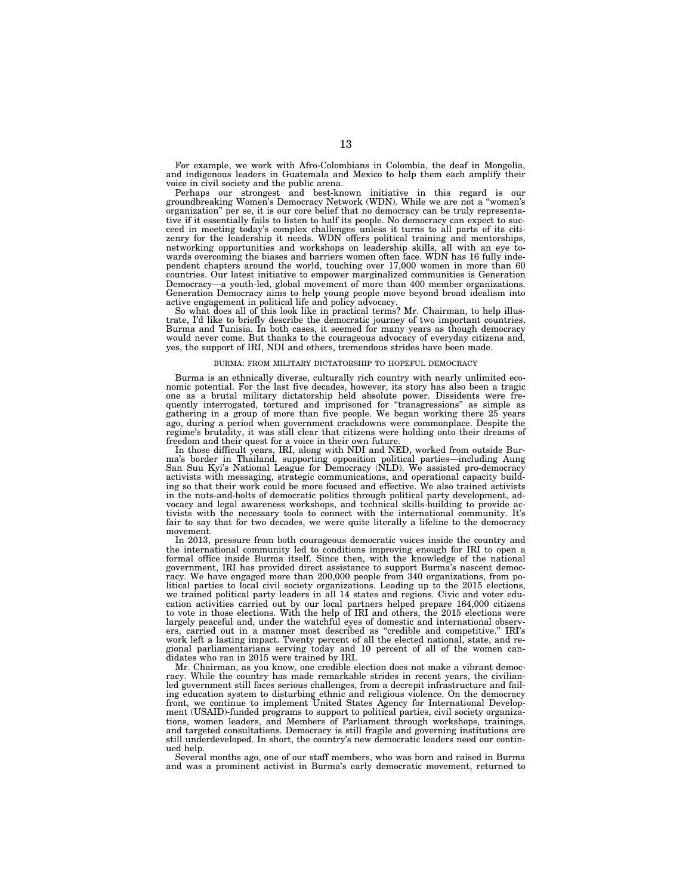For example, we work with Afro-Colombians in Colombia, the deaf in Mongolia, and indigenous leaders in Guatemala and Mexico to help them each amplify their voice in civil society and the public arena.

Perhaps our strongest and best-known initiative in this regard is our groundbreaking Women's Democracy Network (WDN). While we are not a ''women's organization'' per se, it is our core belief that no democracy can be truly representative if it essentially fails to listen to half its people. No democracy can expect to succeed in meeting today's complex challenges unless it turns to all parts of its citizenry for the leadership it needs. WDN offers political training and mentorships, networking opportunities and workshops on leadership skills, all with an eye towards overcoming the biases and barriers women often face. WDN has 16 fully independent chapters around the world, touching over 17,000 women in more than 60 countries. Our latest initiative to empower marginalized communities is Generation Democracy—a youth-led, global movement of more than 400 member organizations. Generation Democracy aims to help young people move beyond broad idealism into active engagement in political life and policy advocacy.

So what does all of this look like in practical terms? Mr. Chairman, to help illustrate, I'd like to briefly describe the democratic journey of two important countries, Burma and Tunisia. In both cases, it seemed for many years as though democracy would never come. But thanks to the courageous advocacy of everyday citizens and, yes, the support of IRI, NDI and others, tremendous strides have been made.

#### BURMA: FROM MILITARY DICTATORSHIP TO HOPEFUL DEMOCRACY

Burma is an ethnically diverse, culturally rich country with nearly unlimited economic potential. For the last five decades, however, its story has also been a tragic one as a brutal military dictatorship held absolute power. Dissidents were frequently interrogated, tortured and imprisoned for ''transgressions'' as simple as gathering in a group of more than five people. We began working there 25 years ago, during a period when government crackdowns were commonplace. Despite the regime's brutality, it was still clear that citizens were holding onto their dreams of freedom and their quest for a voice in their own future

In those difficult years, IRI, along with NDI and NED, worked from outside Burma's border in Thailand, supporting opposition political parties—including Aung San Suu Kyi's National League for Democracy (NLD). We assisted pro-democracy activists with messaging, strategic communications, and operational capacity building so that their work could be more focused and effective. We also trained activists in the nuts-and-bolts of democratic politics through political party development, advocacy and legal awareness workshops, and technical skills-building to provide activists with the necessary tools to connect with the international community. It's fair to say that for two decades, we were quite literally a lifeline to the democracy movement.

In 2013, pressure from both courageous democratic voices inside the country and the international community led to conditions improving enough for IRI to open a formal office inside Burma itself. Since then, with the knowledge of the national government, IRI has provided direct assistance to support Burma's nascent democracy. We have engaged more than 200,000 people from 340 organizations, from political parties to local civil society organizations. Leading up to the 2015 elections, we trained political party leaders in all 14 states and regions. Civic and voter education activities carried out by our local partners helped prepare 164,000 citizens to vote in those elections. With the help of IRI and others, the 2015 elections were largely peaceful and, under the watchful eyes of domestic and international observers, carried out in a manner most described as ''credible and competitive.'' IRI's work left a lasting impact. Twenty percent of all the elected national, state, and regional parliamentarians serving today and 10 percent of all of the women candidates who ran in 2015 were trained by IRI.

Mr. Chairman, as you know, one credible election does not make a vibrant democracy. While the country has made remarkable strides in recent years, the civilianled government still faces serious challenges, from a decrepit infrastructure and failing education system to disturbing ethnic and religious violence. On the democracy front, we continue to implement United States Agency for International Development (USAID)-funded programs to support to political parties, civil society organizations, women leaders, and Members of Parliament through workshops, trainings, and targeted consultations. Democracy is still fragile and governing institutions are still underdeveloped. In short, the country's new democratic leaders need our continued help.

Several months ago, one of our staff members, who was born and raised in Burma and was a prominent activist in Burma's early democratic movement, returned to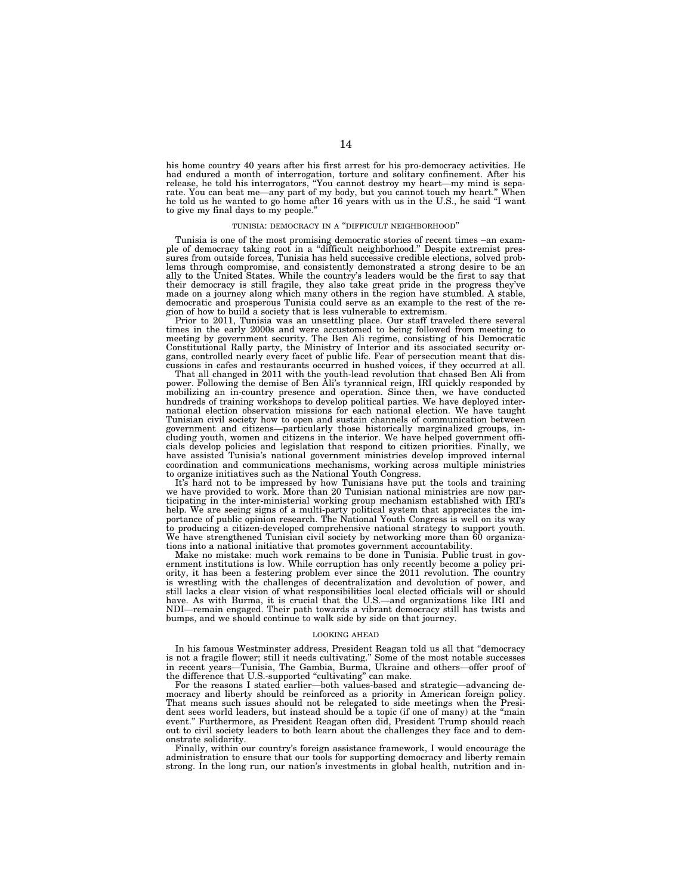his home country 40 years after his first arrest for his pro-democracy activities. He had endured a month of interrogation, torture and solitary confinement. After his<br>release, he told his interrogators, "You cannot destroy my heart—my mind is sepa-<br>rate. You can beat me—any part of my body, but you cannot he told us he wanted to go home after 16 years with us in the U.S., he said ''I want to give my final days to my people.''

#### TUNISIA: DEMOCRACY IN A ''DIFFICULT NEIGHBORHOOD''

Tunisia is one of the most promising democratic stories of recent times –an exam-ple of democracy taking root in a ''difficult neighborhood.'' Despite extremist pressures from outside forces, Tunisia has held successive credible elections, solved problems through compromise, and consistently demonstrated a strong desire to be an ally to the United States. While the country's leaders would be the first to say that their democracy is still fragile, they also take great pride in the progress they've made on a journey along which many others in the region have stumbled. A stable, democratic and prosperous Tunisia could serve as an example to the rest of the region of how to build a society that is less vulnerable to extremism.

Prior to 2011, Tunisia was an unsettling place. Our staff traveled there several times in the early 2000s and were accustomed to being followed from meeting to<br>meeting by government security. The Ben Ali regime, consisting of his Democratic<br>Constitutional Rally party, the Ministry of Interior and its a gans, controlled nearly every facet of public life. Fear of persecution meant that discussions in cafes and restaurants occurred in hushed voices, if they occurred at all.

That all changed in 2011 with the youth-lead revolution that chased Ben Ali from power. Following the demise of Ben Ali's tyrannical reign, IRI quickly responded by mobilizing an in-country presence and operation. Since then, we have conducted hundreds of training workshops to develop political parties. We have deployed international election observation missions for each national election. We have taught Tunisian civil society how to open and sustain channels of communication between government and citizens—particularly those historically marginalized groups, including youth, women and citizens in the interior. We have helped government officials develop policies and legislation that respond to citizen priorities. Finally, we have assisted Tunisia's national government ministries develop improved internal coordination and communications mechanisms, working across multiple ministries to organize initiatives such as the National Youth Congress.

It's hard not to be impressed by how Tunisians have put the tools and training we have provided to work. More than 20 Tunisian national ministries are now participating in the inter-ministerial working group mechanism established with IRI's help. We are seeing signs of a multi-party political system that appreciates the importance of public opinion research. The National Youth Congress is well on its way to producing a citizen-developed comprehensive national strategy to support youth. We have strengthened Tunisian civil society by networking more than 60 organizations into a national initiative that promotes government accountability.

Make no mistake: much work remains to be done in Tunisia. Public trust in government institutions is low. While corruption has only recently become a policy priority, it has been a festering problem ever since the 2011 revolution. The country is wrestling with the challenges of decentralization and devolution of power, and still lacks a clear vision of what responsibilities local elected officials will or should have. As with Burma, it is crucial that the U.S.—and organizations like IRI and NDI—remain engaged. Their path towards a vibrant democracy still has twists and bumps, and we should continue to walk side by side on that journey.

#### LOOKING AHEAD

In his famous Westminster address, President Reagan told us all that ''democracy is not a fragile flower; still it needs cultivating.'' Some of the most notable successes in recent years—Tunisia, The Gambia, Burma, Ukraine and others—offer proof of the difference that U.S.-supported "cultivating" can make.

For the reasons I stated earlier—both values-based and strategic—advancing democracy and liberty should be reinforced as a priority in American foreign policy. That means such issues should not be relegated to side meetings when the President sees world leaders, but instead should be a topic (if one of many) at the ''main event.'' Furthermore, as President Reagan often did, President Trump should reach out to civil society leaders to both learn about the challenges they face and to demonstrate solidarity.

Finally, within our country's foreign assistance framework, I would encourage the administration to ensure that our tools for supporting democracy and liberty remain strong. In the long run, our nation's investments in global health, nutrition and in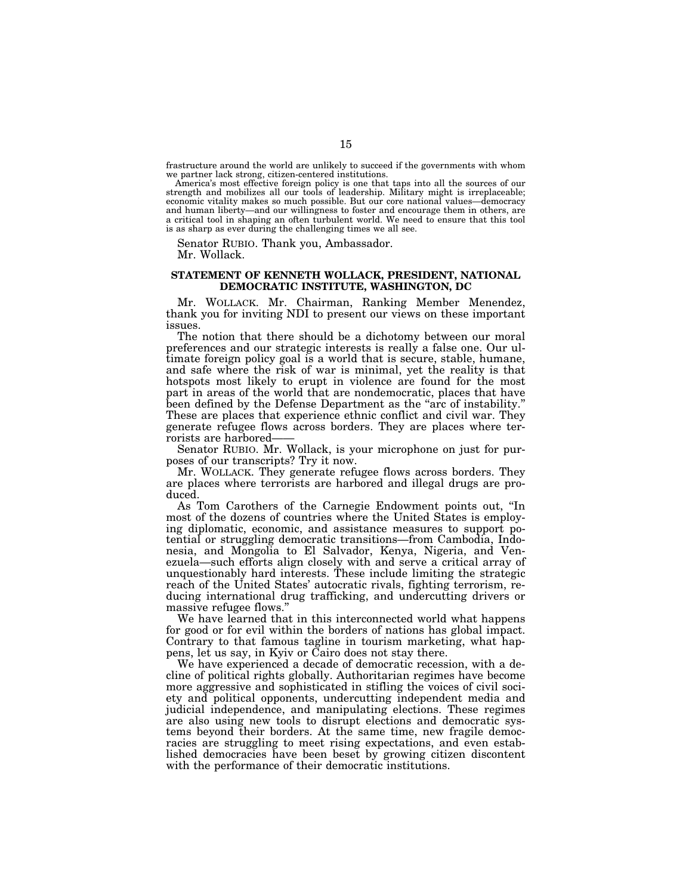frastructure around the world are unlikely to succeed if the governments with whom we partner lack strong, citizen-centered institutions.

America's most effective foreign policy is one that taps into all the sources of our strength and mobilizes all our tools of leadership. Military might is irreplaceable; economic vitality makes so much possible. But our core national values—democracy and human liberty—and our willingness to foster and encourage them in others, are a critical tool in shaping an often turbulent world. We need to ensure that this tool is as sharp as ever during the challenging times we all see.

Senator RUBIO. Thank you, Ambassador. Mr. Wollack.

# **STATEMENT OF KENNETH WOLLACK, PRESIDENT, NATIONAL DEMOCRATIC INSTITUTE, WASHINGTON, DC**

Mr. WOLLACK. Mr. Chairman, Ranking Member Menendez, thank you for inviting NDI to present our views on these important issues.

The notion that there should be a dichotomy between our moral preferences and our strategic interests is really a false one. Our ultimate foreign policy goal is a world that is secure, stable, humane, and safe where the risk of war is minimal, yet the reality is that hotspots most likely to erupt in violence are found for the most part in areas of the world that are nondemocratic, places that have been defined by the Defense Department as the "arc of instability." These are places that experience ethnic conflict and civil war. They generate refugee flows across borders. They are places where terrorists are harbored——

Senator RUBIO. Mr. Wollack, is your microphone on just for purposes of our transcripts? Try it now.

Mr. WOLLACK. They generate refugee flows across borders. They are places where terrorists are harbored and illegal drugs are produced.

As Tom Carothers of the Carnegie Endowment points out, ''In most of the dozens of countries where the United States is employing diplomatic, economic, and assistance measures to support potential or struggling democratic transitions—from Cambodia, Indonesia, and Mongolia to El Salvador, Kenya, Nigeria, and Venezuela—such efforts align closely with and serve a critical array of unquestionably hard interests. These include limiting the strategic reach of the United States' autocratic rivals, fighting terrorism, reducing international drug trafficking, and undercutting drivers or massive refugee flows.''

We have learned that in this interconnected world what happens for good or for evil within the borders of nations has global impact. Contrary to that famous tagline in tourism marketing, what happens, let us say, in Kyiv or Cairo does not stay there.

We have experienced a decade of democratic recession, with a decline of political rights globally. Authoritarian regimes have become more aggressive and sophisticated in stifling the voices of civil society and political opponents, undercutting independent media and judicial independence, and manipulating elections. These regimes are also using new tools to disrupt elections and democratic systems beyond their borders. At the same time, new fragile democracies are struggling to meet rising expectations, and even established democracies have been beset by growing citizen discontent with the performance of their democratic institutions.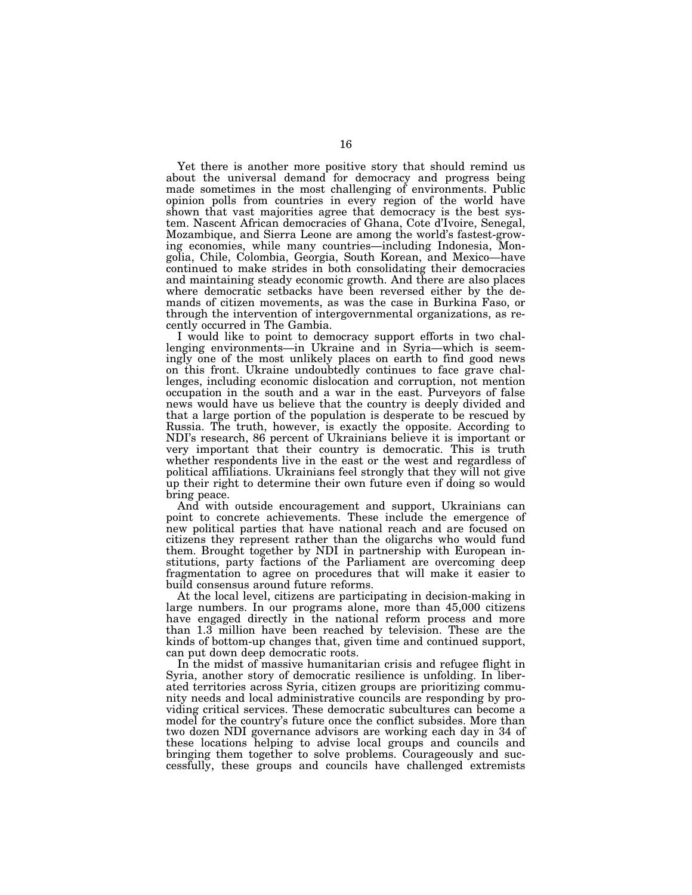Yet there is another more positive story that should remind us about the universal demand for democracy and progress being made sometimes in the most challenging of environments. Public opinion polls from countries in every region of the world have shown that vast majorities agree that democracy is the best system. Nascent African democracies of Ghana, Cote d'Ivoire, Senegal, Mozambique, and Sierra Leone are among the world's fastest-growing economies, while many countries—including Indonesia, Mongolia, Chile, Colombia, Georgia, South Korean, and Mexico—have continued to make strides in both consolidating their democracies and maintaining steady economic growth. And there are also places where democratic setbacks have been reversed either by the demands of citizen movements, as was the case in Burkina Faso, or through the intervention of intergovernmental organizations, as recently occurred in The Gambia.

I would like to point to democracy support efforts in two challenging environments—in Ukraine and in Syria—which is seemingly one of the most unlikely places on earth to find good news on this front. Ukraine undoubtedly continues to face grave challenges, including economic dislocation and corruption, not mention occupation in the south and a war in the east. Purveyors of false news would have us believe that the country is deeply divided and that a large portion of the population is desperate to be rescued by Russia. The truth, however, is exactly the opposite. According to NDI's research, 86 percent of Ukrainians believe it is important or very important that their country is democratic. This is truth whether respondents live in the east or the west and regardless of political affiliations. Ukrainians feel strongly that they will not give up their right to determine their own future even if doing so would bring peace.

And with outside encouragement and support, Ukrainians can point to concrete achievements. These include the emergence of new political parties that have national reach and are focused on citizens they represent rather than the oligarchs who would fund them. Brought together by NDI in partnership with European institutions, party factions of the Parliament are overcoming deep fragmentation to agree on procedures that will make it easier to build consensus around future reforms.

At the local level, citizens are participating in decision-making in large numbers. In our programs alone, more than 45,000 citizens have engaged directly in the national reform process and more than 1.3 million have been reached by television. These are the kinds of bottom-up changes that, given time and continued support, can put down deep democratic roots.

In the midst of massive humanitarian crisis and refugee flight in Syria, another story of democratic resilience is unfolding. In liberated territories across Syria, citizen groups are prioritizing community needs and local administrative councils are responding by providing critical services. These democratic subcultures can become a model for the country's future once the conflict subsides. More than two dozen NDI governance advisors are working each day in 34 of these locations helping to advise local groups and councils and bringing them together to solve problems. Courageously and successfully, these groups and councils have challenged extremists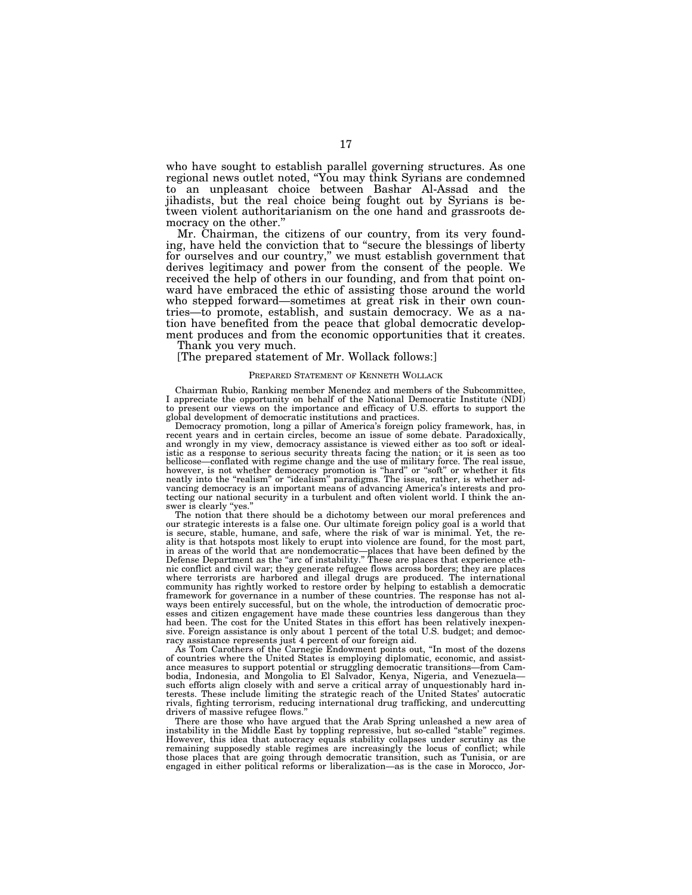who have sought to establish parallel governing structures. As one regional news outlet noted, ''You may think Syrians are condemned to an unpleasant choice between Bashar Al-Assad and the jihadists, but the real choice being fought out by Syrians is between violent authoritarianism on the one hand and grassroots democracy on the other.''

Mr. Chairman, the citizens of our country, from its very founding, have held the conviction that to ''secure the blessings of liberty for ourselves and our country,'' we must establish government that derives legitimacy and power from the consent of the people. We received the help of others in our founding, and from that point onward have embraced the ethic of assisting those around the world who stepped forward—sometimes at great risk in their own countries—to promote, establish, and sustain democracy. We as a nation have benefited from the peace that global democratic development produces and from the economic opportunities that it creates.

Thank you very much.

[The prepared statement of Mr. Wollack follows:]

#### PREPARED STATEMENT OF KENNETH WOLLACK

Chairman Rubio, Ranking member Menendez and members of the Subcommittee, I appreciate the opportunity on behalf of the National Democratic Institute (NDI) to present our views on the importance and efficacy of U.S. efforts to support the global development of democratic institutions and practices.

Democracy promotion, long a pillar of America's foreign policy framework, has, in recent years and in certain circles, become an issue of some debate. Paradoxically, and wrongly in my view, democracy assistance is viewed either as too soft or idealistic as a response to serious security threats facing the nation; or it is seen as too bellicose—conflated with regime change and the use of military force. The real issue, however, is not whether democracy promotion is "hard" or "soft" or whether it fits neatly into the "realism" or "idealism" paradigms. The issue, rather, is whether advancing democracy is an important means of advancing America's interests and protecting our national security in a turbulent and often violent world. I think the answer is clearly "yes.

The notion that there should be a dichotomy between our moral preferences and our strategic interests is a false one. Our ultimate foreign policy goal is a world that is secure, stable, humane, and safe, where the risk of war is minimal. Yet, the reality is that hotspots most likely to erupt into violence are found, for the most part, in areas of the world that are nondemocratic—places that have been defined by the Defense Department as the ''arc of instability.'' These are places that experience ethnic conflict and civil war; they generate refugee flows across borders; they are places where terrorists are harbored and illegal drugs are produced. The international community has rightly worked to restore order by helping to establish a democratic framework for governance in a number of these countries. The response has not always been entirely successful, but on the whole, the introduction of democratic processes and citizen engagement have made these countries less dangerous than they had been. The cost for the United States in this effort has been relatively inexpensive. Foreign assistance is only about 1 percent of the total U.S. budget; and democracy assistance represents just 4 percent of our foreign aid.

As Tom Carothers of the Carnegie Endowment points out, ''In most of the dozens of countries where the United States is employing diplomatic, economic, and assistance measures to support potential or struggling democratic transitions—from Cambodia, Indonesia, and Mongolia to El Salvador, Kenya, Nigeria, and Venezuela such efforts align closely with and serve a critical array of unquestionably hard interests. These include limiting the strategic reach of the United States' autocratic rivals, fighting terrorism, reducing international drug trafficking, and undercutting drivers of massive refugee flows.''

There are those who have argued that the Arab Spring unleashed a new area of instability in the Middle East by toppling repressive, but so-called "stable" regimes. However, this idea that autocracy equals stability collapses under scrutiny as the remaining supposedly stable regimes are increasingly the locus of conflict; while those places that are going through democratic transition, such as Tunisia, or are engaged in either political reforms or liberalization—as is the case in Morocco, Jor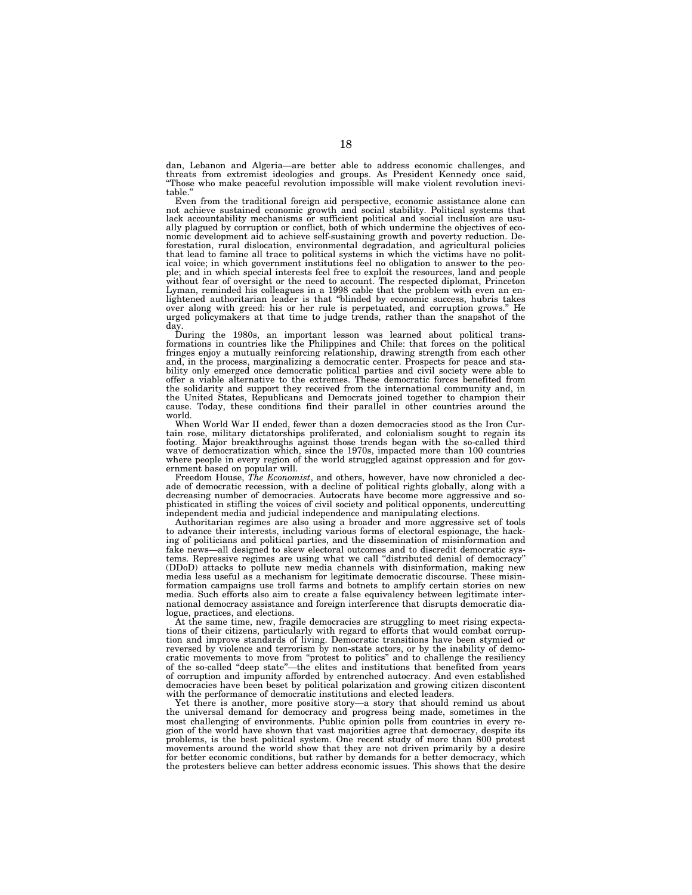dan, Lebanon and Algeria—are better able to address economic challenges, and threats from extremist ideologies and groups. As President Kennedy once said, ''Those who make peaceful revolution impossible will make violent revolution inevitable.''

Even from the traditional foreign aid perspective, economic assistance alone can not achieve sustained economic growth and social stability. Political systems that lack accountability mechanisms or sufficient political and social inclusion are usually plagued by corruption or conflict, both of which undermine the objectives of economic development aid to achieve self-sustaining growth and poverty reduction. Deforestation, rural dislocation, environmental degradation, and agricultural policies that lead to famine all trace to political systems in which the victims have no political voice; in which government institutions feel no obligation to answer to the people; and in which special interests feel free to exploit the resources, land and people without fear of oversight or the need to account. The respected diplomat, Princeton Lyman, reminded his colleagues in a 1998 cable that the problem with even an enlightened authoritarian leader is that ''blinded by economic success, hubris takes over along with greed: his or her rule is perpetuated, and corruption grows.'' He urged policymakers at that time to judge trends, rather than the snapshot of the day.

During the 1980s, an important lesson was learned about political trans-formations in countries like the Philippines and Chile: that forces on the political fringes enjoy a mutually reinforcing relationship, drawing strength from each other and, in the process, marginalizing a democratic center. Prospects for peace and stability only emerged once democratic political parties and civil society were able to offer a viable alternative to the extremes. These democratic forces benefited from the solidarity and support they received from the international community and, in the United States, Republicans and Democrats joined together to champion their cause. Today, these conditions find their parallel in other countries around the world.

When World War II ended, fewer than a dozen democracies stood as the Iron Curtain rose, military dictatorships proliferated, and colonialism sought to regain its footing. Major breakthroughs against those trends began with the so-called third wave of democratization which, since the 1970s, impacted more than 100 countries where people in every region of the world struggled against oppression and for gov-

ernment based on popular will.<br>Freedom House, *The Economist*, and others, however, have now chronicled a decade of democratic recession, with a decline of political rights globally, along with a decreasing number of democracies. Autocrats have become more aggressive and sophisticated in stifling the voices of civil society and political opponents, undercutting independent media and judicial independence and manipulating elections.

Authoritarian regimes are also using a broader and more aggressive set of tools to advance their interests, including various forms of electoral espionage, the hacking of politicians and political parties, and the dissemination of misinformation and fake news—all designed to skew electoral outcomes and to discredit democratic systems. Repressive regimes are using what we call ''distributed denial of democracy'' (DDoD) attacks to pollute new media channels with disinformation, making new media less useful as a mechanism for legitimate democratic discourse. These misinformation campaigns use troll farms and botnets to amplify certain stories on new media. Such efforts also aim to create a false equivalency between legitimate international democracy assistance and foreign interference that disrupts democratic dialogue, practices, and elections.

At the same time, new, fragile democracies are struggling to meet rising expectations of their citizens, particularly with regard to efforts that would combat corruption and improve standards of living. Democratic transitions have been stymied or reversed by violence and terrorism by non-state actors, or by the inability of democratic movements to move from ''protest to politics'' and to challenge the resiliency of the so-called ''deep state''—the elites and institutions that benefited from years of corruption and impunity afforded by entrenched autocracy. And even established democracies have been beset by political polarization and growing citizen discontent with the performance of democratic institutions and elected leaders.

Yet there is another, more positive story—a story that should remind us about the universal demand for democracy and progress being made, sometimes in the most challenging of environments. Public opinion polls from countries in every region of the world have shown that vast majorities agree that democracy, despite its problems, is the best political system. One recent study of more than 800 protest movements around the world show that they are not driven primarily by a desire for better economic conditions, but rather by demands for a better democracy, which the protesters believe can better address economic issues. This shows that the desire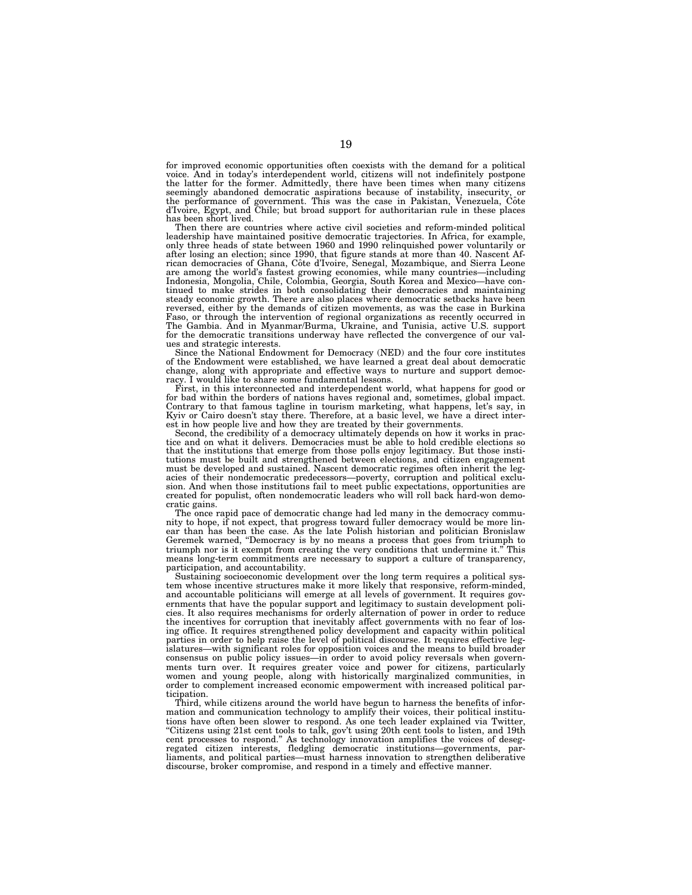for improved economic opportunities often coexists with the demand for a political voice. And in today's interdependent world, citizens will not indefinitely postpone the latter for the former. Admittedly, there have been times when many citizens seemingly abandoned democratic aspirations because of instability, insecurity, or<br>the performance of government. This was the case in Pakistan, Venezuela, Côte<br>d'Ivoire, Egypt, and Chile; but broad support for authoritaria has been short lived.

Then there are countries where active civil societies and reform-minded political leadership have maintained positive democratic trajectories. In Africa, for example, only three heads of state between 1960 and 1990 relinquished power voluntarily or after losing an election; since 1990, that figure stands at more than 40. Nascent African democracies of Ghana, Côte d'Ivoire, Senegal, Mozambique, and Sierra Leone are among the world's fastest growing economies, while many countries—including Indonesia, Mongolia, Chile, Colombia, Georgia, South Korea and Mexico—have con-tinued to make strides in both consolidating their democracies and maintaining steady economic growth. There are also places where democratic setbacks have been reversed, either by the demands of citizen movements, as was the case in Burkina Faso, or through the intervention of regional organizations as recently occurred in The Gambia. And in Myanmar/Burma, Ukraine, and Tunisia, active U.S. support for the democratic transitions underway have reflected the convergence of our values and strategic interests.

Since the National Endowment for Democracy (NED) and the four core institutes of the Endowment were established, we have learned a great deal about democratic change, along with appropriate and effective ways to nurture and support democ-racy. I would like to share some fundamental lessons.

First, in this interconnected and interdependent world, what happens for good or for bad within the borders of nations haves regional and, sometimes, global impact. Contrary to that famous tagline in tourism marketing, what happens, let's say, in<br>Kyiv or Cairo doesn't stay there. Therefore, at a basic level, we have a direct inter-<br>est in how people live and how they are treated by th

Second, the credibility of a democracy ultimately depends on how it works in practice and on what it delivers. Democracies must be able to hold credible elections so that the institutions that emerge from those polls enjoy legitimacy. But those institutions must be built and strengthened between elections, and citizen engagement must be developed and sustained. Nascent democratic regimes often inherit the legacies of their nondemocratic predecessors—poverty, corruption and political exclusion. And when those institutions fail to meet public expectations, opportunities are created for populist, often nondemocratic leaders who w cratic gains.

The once rapid pace of democratic change had led many in the democracy community to hope, if not expect, that progress toward fuller democracy would be more linear than has been the case. As the late Polish historian and politician Bronislaw Geremek warned, ''Democracy is by no means a process that goes from triumph to triumph nor is it exempt from creating the very conditions that undermine it.'' This means long-term commitments are necessary to support a culture of transparency, participation, and accountability.

Sustaining socioeconomic development over the long term requires a political system whose incentive structures make it more likely that responsive, reform-minded, and accountable politicians will emerge at all levels of government. It requires governments that have the popular support and legitimacy to sustain development policies. It also requires mechanisms for orderly alternation of power in order to reduce the incentives for corruption that inevitably affect governments with no fear of losing office. It requires strengthened policy development and capacity within political parties in order to help raise the level of political discourse. It requires effective legislatures—with significant roles for opposition voices and the means to build broader consensus on public policy issues—in order to avoid policy reversals when governments turn over. It requires greater voice and power for citizens, particularly women and young people, along with historically marginalized communities, in order to complement increased economic empowerment with increased political participation.

Third, while citizens around the world have begun to harness the benefits of information and communication technology to amplify their voices, their political institutions have often been slower to respond. As one tech leader explained via Twitter, ''Citizens using 21st cent tools to talk, gov't using 20th cent tools to listen, and 19th cent processes to respond." As technology innovation amplifies the voices of desegregated citizen interests, fledgling democratic institutions—governments, par-<br>liaments, and political parties—must harness innovation to st discourse, broker compromise, and respond in a timely and effective manner.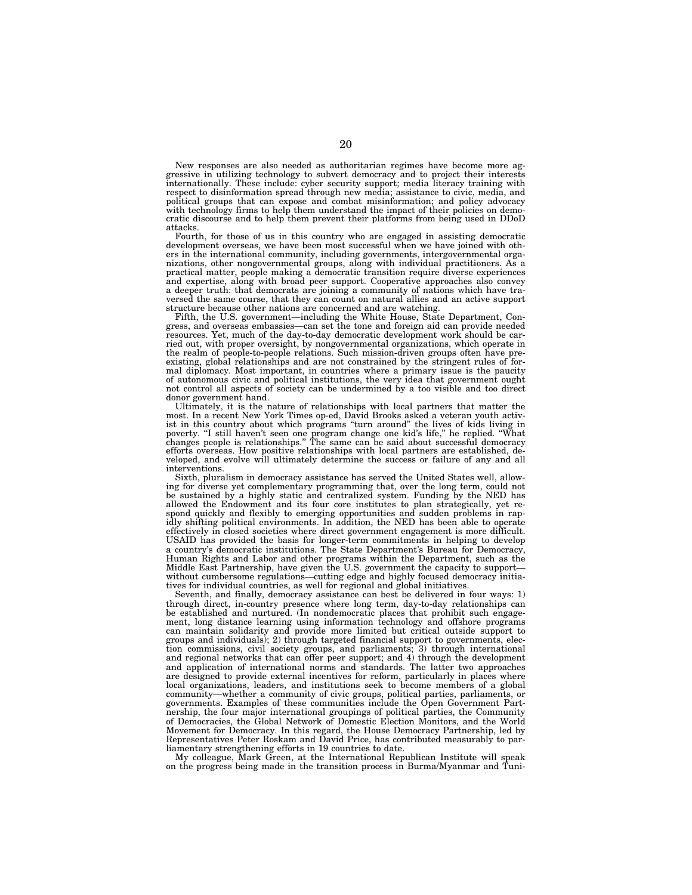New responses are also needed as authoritarian regimes have become more aggressive in utilizing technology to subvert democracy and to project their interests internationally. These include: cyber security support; media literacy training with respect to disinformation spread through new media; assistance to civic, media, and political groups that can expose and combat misinformation; and policy advocacy with technology firms to help them understand the impact of their policies on democratic discourse and to help them prevent their platforms from being used in DDoD attacks.

Fourth, for those of us in this country who are engaged in assisting democratic development overseas, we have been most successful when we have joined with oth-ers in the international community, including governments, intergovernmental organizations, other nongovernmental groups, along with individual practitioners. As a practical matter, people making a democratic transition require diverse experiences and expertise, along with broad peer support. Cooperative approaches also convey a deeper truth: that democrats are joining a community of nations which have traversed the same course, that they can count on natural allies and an active support structure because other nations are concerned and are watching.

Fifth, the U.S. government—including the White House, State Department, Con-gress, and overseas embassies—can set the tone and foreign aid can provide needed resources. Yet, much of the day-to-day democratic development work should be carried out, with proper oversight, by nongovernmental organizations, which operate in the realm of people-to-people relations. Such mission-driven groups often have pre-existing, global relationships and are not constrained by the stringent rules of formal diplomacy. Most important, in countries where a primary issue is the paucity of autonomous civic and political institutions, the very idea that government ought not control all aspects of society can be undermined by a too visible and too direct donor government hand.

Ultimately, it is the nature of relationships with local partners that matter the most. In a recent New York Times op-ed, David Brooks asked a veteran youth activist in this country about which programs "turn around" the lives of kids living in poverty. "I still haven't seen one program change one kid's interventions.

Sixth, pluralism in democracy assistance has served the United States well, allowing for diverse yet complementary programming that, over the long term, could not be sustained by a highly static and centralized system. Fun allowed the Endowment and its four core institutes to plan strategically, yet re-spond quickly and flexibly to emerging opportunities and sudden problems in rapidly shifting political environments. In addition, the NED has been able to operate effectively in closed societies where direct government engagement is more difficult. USAID has provided the basis for longer-term commitments in helping to develop a country's democratic institutions. The State Department's Bureau for Democracy, Human Rights and Labor and other programs within the Department, such as the Middle East Partnership, have given the U.S. government the capacity to support without cumbersome regulations—cutting edge and highly focused democracy initiatives for individual countries, as well for regional and global initiatives.

Seventh, and finally, democracy assistance can best be delivered in four ways: 1) through direct, in-country presence where long term, day-to-day relationships can be established and nurtured. (In nondemocratic places that prohibit such engagement, long distance learning using information technology and offshore programs can maintain solidarity and provide more limited but critical outside support to groups and individuals); 2) through targeted financial support to governments, election commissions, civil society groups, and parliaments; 3) through international and regional networks that can offer peer support; and 4) through the development and application of international norms and standards. The latter two approaches are designed to provide external incentives for reform, particularly in places where local organizations, leaders, and institutions seek to become members of a global community—whether a community of civic groups, political parties, parliaments, or governments. Examples of these communities include the Open Government Partnership, the four major international groupings of political parties, the Community of Democracies, the Global Network of Domestic Election Monitors, and the World Movement for Democracy. In this regard, the House Democracy Partnership, led by Representatives Peter Roskam and David Price, has contributed measurably to par-

liamentary strengthening efforts in 19 countries to date. My colleague, Mark Green, at the International Republican Institute will speak on the progress being made in the transition process in Burma/Myanmar and Tuni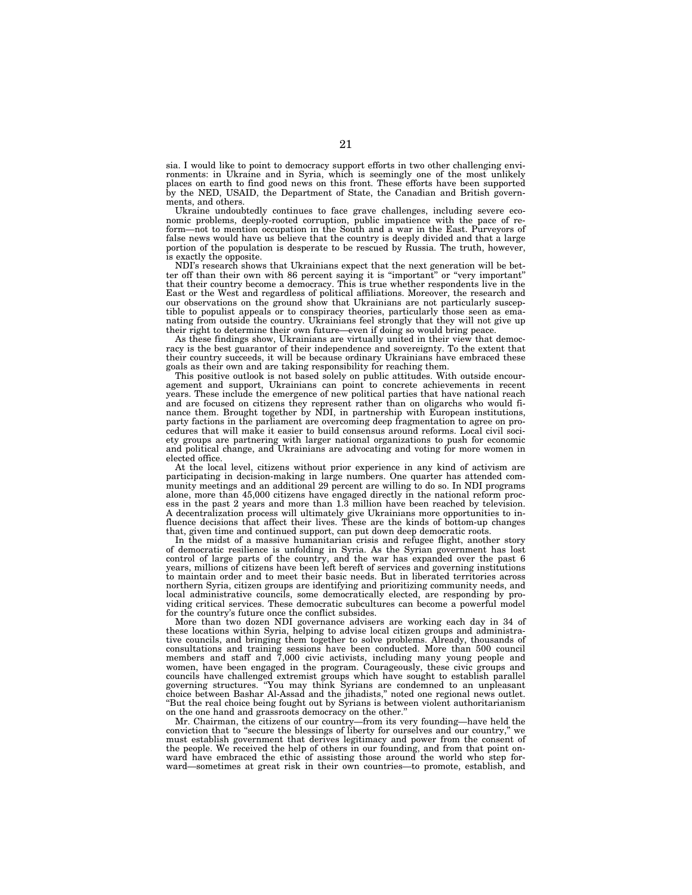sia. I would like to point to democracy support efforts in two other challenging environments: in Ukraine and in Syria, which is seemingly one of the most unlikely places on earth to find good news on this front. These efforts have been supported by the NED, USAID, the Department of State, the Canadian and British governments, and others.

Ukraine undoubtedly continues to face grave challenges, including severe economic problems, deeply-rooted corruption, public impatience with the pace of reform—not to mention occupation in the South and a war in the East. Purveyors of false news would have us believe that the country is deeply divided and that a large portion of the population is desperate to be rescued by Russia. The truth, however, is exactly the opposite.

NDI's research shows that Ukrainians expect that the next generation will be better off than their own with 86 percent saying it is ''important'' or ''very important'' that their country become a democracy. This is true whether respondents live in the East or the West and regardless of political affiliations. Moreover, the research and our observations on the ground show that Ukrainians are not particularly susceptible to populist appeals or to conspiracy theories, particularly those seen as emanating from outside the country. Ukrainians feel strongly that they will not give up their right to determine their own future—even if doing so would bring peace.

As these findings show, Ukrainians are virtually united in their view that democracy is the best guarantor of their independence and sovereignty. To the extent that their country succeeds, it will be because ordinary Ukrainians have embraced these goals as their own and are taking responsibility for reaching them.

This positive outlook is not based solely on public attitudes. With outside encouragement and support, Ukrainians can point to concrete achievements in recent years. These include the emergence of new political parties that have national reach and are focused on citizens they represent rather than on oligarchs who would finance them. Brought together by NDI, in partnership with European institutions, party factions in the parliament are overcoming deep fragmentation to agree on procedures that will make it easier to build consensus around reforms. Local civil society groups are partnering with larger national organizations to push for economic and political change, and Ukrainians are advocating and voting for more women in elected office.

At the local level, citizens without prior experience in any kind of activism are participating in decision-making in large numbers. One quarter has attended community meetings and an additional 29 percent are willing to do so. In NDI programs alone, more than 45,000 citizens have engaged directly in the national reform process in the past 2 years and more than 1.3 million have been reached by television. A decentralization process will ultimately give Ukrainians more opportunities to influence decisions that affect their lives. These are the kinds of bottom-up changes that, given time and continued support, can put down deep democratic roots.

In the midst of a massive humanitarian crisis and refugee flight, another story of democratic resilience is unfolding in Syria. As the Syrian government has lost control of large parts of the country, and the war has expanded over the past 6 years, millions of citizens have been left bereft of services and governing institutions to maintain order and to meet their basic needs. But in liberated territories across northern Syria, citizen groups are identifying and prioritizing community needs, and local administrative councils, some democratically elected, are responding by providing critical services. These democratic subcultures can become a powerful model for the country's future once the conflict subsides.

More than two dozen NDI governance advisers are working each day in 34 of these locations within Syria, helping to advise local citizen groups and administrative councils, and bringing them together to solve problems. Already, thousands of consultations and training sessions have been conducted. More than 500 council members and staff and 7,000 civic activists, including many young people and women, have been engaged in the program. Courageously, these civic groups and councils have challenged extremist groups which have sought to establish parallel governing structures. ''You may think Syrians are condemned to an unpleasant choice between Bashar Al-Assad and the jihadists,'' noted one regional news outlet. ''But the real choice being fought out by Syrians is between violent authoritarianism on the one hand and grassroots democracy on the other.''

Mr. Chairman, the citizens of our country—from its very founding—have held the conviction that to "secure the blessings of liberty for ourselves and our country," we must establish government that derives legitimacy and power from the consent of the people. We received the help of others in our founding, and from that point on-ward have embraced the ethic of assisting those around the world who step forward—sometimes at great risk in their own countries—to promote, establish, and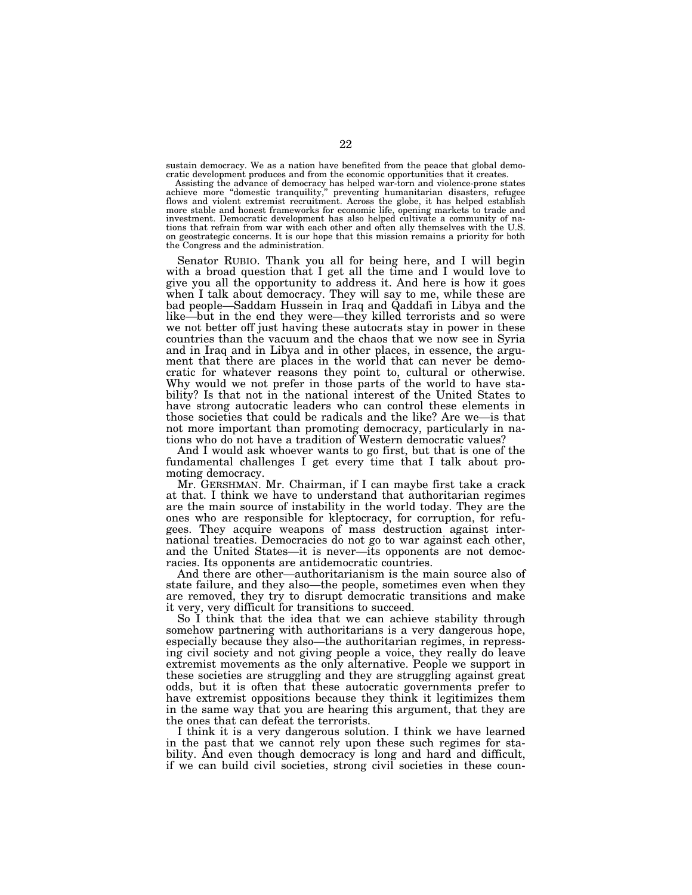sustain democracy. We as a nation have benefited from the peace that global democratic development produces and from the economic opportunities that it creates.

Assisting the advance of democracy has helped war-torn and violence-prone states achieve more ''domestic tranquility,'' preventing humanitarian disasters, refugee flows and violent extremist recruitment. Across the globe, it has helped establish more stable and honest frameworks for economic life, opening markets to trade and investment. Democratic development has also helped cultivate a community of nations that refrain from war with each other and often ally themselves with the U.S. on geostrategic concerns. It is our hope that this mission remains a priority for both the Congress and the administration.

Senator RUBIO. Thank you all for being here, and I will begin with a broad question that I get all the time and I would love to give you all the opportunity to address it. And here is how it goes when I talk about democracy. They will say to me, while these are bad people—Saddam Hussein in Iraq and Qaddafi in Libya and the like—but in the end they were—they killed terrorists and so were we not better off just having these autocrats stay in power in these countries than the vacuum and the chaos that we now see in Syria and in Iraq and in Libya and in other places, in essence, the argument that there are places in the world that can never be democratic for whatever reasons they point to, cultural or otherwise. Why would we not prefer in those parts of the world to have stability? Is that not in the national interest of the United States to have strong autocratic leaders who can control these elements in those societies that could be radicals and the like? Are we—is that not more important than promoting democracy, particularly in nations who do not have a tradition of Western democratic values?

And I would ask whoever wants to go first, but that is one of the fundamental challenges I get every time that I talk about promoting democracy.

Mr. GERSHMAN. Mr. Chairman, if I can maybe first take a crack at that. I think we have to understand that authoritarian regimes are the main source of instability in the world today. They are the ones who are responsible for kleptocracy, for corruption, for refugees. They acquire weapons of mass destruction against international treaties. Democracies do not go to war against each other, and the United States—it is never—its opponents are not democracies. Its opponents are antidemocratic countries.

And there are other—authoritarianism is the main source also of state failure, and they also—the people, sometimes even when they are removed, they try to disrupt democratic transitions and make it very, very difficult for transitions to succeed.

So I think that the idea that we can achieve stability through somehow partnering with authoritarians is a very dangerous hope, especially because they also—the authoritarian regimes, in repressing civil society and not giving people a voice, they really do leave extremist movements as the only alternative. People we support in these societies are struggling and they are struggling against great odds, but it is often that these autocratic governments prefer to have extremist oppositions because they think it legitimizes them in the same way that you are hearing this argument, that they are the ones that can defeat the terrorists.

I think it is a very dangerous solution. I think we have learned in the past that we cannot rely upon these such regimes for stability. And even though democracy is long and hard and difficult, if we can build civil societies, strong civil societies in these coun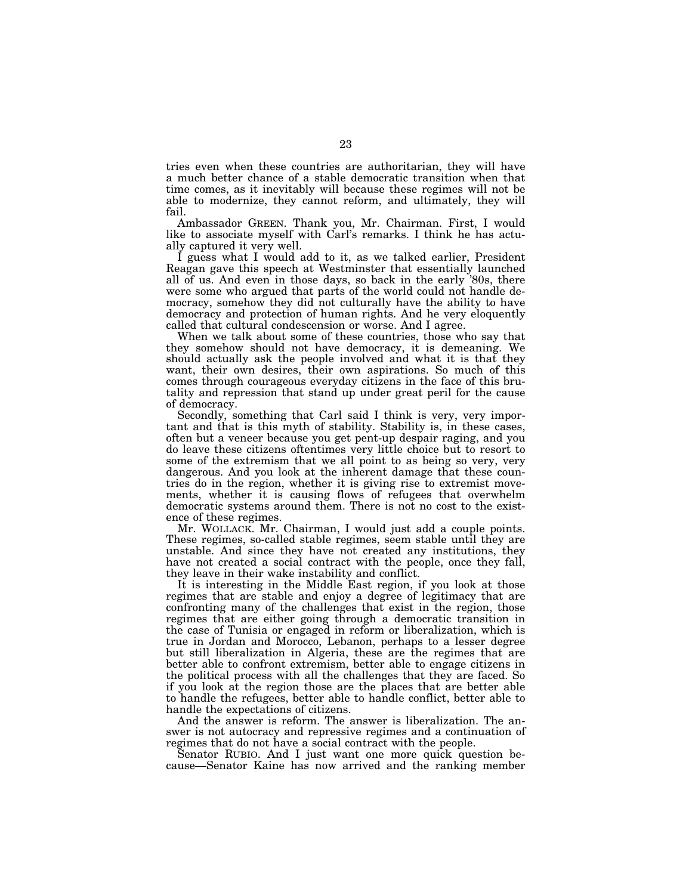tries even when these countries are authoritarian, they will have a much better chance of a stable democratic transition when that time comes, as it inevitably will because these regimes will not be able to modernize, they cannot reform, and ultimately, they will fail.

Ambassador GREEN. Thank you, Mr. Chairman. First, I would like to associate myself with Carl's remarks. I think he has actually captured it very well.

I guess what I would add to it, as we talked earlier, President Reagan gave this speech at Westminster that essentially launched all of us. And even in those days, so back in the early '80s, there were some who argued that parts of the world could not handle democracy, somehow they did not culturally have the ability to have democracy and protection of human rights. And he very eloquently called that cultural condescension or worse. And I agree.

When we talk about some of these countries, those who say that they somehow should not have democracy, it is demeaning. We should actually ask the people involved and what it is that they want, their own desires, their own aspirations. So much of this comes through courageous everyday citizens in the face of this brutality and repression that stand up under great peril for the cause of democracy.

Secondly, something that Carl said I think is very, very important and that is this myth of stability. Stability is, in these cases, often but a veneer because you get pent-up despair raging, and you do leave these citizens oftentimes very little choice but to resort to some of the extremism that we all point to as being so very, very dangerous. And you look at the inherent damage that these countries do in the region, whether it is giving rise to extremist movements, whether it is causing flows of refugees that overwhelm democratic systems around them. There is not no cost to the existence of these regimes.

Mr. WOLLACK. Mr. Chairman, I would just add a couple points. These regimes, so-called stable regimes, seem stable until they are unstable. And since they have not created any institutions, they have not created a social contract with the people, once they fall, they leave in their wake instability and conflict.

It is interesting in the Middle East region, if you look at those regimes that are stable and enjoy a degree of legitimacy that are confronting many of the challenges that exist in the region, those regimes that are either going through a democratic transition in the case of Tunisia or engaged in reform or liberalization, which is true in Jordan and Morocco, Lebanon, perhaps to a lesser degree but still liberalization in Algeria, these are the regimes that are better able to confront extremism, better able to engage citizens in the political process with all the challenges that they are faced. So if you look at the region those are the places that are better able to handle the refugees, better able to handle conflict, better able to handle the expectations of citizens.

And the answer is reform. The answer is liberalization. The answer is not autocracy and repressive regimes and a continuation of regimes that do not have a social contract with the people.

Senator RUBIO. And I just want one more quick question because—Senator Kaine has now arrived and the ranking member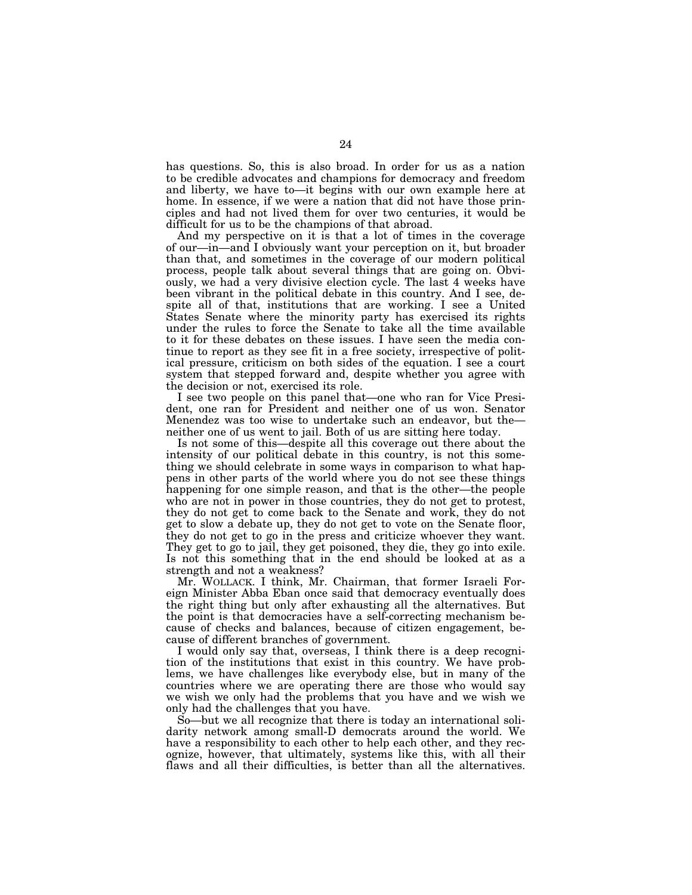has questions. So, this is also broad. In order for us as a nation to be credible advocates and champions for democracy and freedom and liberty, we have to—it begins with our own example here at home. In essence, if we were a nation that did not have those principles and had not lived them for over two centuries, it would be difficult for us to be the champions of that abroad.

And my perspective on it is that a lot of times in the coverage of our—in—and I obviously want your perception on it, but broader than that, and sometimes in the coverage of our modern political process, people talk about several things that are going on. Obviously, we had a very divisive election cycle. The last 4 weeks have been vibrant in the political debate in this country. And I see, despite all of that, institutions that are working. I see a United States Senate where the minority party has exercised its rights under the rules to force the Senate to take all the time available to it for these debates on these issues. I have seen the media continue to report as they see fit in a free society, irrespective of political pressure, criticism on both sides of the equation. I see a court system that stepped forward and, despite whether you agree with the decision or not, exercised its role.

I see two people on this panel that—one who ran for Vice President, one ran for President and neither one of us won. Senator Menendez was too wise to undertake such an endeavor, but the neither one of us went to jail. Both of us are sitting here today.

Is not some of this—despite all this coverage out there about the intensity of our political debate in this country, is not this something we should celebrate in some ways in comparison to what happens in other parts of the world where you do not see these things happening for one simple reason, and that is the other—the people who are not in power in those countries, they do not get to protest, they do not get to come back to the Senate and work, they do not get to slow a debate up, they do not get to vote on the Senate floor, they do not get to go in the press and criticize whoever they want. They get to go to jail, they get poisoned, they die, they go into exile. Is not this something that in the end should be looked at as a strength and not a weakness?

Mr. WOLLACK. I think, Mr. Chairman, that former Israeli Foreign Minister Abba Eban once said that democracy eventually does the right thing but only after exhausting all the alternatives. But the point is that democracies have a self-correcting mechanism because of checks and balances, because of citizen engagement, because of different branches of government.

I would only say that, overseas, I think there is a deep recognition of the institutions that exist in this country. We have problems, we have challenges like everybody else, but in many of the countries where we are operating there are those who would say we wish we only had the problems that you have and we wish we only had the challenges that you have.

So—but we all recognize that there is today an international solidarity network among small-D democrats around the world. We have a responsibility to each other to help each other, and they recognize, however, that ultimately, systems like this, with all their flaws and all their difficulties, is better than all the alternatives.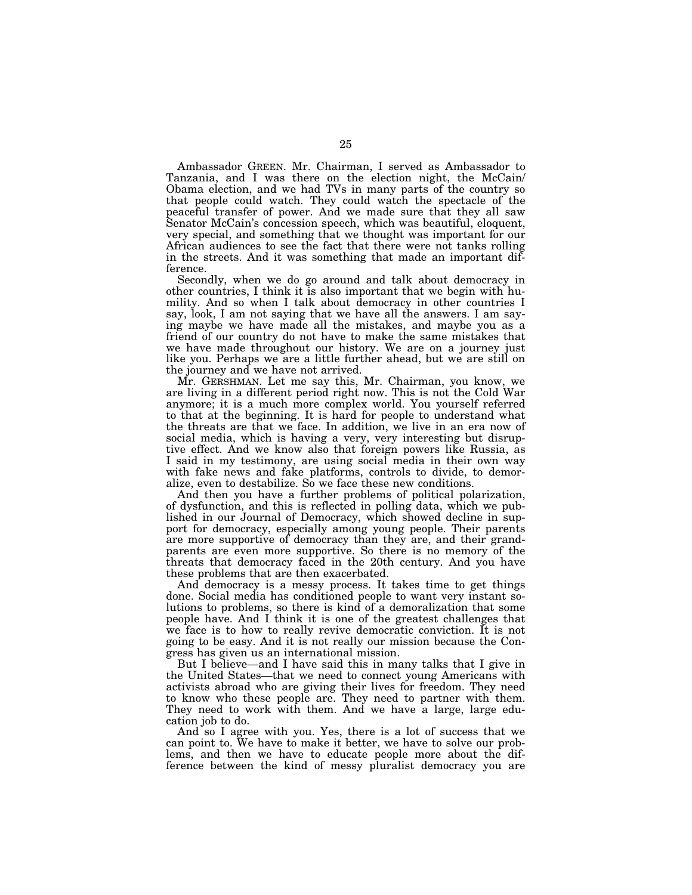Ambassador GREEN. Mr. Chairman, I served as Ambassador to Tanzania, and I was there on the election night, the McCain/ Obama election, and we had TVs in many parts of the country so that people could watch. They could watch the spectacle of the peaceful transfer of power. And we made sure that they all saw Senator McCain's concession speech, which was beautiful, eloquent, very special, and something that we thought was important for our African audiences to see the fact that there were not tanks rolling in the streets. And it was something that made an important difference.

Secondly, when we do go around and talk about democracy in other countries, I think it is also important that we begin with humility. And so when I talk about democracy in other countries I say, look, I am not saying that we have all the answers. I am saying maybe we have made all the mistakes, and maybe you as a friend of our country do not have to make the same mistakes that we have made throughout our history. We are on a journey just like you. Perhaps we are a little further ahead, but we are still on the journey and we have not arrived.

Mr. GERSHMAN. Let me say this, Mr. Chairman, you know, we are living in a different period right now. This is not the Cold War anymore; it is a much more complex world. You yourself referred to that at the beginning. It is hard for people to understand what the threats are that we face. In addition, we live in an era now of social media, which is having a very, very interesting but disruptive effect. And we know also that foreign powers like Russia, as I said in my testimony, are using social media in their own way with fake news and fake platforms, controls to divide, to demoralize, even to destabilize. So we face these new conditions.

And then you have a further problems of political polarization, of dysfunction, and this is reflected in polling data, which we published in our Journal of Democracy, which showed decline in support for democracy, especially among young people. Their parents are more supportive of democracy than they are, and their grandparents are even more supportive. So there is no memory of the threats that democracy faced in the 20th century. And you have these problems that are then exacerbated.

And democracy is a messy process. It takes time to get things done. Social media has conditioned people to want very instant solutions to problems, so there is kind of a demoralization that some people have. And I think it is one of the greatest challenges that we face is to how to really revive democratic conviction. It is not going to be easy. And it is not really our mission because the Congress has given us an international mission.

But I believe—and I have said this in many talks that I give in the United States—that we need to connect young Americans with activists abroad who are giving their lives for freedom. They need to know who these people are. They need to partner with them. They need to work with them. And we have a large, large education job to do.

And so I agree with you. Yes, there is a lot of success that we can point to. We have to make it better, we have to solve our problems, and then we have to educate people more about the difference between the kind of messy pluralist democracy you are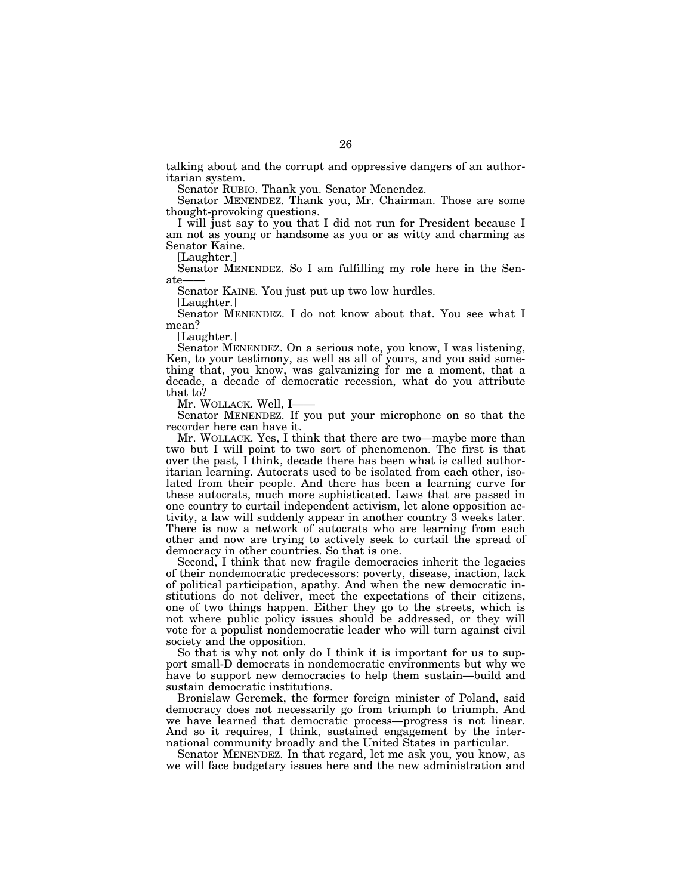talking about and the corrupt and oppressive dangers of an authoritarian system.

Senator RUBIO. Thank you. Senator Menendez.

Senator MENENDEZ. Thank you, Mr. Chairman. Those are some thought-provoking questions.

I will just say to you that I did not run for President because I am not as young or handsome as you or as witty and charming as Senator Kaine.

[Laughter.]

Senator MENENDEZ. So I am fulfilling my role here in the Senate

Senator KAINE. You just put up two low hurdles.

[Laughter.]

Senator MENENDEZ. I do not know about that. You see what I mean?

[Laughter.]

Senator MENENDEZ. On a serious note, you know, I was listening, Ken, to your testimony, as well as all of yours, and you said something that, you know, was galvanizing for me a moment, that a decade, a decade of democratic recession, what do you attribute that to?

Mr. WOLLACK. Well, I-

Senator MENENDEZ. If you put your microphone on so that the recorder here can have it.

Mr. WOLLACK. Yes, I think that there are two—maybe more than two but I will point to two sort of phenomenon. The first is that over the past, I think, decade there has been what is called authoritarian learning. Autocrats used to be isolated from each other, isolated from their people. And there has been a learning curve for these autocrats, much more sophisticated. Laws that are passed in one country to curtail independent activism, let alone opposition activity, a law will suddenly appear in another country 3 weeks later. There is now a network of autocrats who are learning from each other and now are trying to actively seek to curtail the spread of democracy in other countries. So that is one.

Second, I think that new fragile democracies inherit the legacies of their nondemocratic predecessors: poverty, disease, inaction, lack of political participation, apathy. And when the new democratic institutions do not deliver, meet the expectations of their citizens, one of two things happen. Either they go to the streets, which is not where public policy issues should be addressed, or they will vote for a populist nondemocratic leader who will turn against civil society and the opposition.

So that is why not only do I think it is important for us to support small-D democrats in nondemocratic environments but why we have to support new democracies to help them sustain—build and sustain democratic institutions.

Bronislaw Geremek, the former foreign minister of Poland, said democracy does not necessarily go from triumph to triumph. And we have learned that democratic process—progress is not linear. And so it requires, I think, sustained engagement by the international community broadly and the United States in particular.

Senator MENENDEZ. In that regard, let me ask you, you know, as we will face budgetary issues here and the new administration and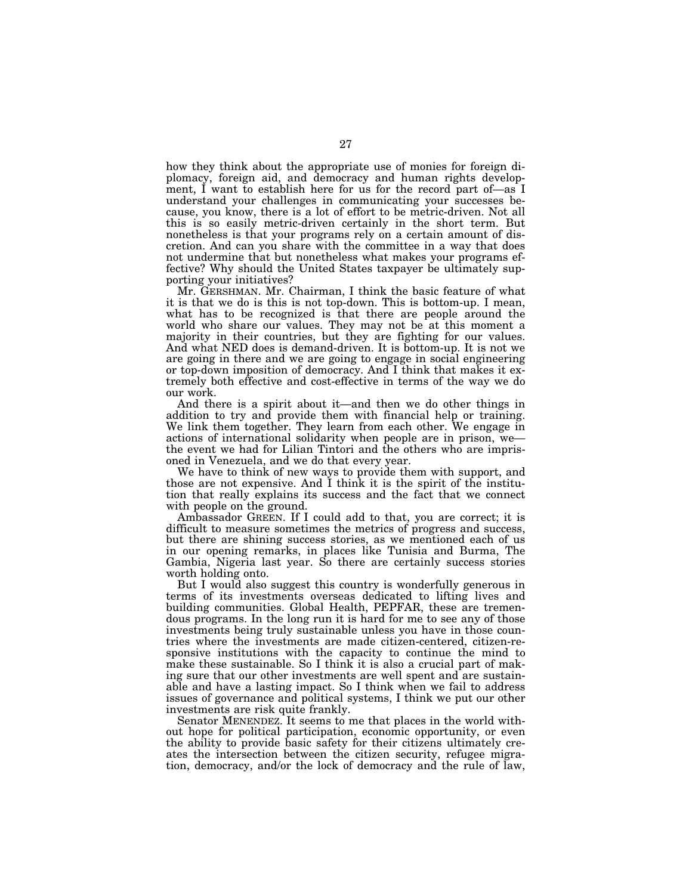how they think about the appropriate use of monies for foreign diplomacy, foreign aid, and democracy and human rights development, I want to establish here for us for the record part of—as I understand your challenges in communicating your successes because, you know, there is a lot of effort to be metric-driven. Not all this is so easily metric-driven certainly in the short term. But nonetheless is that your programs rely on a certain amount of discretion. And can you share with the committee in a way that does not undermine that but nonetheless what makes your programs effective? Why should the United States taxpayer be ultimately supporting your initiatives?

Mr. GERSHMAN. Mr. Chairman, I think the basic feature of what it is that we do is this is not top-down. This is bottom-up. I mean, what has to be recognized is that there are people around the world who share our values. They may not be at this moment a majority in their countries, but they are fighting for our values. And what NED does is demand-driven. It is bottom-up. It is not we are going in there and we are going to engage in social engineering or top-down imposition of democracy. And I think that makes it extremely both effective and cost-effective in terms of the way we do our work.

And there is a spirit about it—and then we do other things in addition to try and provide them with financial help or training. We link them together. They learn from each other. We engage in actions of international solidarity when people are in prison, we the event we had for Lilian Tintori and the others who are imprisoned in Venezuela, and we do that every year.

We have to think of new ways to provide them with support, and those are not expensive. And I think it is the spirit of the institution that really explains its success and the fact that we connect with people on the ground.

Ambassador GREEN. If I could add to that, you are correct; it is difficult to measure sometimes the metrics of progress and success, but there are shining success stories, as we mentioned each of us in our opening remarks, in places like Tunisia and Burma, The Gambia, Nigeria last year. So there are certainly success stories worth holding onto.

But I would also suggest this country is wonderfully generous in terms of its investments overseas dedicated to lifting lives and building communities. Global Health, PEPFAR, these are tremendous programs. In the long run it is hard for me to see any of those investments being truly sustainable unless you have in those countries where the investments are made citizen-centered, citizen-responsive institutions with the capacity to continue the mind to make these sustainable. So I think it is also a crucial part of making sure that our other investments are well spent and are sustainable and have a lasting impact. So I think when we fail to address issues of governance and political systems, I think we put our other investments are risk quite frankly.

Senator MENENDEZ. It seems to me that places in the world without hope for political participation, economic opportunity, or even the ability to provide basic safety for their citizens ultimately creates the intersection between the citizen security, refugee migration, democracy, and/or the lock of democracy and the rule of law,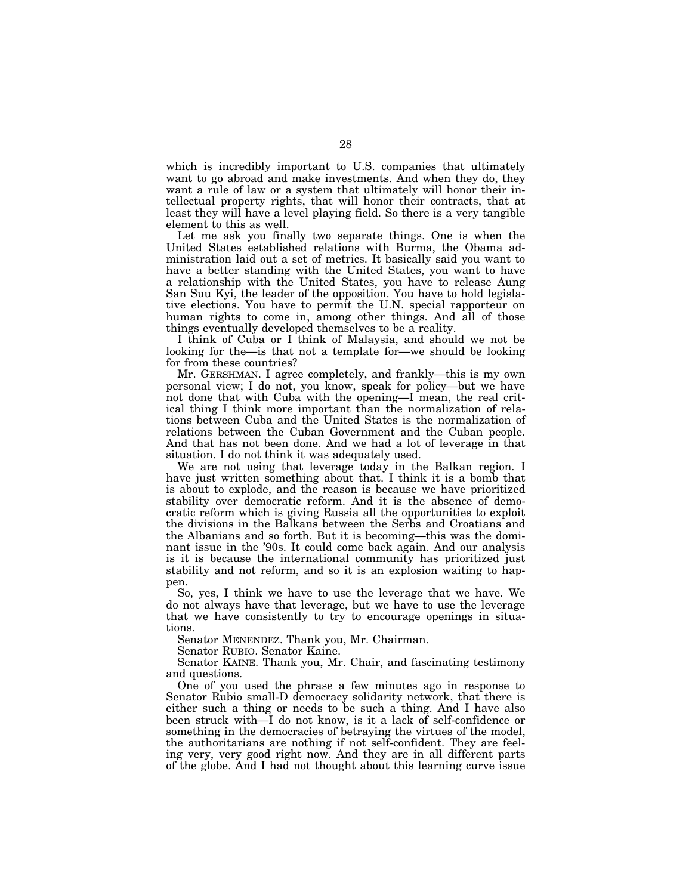which is incredibly important to U.S. companies that ultimately want to go abroad and make investments. And when they do, they want a rule of law or a system that ultimately will honor their intellectual property rights, that will honor their contracts, that at least they will have a level playing field. So there is a very tangible element to this as well.

Let me ask you finally two separate things. One is when the United States established relations with Burma, the Obama administration laid out a set of metrics. It basically said you want to have a better standing with the United States, you want to have a relationship with the United States, you have to release Aung San Suu Kyi, the leader of the opposition. You have to hold legislative elections. You have to permit the U.N. special rapporteur on human rights to come in, among other things. And all of those things eventually developed themselves to be a reality.

I think of Cuba or I think of Malaysia, and should we not be looking for the—is that not a template for—we should be looking for from these countries?

Mr. GERSHMAN. I agree completely, and frankly—this is my own personal view; I do not, you know, speak for policy—but we have not done that with Cuba with the opening—I mean, the real critical thing I think more important than the normalization of relations between Cuba and the United States is the normalization of relations between the Cuban Government and the Cuban people. And that has not been done. And we had a lot of leverage in that situation. I do not think it was adequately used.

We are not using that leverage today in the Balkan region. I have just written something about that. I think it is a bomb that is about to explode, and the reason is because we have prioritized stability over democratic reform. And it is the absence of democratic reform which is giving Russia all the opportunities to exploit the divisions in the Balkans between the Serbs and Croatians and the Albanians and so forth. But it is becoming—this was the dominant issue in the '90s. It could come back again. And our analysis is it is because the international community has prioritized just stability and not reform, and so it is an explosion waiting to happen.

So, yes, I think we have to use the leverage that we have. We do not always have that leverage, but we have to use the leverage that we have consistently to try to encourage openings in situations.

Senator MENENDEZ. Thank you, Mr. Chairman.

Senator RUBIO. Senator Kaine.

Senator KAINE. Thank you, Mr. Chair, and fascinating testimony and questions.

One of you used the phrase a few minutes ago in response to Senator Rubio small-D democracy solidarity network, that there is either such a thing or needs to be such a thing. And I have also been struck with—I do not know, is it a lack of self-confidence or something in the democracies of betraying the virtues of the model, the authoritarians are nothing if not self-confident. They are feeling very, very good right now. And they are in all different parts of the globe. And I had not thought about this learning curve issue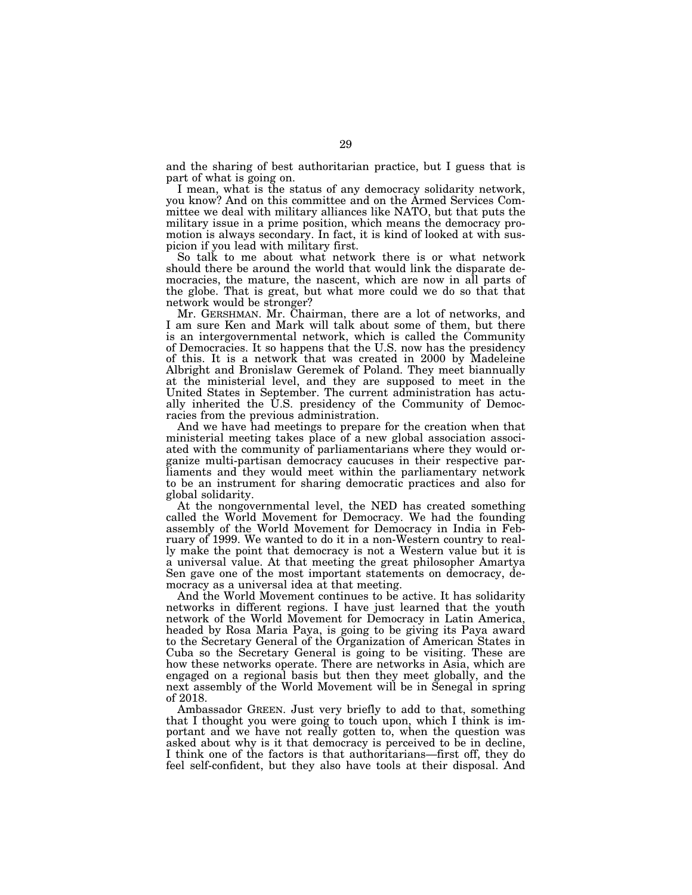and the sharing of best authoritarian practice, but I guess that is part of what is going on.

I mean, what is the status of any democracy solidarity network, you know? And on this committee and on the Armed Services Committee we deal with military alliances like NATO, but that puts the military issue in a prime position, which means the democracy promotion is always secondary. In fact, it is kind of looked at with suspicion if you lead with military first.

So talk to me about what network there is or what network should there be around the world that would link the disparate democracies, the mature, the nascent, which are now in all parts of the globe. That is great, but what more could we do so that that network would be stronger?

Mr. GERSHMAN. Mr. Chairman, there are a lot of networks, and I am sure Ken and Mark will talk about some of them, but there is an intergovernmental network, which is called the Community of Democracies. It so happens that the U.S. now has the presidency of this. It is a network that was created in 2000 by Madeleine Albright and Bronislaw Geremek of Poland. They meet biannually at the ministerial level, and they are supposed to meet in the United States in September. The current administration has actually inherited the U.S. presidency of the Community of Democracies from the previous administration.

And we have had meetings to prepare for the creation when that ministerial meeting takes place of a new global association associated with the community of parliamentarians where they would organize multi-partisan democracy caucuses in their respective parliaments and they would meet within the parliamentary network to be an instrument for sharing democratic practices and also for global solidarity.

At the nongovernmental level, the NED has created something called the World Movement for Democracy. We had the founding assembly of the World Movement for Democracy in India in February of 1999. We wanted to do it in a non-Western country to really make the point that democracy is not a Western value but it is a universal value. At that meeting the great philosopher Amartya Sen gave one of the most important statements on democracy, democracy as a universal idea at that meeting.

And the World Movement continues to be active. It has solidarity networks in different regions. I have just learned that the youth network of the World Movement for Democracy in Latin America, headed by Rosa Maria Paya, is going to be giving its Paya award to the Secretary General of the Organization of American States in Cuba so the Secretary General is going to be visiting. These are how these networks operate. There are networks in Asia, which are engaged on a regional basis but then they meet globally, and the next assembly of the World Movement will be in Senegal in spring of 2018.

Ambassador GREEN. Just very briefly to add to that, something that I thought you were going to touch upon, which I think is important and we have not really gotten to, when the question was asked about why is it that democracy is perceived to be in decline, I think one of the factors is that authoritarians—first off, they do feel self-confident, but they also have tools at their disposal. And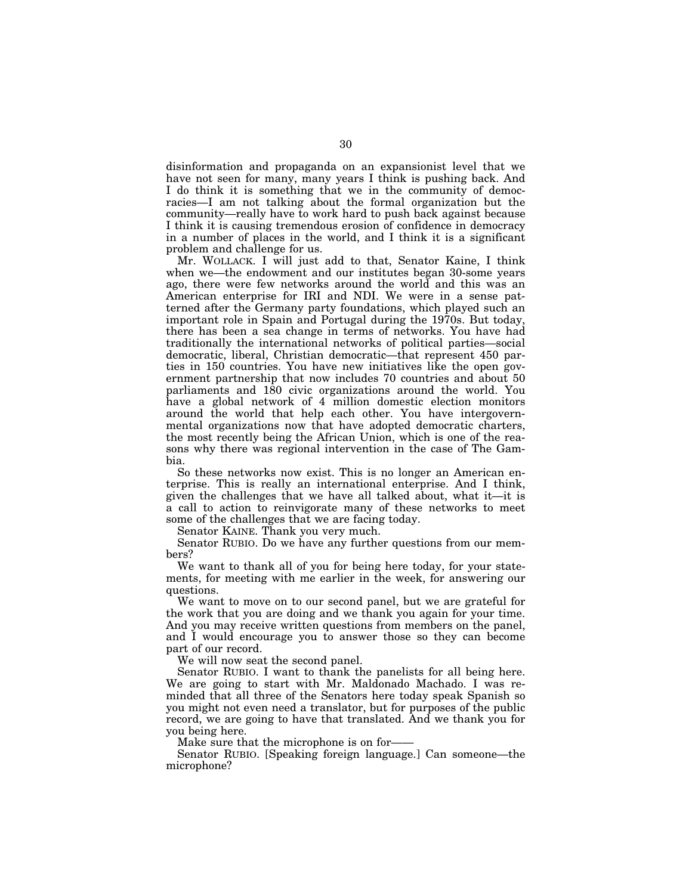disinformation and propaganda on an expansionist level that we have not seen for many, many years I think is pushing back. And I do think it is something that we in the community of democracies—I am not talking about the formal organization but the community—really have to work hard to push back against because I think it is causing tremendous erosion of confidence in democracy in a number of places in the world, and I think it is a significant problem and challenge for us.

Mr. WOLLACK. I will just add to that, Senator Kaine, I think when we—the endowment and our institutes began 30-some years ago, there were few networks around the world and this was an American enterprise for IRI and NDI. We were in a sense patterned after the Germany party foundations, which played such an important role in Spain and Portugal during the 1970s. But today, there has been a sea change in terms of networks. You have had traditionally the international networks of political parties—social democratic, liberal, Christian democratic—that represent 450 parties in 150 countries. You have new initiatives like the open government partnership that now includes 70 countries and about 50 parliaments and 180 civic organizations around the world. You have a global network of 4 million domestic election monitors around the world that help each other. You have intergovernmental organizations now that have adopted democratic charters, the most recently being the African Union, which is one of the reasons why there was regional intervention in the case of The Gambia.

So these networks now exist. This is no longer an American enterprise. This is really an international enterprise. And I think, given the challenges that we have all talked about, what it—it is a call to action to reinvigorate many of these networks to meet some of the challenges that we are facing today.

Senator KAINE. Thank you very much.

Senator RUBIO. Do we have any further questions from our members?

We want to thank all of you for being here today, for your statements, for meeting with me earlier in the week, for answering our questions.

We want to move on to our second panel, but we are grateful for the work that you are doing and we thank you again for your time. And you may receive written questions from members on the panel, and I would encourage you to answer those so they can become part of our record.

We will now seat the second panel.

Senator RUBIO. I want to thank the panelists for all being here. We are going to start with Mr. Maldonado Machado. I was reminded that all three of the Senators here today speak Spanish so you might not even need a translator, but for purposes of the public record, we are going to have that translated. And we thank you for you being here.

Make sure that the microphone is on for-

Senator RUBIO. [Speaking foreign language.] Can someone—the microphone?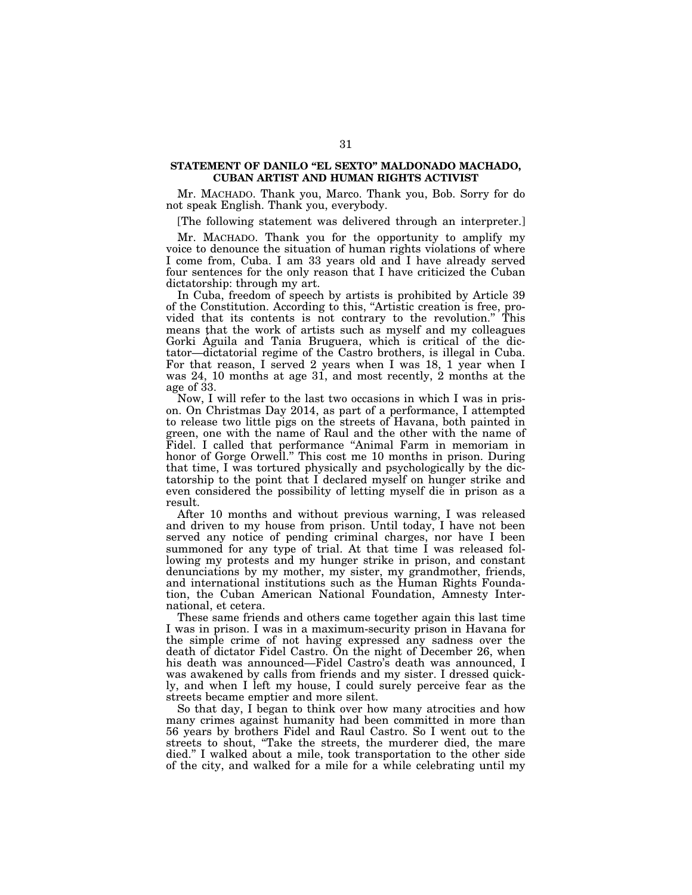# STATEMENT OF DANILO "EL SEXTO" MALDONADO MACHADO, **CUBAN ARTIST AND HUMAN RIGHTS ACTIVIST**

Mr. MACHADO. Thank you, Marco. Thank you, Bob. Sorry for do not speak English. Thank you, everybody.

[The following statement was delivered through an interpreter.]

Mr. MACHADO. Thank you for the opportunity to amplify my voice to denounce the situation of human rights violations of where I come from, Cuba. I am 33 years old and I have already served four sentences for the only reason that I have criticized the Cuban dictatorship: through my art.

In Cuba, freedom of speech by artists is prohibited by Article 39 of the Constitution. According to this, ''Artistic creation is free, provided that its contents is not contrary to the revolution.'' This means that the work of artists such as myself and my colleagues Gorki Aguila and Tania Bruguera, which is critical of the dictator—dictatorial regime of the Castro brothers, is illegal in Cuba. For that reason, I served 2 years when I was 18, 1 year when I was 24, 10 months at age 31, and most recently, 2 months at the age of 33.

Now, I will refer to the last two occasions in which I was in prison. On Christmas Day 2014, as part of a performance, I attempted to release two little pigs on the streets of Havana, both painted in green, one with the name of Raul and the other with the name of Fidel. I called that performance ''Animal Farm in memoriam in honor of Gorge Orwell.'' This cost me 10 months in prison. During that time, I was tortured physically and psychologically by the dictatorship to the point that I declared myself on hunger strike and even considered the possibility of letting myself die in prison as a result.

After 10 months and without previous warning, I was released and driven to my house from prison. Until today, I have not been served any notice of pending criminal charges, nor have I been summoned for any type of trial. At that time I was released following my protests and my hunger strike in prison, and constant denunciations by my mother, my sister, my grandmother, friends, and international institutions such as the Human Rights Foundation, the Cuban American National Foundation, Amnesty International, et cetera.

These same friends and others came together again this last time I was in prison. I was in a maximum-security prison in Havana for the simple crime of not having expressed any sadness over the death of dictator Fidel Castro. On the night of December 26, when his death was announced—Fidel Castro's death was announced, I was awakened by calls from friends and my sister. I dressed quickly, and when I left my house, I could surely perceive fear as the streets became emptier and more silent.

So that day, I began to think over how many atrocities and how many crimes against humanity had been committed in more than 56 years by brothers Fidel and Raul Castro. So I went out to the streets to shout, ''Take the streets, the murderer died, the mare died.'' I walked about a mile, took transportation to the other side of the city, and walked for a mile for a while celebrating until my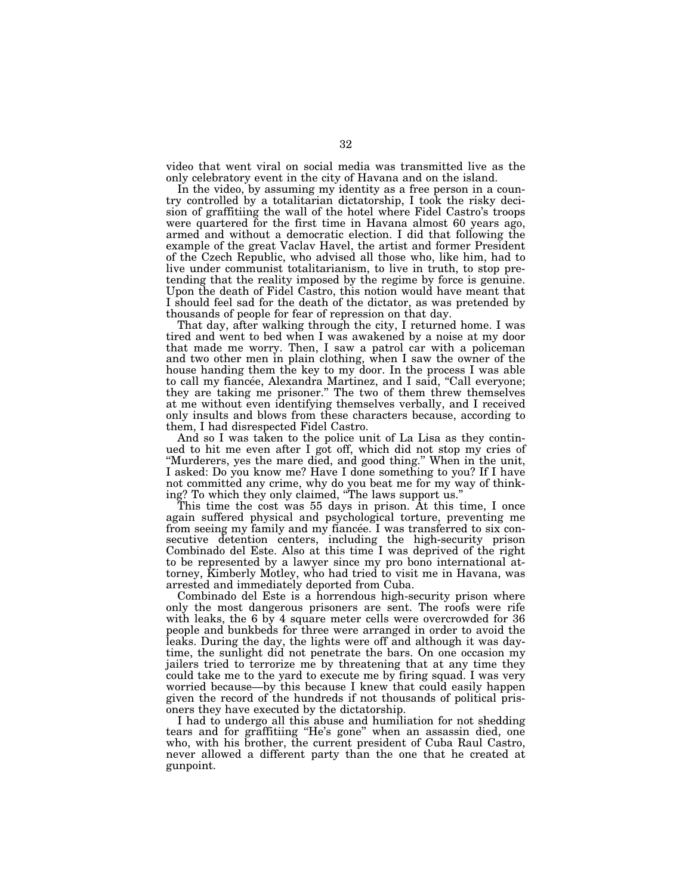video that went viral on social media was transmitted live as the only celebratory event in the city of Havana and on the island.

In the video, by assuming my identity as a free person in a country controlled by a totalitarian dictatorship, I took the risky decision of graffitiing the wall of the hotel where Fidel Castro's troops were quartered for the first time in Havana almost 60 years ago, armed and without a democratic election. I did that following the example of the great Vaclav Havel, the artist and former President of the Czech Republic, who advised all those who, like him, had to live under communist totalitarianism, to live in truth, to stop pretending that the reality imposed by the regime by force is genuine. Upon the death of Fidel Castro, this notion would have meant that I should feel sad for the death of the dictator, as was pretended by thousands of people for fear of repression on that day.

That day, after walking through the city, I returned home. I was tired and went to bed when I was awakened by a noise at my door that made me worry. Then, I saw a patrol car with a policeman and two other men in plain clothing, when I saw the owner of the house handing them the key to my door. In the process I was able to call my fiancée, Alexandra Martinez, and I said, "Call everyone; they are taking me prisoner.'' The two of them threw themselves at me without even identifying themselves verbally, and I received only insults and blows from these characters because, according to them, I had disrespected Fidel Castro.

And so I was taken to the police unit of La Lisa as they continued to hit me even after I got off, which did not stop my cries of ''Murderers, yes the mare died, and good thing.'' When in the unit, I asked: Do you know me? Have I done something to you? If I have not committed any crime, why do you beat me for my way of thinking? To which they only claimed, ''The laws support us.''

This time the cost was 55 days in prison. At this time, I once again suffered physical and psychological torture, preventing me from seeing my family and my fiancée. I was transferred to six consecutive detention centers, including the high-security prison Combinado del Este. Also at this time I was deprived of the right to be represented by a lawyer since my pro bono international attorney, Kimberly Motley, who had tried to visit me in Havana, was arrested and immediately deported from Cuba.

Combinado del Este is a horrendous high-security prison where only the most dangerous prisoners are sent. The roofs were rife with leaks, the 6 by 4 square meter cells were overcrowded for 36 people and bunkbeds for three were arranged in order to avoid the leaks. During the day, the lights were off and although it was daytime, the sunlight did not penetrate the bars. On one occasion my jailers tried to terrorize me by threatening that at any time they could take me to the yard to execute me by firing squad. I was very worried because—by this because I knew that could easily happen given the record of the hundreds if not thousands of political prisoners they have executed by the dictatorship.

I had to undergo all this abuse and humiliation for not shedding tears and for graffitiing ''He's gone'' when an assassin died, one who, with his brother, the current president of Cuba Raul Castro, never allowed a different party than the one that he created at gunpoint.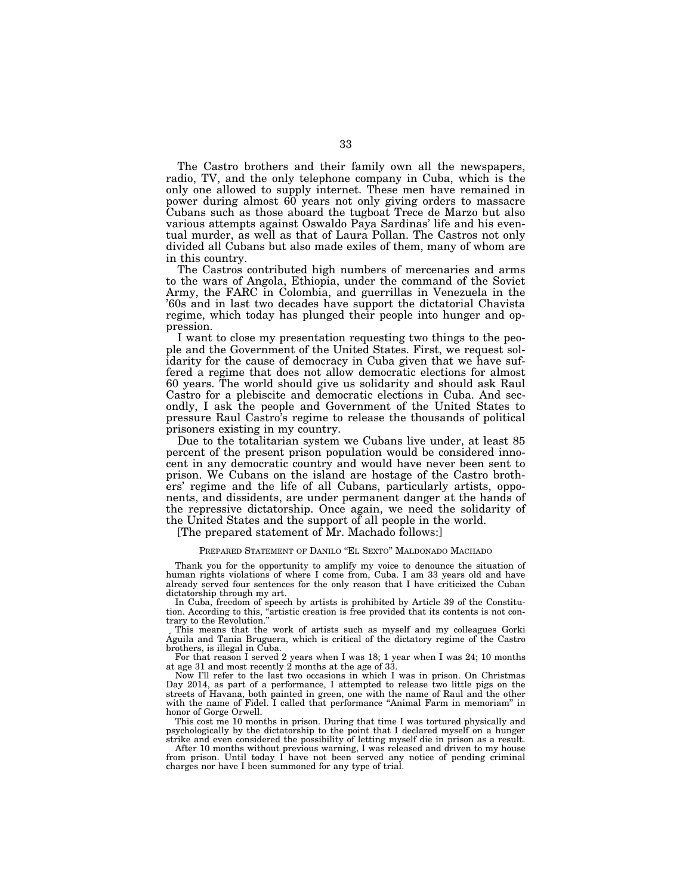The Castro brothers and their family own all the newspapers, radio, TV, and the only telephone company in Cuba, which is the only one allowed to supply internet. These men have remained in power during almost 60 years not only giving orders to massacre Cubans such as those aboard the tugboat Trece de Marzo but also various attempts against Oswaldo Paya Sardinas' life and his eventual murder, as well as that of Laura Pollan. The Castros not only divided all Cubans but also made exiles of them, many of whom are in this country.

The Castros contributed high numbers of mercenaries and arms to the wars of Angola, Ethiopia, under the command of the Soviet Army, the FARC in Colombia, and guerrillas in Venezuela in the '60s and in last two decades have support the dictatorial Chavista regime, which today has plunged their people into hunger and oppression.

I want to close my presentation requesting two things to the people and the Government of the United States. First, we request solidarity for the cause of democracy in Cuba given that we have suffered a regime that does not allow democratic elections for almost 60 years. The world should give us solidarity and should ask Raul Castro for a plebiscite and democratic elections in Cuba. And secondly, I ask the people and Government of the United States to pressure Raul Castro's regime to release the thousands of political prisoners existing in my country.

Due to the totalitarian system we Cubans live under, at least 85 percent of the present prison population would be considered innocent in any democratic country and would have never been sent to prison. We Cubans on the island are hostage of the Castro brothers' regime and the life of all Cubans, particularly artists, opponents, and dissidents, are under permanent danger at the hands of the repressive dictatorship. Once again, we need the solidarity of the United States and the support of all people in the world.

[The prepared statement of Mr. Machado follows:]

#### PREPARED STATEMENT OF DANILO ''EL SEXTO'' MALDONADO MACHADO

Thank you for the opportunity to amplify my voice to denounce the situation of human rights violations of where I come from, Cuba. I am 33 years old and have already served four sentences for the only reason that I have criticized the Cuban dictatorship through my art.

In Cuba, freedom of speech by artists is prohibited by Article 39 of the Constitution. According to this, ''artistic creation is free provided that its contents is not contrary to the Revolution.''

This means that the work of artists such as myself and my colleagues Gorki Aguila and Tania Bruguera, which is critical of the dictatory regime of the Castro brothers, is illegal in Cuba.

For that reason I served 2 years when I was 18; 1 year when I was 24; 10 months at age 31 and most recently 2 months at the age of 33.

Now I'll refer to the last two occasions in which I was in prison. On Christmas Day 2014, as part of a performance, I attempted to release two little pigs on the streets of Havana, both painted in green, one with the name of Raul and the other with the name of Fidel. I called that performance "Animal Farm in memoriam" in honor of Gorge Orwell.

This cost me 10 months in prison. During that time I was tortured physically and psychologically by the dictatorship to the point that I declared myself on a hunger strike and even considered the possibility of letting myself die in prison as a result.

After 10 months without previous warning, I was released and driven to my house from prison. Until today I have not been served any notice of pending criminal charges nor have I been summoned for any type of trial.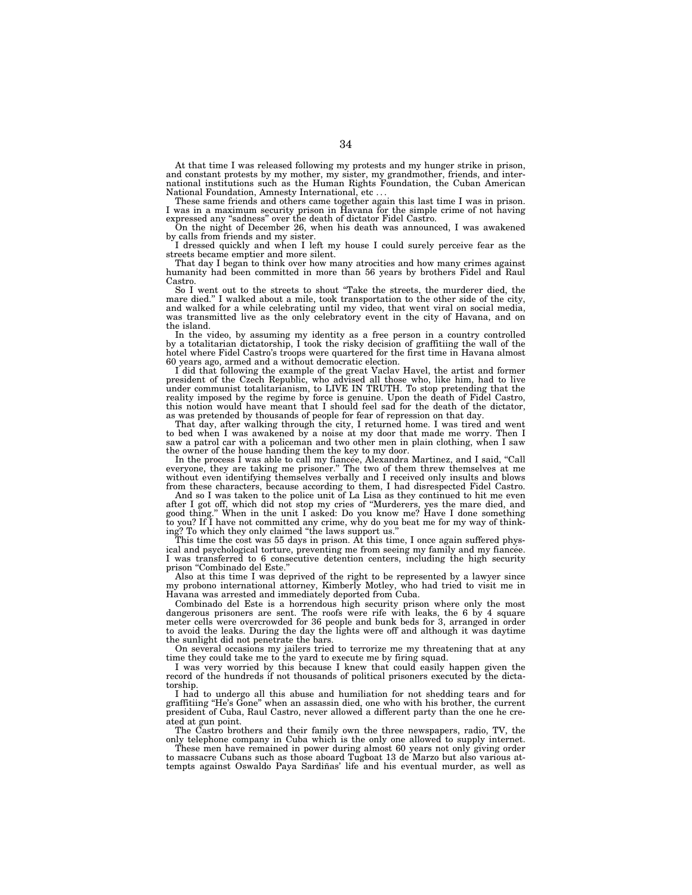At that time I was released following my protests and my hunger strike in prison, and constant protests by my mother, my sister, my grandmother, friends, and international institutions such as the Human Rights Foundation, the Cuban American National Foundation, Amnesty International, etc . . .

These same friends and others came together again this last time I was in prison. I was in a maximum security prison in Havana for the simple crime of not having expressed any ''sadness'' over the death of dictator Fidel Castro.

On the night of December 26, when his death was announced, I was awakened by calls from friends and my sister.

I dressed quickly and when I left my house I could surely perceive fear as the streets became emptier and more silent.

That day I began to think over how many atrocities and how many crimes against humanity had been committed in more than 56 years by brothers Fidel and Raul Castro.

So I went out to the streets to shout ''Take the streets, the murderer died, the mare died.'' I walked about a mile, took transportation to the other side of the city, and walked for a while celebrating until my video, that went viral on social media, was transmitted live as the only celebratory event in the city of Havana, and on the island.

In the video, by assuming my identity as a free person in a country controlled by a totalitarian dictatorship, I took the risky decision of graffitiing the wall of the hotel where Fidel Castro's troops were quartered for the first time in Havana almost 60 years ago, armed and a without democratic election.

I did that following the example of the great Vaclav Havel, the artist and former president of the Czech Republic, who advised all those who, like him, had to live under communist totalitarianism, to LIVE IN TRUTH. To stop pretending that the reality imposed by the regime by force is genuine. Upon the death of Fidel Castro, this notion would have meant that I should feel sad for the death of the dictator,

as was pretended by thousands of people for fear of repression on that day. That day, after walking through the city, I returned home. I was tired and went to bed when I was awakened by a noise at my door that made me worry. Then I saw a patrol car with a policeman and two other men in plain clothing, when I saw the owner of the house handing them the key to my door.

In the process I was able to call my fiancée, Alexandra Martinez, and I said, "Call everyone, they are taking me prisoner.'' The two of them threw themselves at me without even identifying themselves verbally and I received only insults and blows

from these characters, because according to them, I had disrespected Fidel Castro. And so I was taken to the police unit of La Lisa as they continued to hit me even after I got off, which did not stop my cries of ''Murderers, yes the mare died, and good thing.'' When in the unit I asked: Do you know me? Have I done something to you? If I have not committed any crime, why do you beat me for my way of thinking? To which they only claimed ''the laws support us.''

This time the cost was 55 days in prison. At this time, I once again suffered physical and psychological torture, preventing me from seeing my family and my fiancee. I was transferred to 6 consecutive detention centers, including the high security prison "Combinado del Este.'

Also at this time I was deprived of the right to be represented by a lawyer since my probono international attorney, Kimberly Motley, who had tried to visit me in Havana was arrested and immediately deported from Cuba.

Combinado del Este is a horrendous high security prison where only the most dangerous prisoners are sent. The roofs were rife with leaks, the 6 by 4 square meter cells were overcrowded for 36 people and bunk beds for 3, arranged in order to avoid the leaks. During the day the lights were off and although it was daytime the sunlight did not penetrate the bars.

On several occasions my jailers tried to terrorize me my threatening that at any time they could take me to the yard to execute me by firing squad.

I was very worried by this because I knew that could easily happen given the record of the hundreds if not thousands of political prisoners executed by the dictatorship.

I had to undergo all this abuse and humiliation for not shedding tears and for graffitiing ''He's Gone'' when an assassin died, one who with his brother, the current president of Cuba, Raul Castro, never allowed a different party than the one he created at gun point.

The Castro brothers and their family own the three newspapers, radio, TV, the only telephone company in Cuba which is the only one allowed to supply internet.

These men have remained in power during almost 60 years not only giving order to massacre Cubans such as those aboard Tugboat 13 de Marzo but also various attempts against Oswaldo Paya Sardiñas' life and his eventual murder, as well as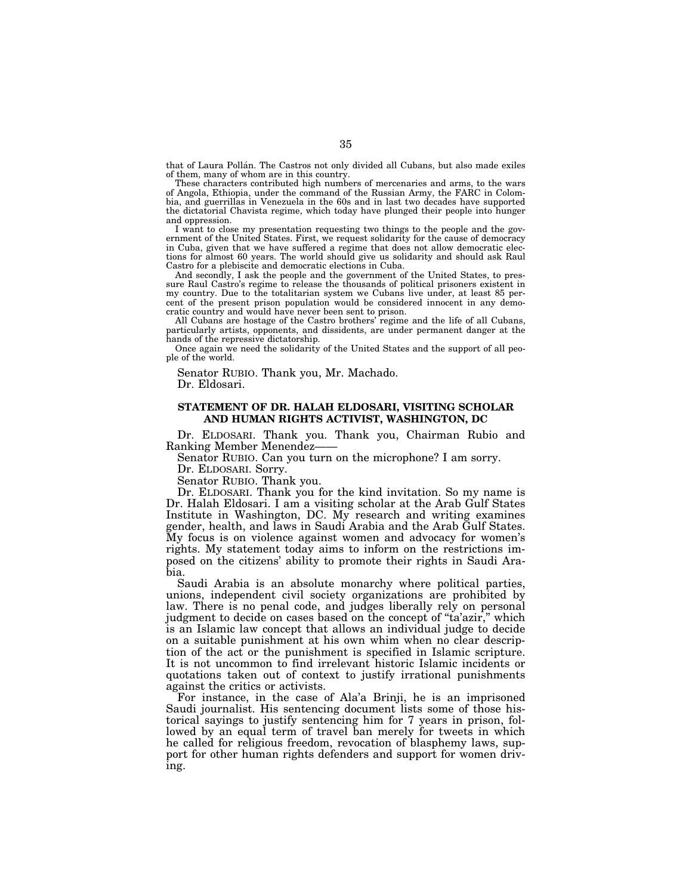that of Laura Pollán. The Castros not only divided all Cubans, but also made exiles of them, many of whom are in this country.

These characters contributed high numbers of mercenaries and arms, to the wars of Angola, Ethiopia, under the command of the Russian Army, the FARC in Colombia, and guerrillas in Venezuela in the 60s and in last two decades have supported the dictatorial Chavista regime, which today have plunged their people into hunger and oppression.

I want to close my presentation requesting two things to the people and the government of the United States. First, we request solidarity for the cause of democracy in Cuba, given that we have suffered a regime that does not allow democratic elections for almost 60 years. The world should give us solidarity and should ask Raul Castro for a plebiscite and democratic elections in Cuba.

And secondly, I ask the people and the government of the United States, to pressure Raul Castro's regime to release the thousands of political prisoners existent in my country. Due to the totalitarian system we Cubans live under, at least 85 percent of the present prison population would be considered innocent in any democratic country and would have never been sent to prison.

All Cubans are hostage of the Castro brothers' regime and the life of all Cubans, particularly artists, opponents, and dissidents, are under permanent danger at the hands of the repressive dictatorship.

Once again we need the solidarity of the United States and the support of all people of the world.

Senator RUBIO. Thank you, Mr. Machado.

Dr. Eldosari.

# **STATEMENT OF DR. HALAH ELDOSARI, VISITING SCHOLAR AND HUMAN RIGHTS ACTIVIST, WASHINGTON, DC**

Dr. ELDOSARI. Thank you. Thank you, Chairman Rubio and Ranking Member Menendez——

Senator RUBIO. Can you turn on the microphone? I am sorry.

Dr. ELDOSARI. Sorry.

Senator RUBIO. Thank you.

Dr. ELDOSARI. Thank you for the kind invitation. So my name is Dr. Halah Eldosari. I am a visiting scholar at the Arab Gulf States Institute in Washington, DC. My research and writing examines gender, health, and laws in Saudi Arabia and the Arab Gulf States. My focus is on violence against women and advocacy for women's rights. My statement today aims to inform on the restrictions imposed on the citizens' ability to promote their rights in Saudi Arabia.

Saudi Arabia is an absolute monarchy where political parties, unions, independent civil society organizations are prohibited by law. There is no penal code, and judges liberally rely on personal judgment to decide on cases based on the concept of ''ta'azir,'' which is an Islamic law concept that allows an individual judge to decide on a suitable punishment at his own whim when no clear description of the act or the punishment is specified in Islamic scripture. It is not uncommon to find irrelevant historic Islamic incidents or quotations taken out of context to justify irrational punishments against the critics or activists.

For instance, in the case of Ala'a Brinji, he is an imprisoned Saudi journalist. His sentencing document lists some of those historical sayings to justify sentencing him for 7 years in prison, followed by an equal term of travel ban merely for tweets in which he called for religious freedom, revocation of blasphemy laws, support for other human rights defenders and support for women driving.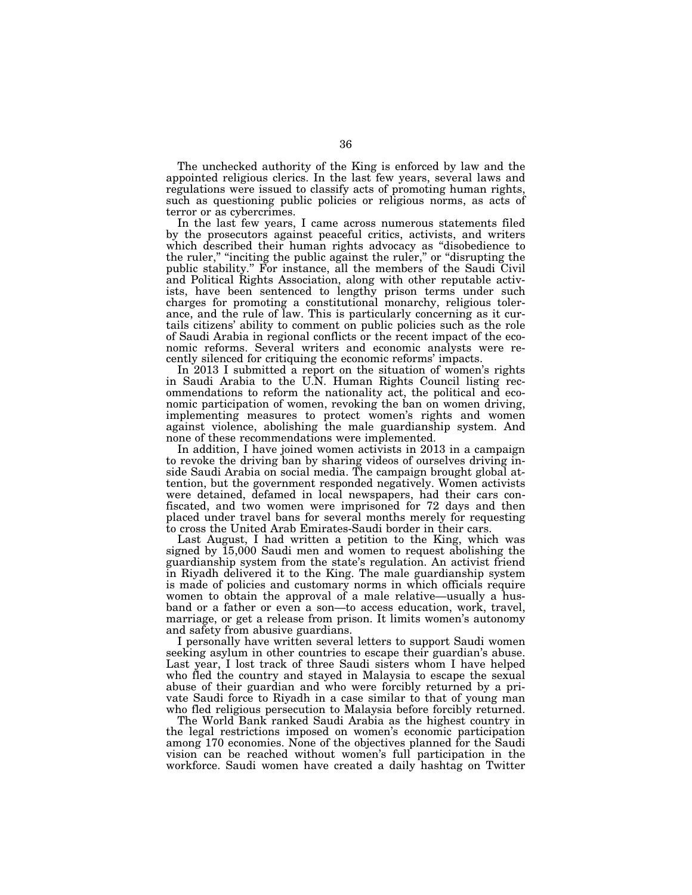The unchecked authority of the King is enforced by law and the appointed religious clerics. In the last few years, several laws and regulations were issued to classify acts of promoting human rights, such as questioning public policies or religious norms, as acts of terror or as cybercrimes.

In the last few years, I came across numerous statements filed by the prosecutors against peaceful critics, activists, and writers which described their human rights advocacy as ''disobedience to the ruler,'' ''inciting the public against the ruler,'' or ''disrupting the public stability.'' For instance, all the members of the Saudi Civil and Political Rights Association, along with other reputable activists, have been sentenced to lengthy prison terms under such charges for promoting a constitutional monarchy, religious tolerance, and the rule of law. This is particularly concerning as it curtails citizens' ability to comment on public policies such as the role of Saudi Arabia in regional conflicts or the recent impact of the economic reforms. Several writers and economic analysts were recently silenced for critiquing the economic reforms' impacts.

In 2013 I submitted a report on the situation of women's rights in Saudi Arabia to the U.N. Human Rights Council listing recommendations to reform the nationality act, the political and economic participation of women, revoking the ban on women driving, implementing measures to protect women's rights and women against violence, abolishing the male guardianship system. And none of these recommendations were implemented.

In addition, I have joined women activists in 2013 in a campaign to revoke the driving ban by sharing videos of ourselves driving inside Saudi Arabia on social media. The campaign brought global attention, but the government responded negatively. Women activists were detained, defamed in local newspapers, had their cars confiscated, and two women were imprisoned for 72 days and then placed under travel bans for several months merely for requesting to cross the United Arab Emirates-Saudi border in their cars.

Last August, I had written a petition to the King, which was signed by 15,000 Saudi men and women to request abolishing the guardianship system from the state's regulation. An activist friend in Riyadh delivered it to the King. The male guardianship system is made of policies and customary norms in which officials require women to obtain the approval of a male relative—usually a husband or a father or even a son—to access education, work, travel, marriage, or get a release from prison. It limits women's autonomy and safety from abusive guardians.

I personally have written several letters to support Saudi women seeking asylum in other countries to escape their guardian's abuse. Last year, I lost track of three Saudi sisters whom I have helped who fled the country and stayed in Malaysia to escape the sexual abuse of their guardian and who were forcibly returned by a private Saudi force to Riyadh in a case similar to that of young man who fled religious persecution to Malaysia before forcibly returned.

The World Bank ranked Saudi Arabia as the highest country in the legal restrictions imposed on women's economic participation among 170 economies. None of the objectives planned for the Saudi vision can be reached without women's full participation in the workforce. Saudi women have created a daily hashtag on Twitter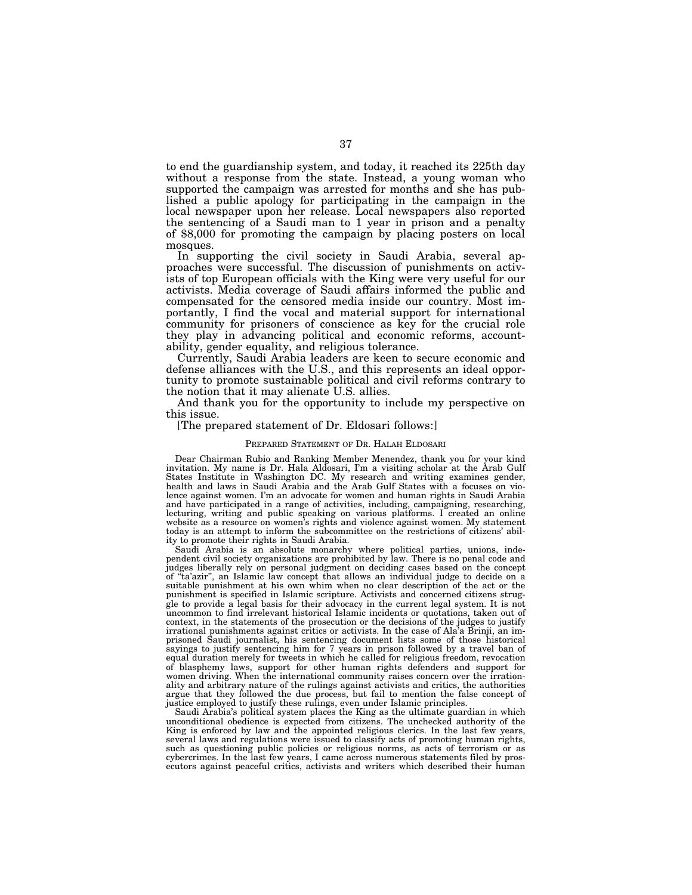to end the guardianship system, and today, it reached its 225th day without a response from the state. Instead, a young woman who supported the campaign was arrested for months and she has published a public apology for participating in the campaign in the local newspaper upon her release. Local newspapers also reported the sentencing of a Saudi man to 1 year in prison and a penalty of \$8,000 for promoting the campaign by placing posters on local mosques.

In supporting the civil society in Saudi Arabia, several approaches were successful. The discussion of punishments on activists of top European officials with the King were very useful for our activists. Media coverage of Saudi affairs informed the public and compensated for the censored media inside our country. Most importantly, I find the vocal and material support for international community for prisoners of conscience as key for the crucial role they play in advancing political and economic reforms, accountability, gender equality, and religious tolerance.

Currently, Saudi Arabia leaders are keen to secure economic and defense alliances with the U.S., and this represents an ideal opportunity to promote sustainable political and civil reforms contrary to the notion that it may alienate U.S. allies.

And thank you for the opportunity to include my perspective on this issue.

### [The prepared statement of Dr. Eldosari follows:]

#### PREPARED STATEMENT OF DR. HALAH ELDOSARI

Dear Chairman Rubio and Ranking Member Menendez, thank you for your kind invitation. My name is Dr. Hala Aldosari, I'm a visiting scholar at the Arab Gulf States Institute in Washington DC. My research and writing examines gender, health and laws in Saudi Arabia and the Arab Gulf States with a focuses on violence against women. I'm an advocate for women and human rights in Saudi Arabia and have participated in a range of activities, including, campaigning, researching, lecturing, writing and public speaking on various platforms. I created an online website as a resource on women's rights and violence against women. My statement today is an attempt to inform the subcommittee on the restrictions of citizens' ability to promote their rights in Saudi Arabia.

Saudi Arabia is an absolute monarchy where political parties, unions, independent civil society organizations are prohibited by law. There is no penal code and judges liberally rely on personal judgment on deciding cases based on the concept of ''ta'azir'', an Islamic law concept that allows an individual judge to decide on a suitable punishment at his own whim when no clear description of the act or the punishment is specified in Islamic scripture. Activists and concerned citizens struggle to provide a legal basis for their advocacy in the current legal system. It is not uncommon to find irrelevant historical Islamic incidents or quotations, taken out of context, in the statements of the prosecution or the decisions of the judges to justify irrational punishments against critics or activists. In the case of Ala'a Brinji, an imprisoned Saudi journalist, his sentencing document lists some of those historical sayings to justify sentencing him for 7 years in prison followed by a travel ban of equal duration merely for tweets in which he called for religious freedom, revocation of blasphemy laws, support for other human rights defenders and support for women driving. When the international community raises concern over the irrationality and arbitrary nature of the rulings against activists and critics, the authorities argue that they followed the due process, but fail to mention the false concept of justice employed to justify these rulings, even under Islamic principles.

Saudi Arabia's political system places the King as the ultimate guardian in which unconditional obedience is expected from citizens. The unchecked authority of the King is enforced by law and the appointed religious clerics. In the last few years, several laws and regulations were issued to classify acts of promoting human rights, such as questioning public policies or religious norms, as acts of terrorism or as cybercrimes. In the last few years, I came across numerous statements filed by prosecutors against peaceful critics, activists and writers which described their human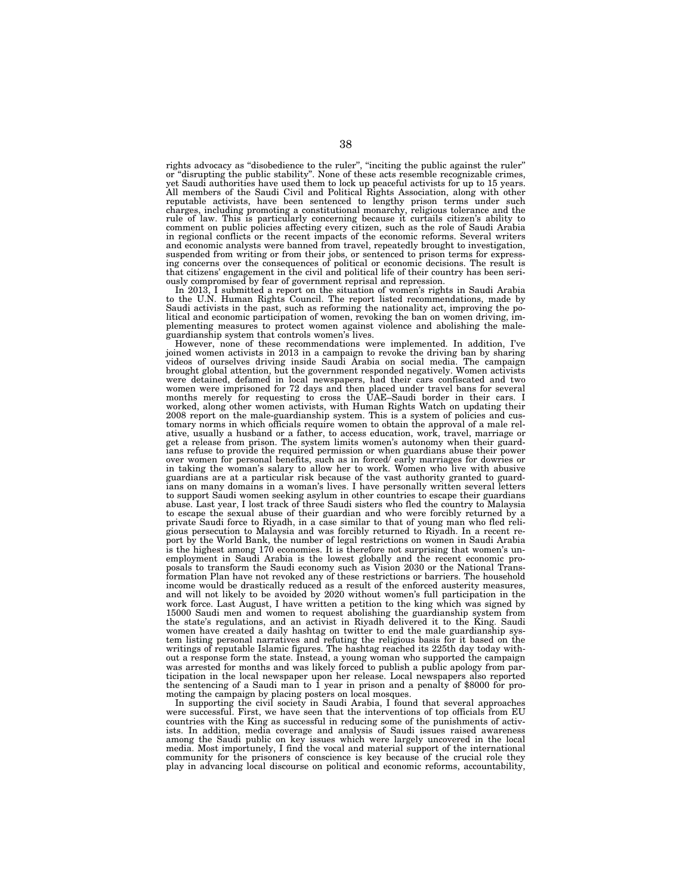rights advocacy as ''disobedience to the ruler'', ''inciting the public against the ruler'' or ''disrupting the public stability''. None of these acts resemble recognizable crimes, yet Saudi authorities have used them to lock up peaceful activists for up to 15 years. All members of the Saudi Civil and Political Rights Association, along with other reputable activists, have been sentenced to lengthy prison terms under such charges, including promoting a constitutional monarchy, religious tolerance and the rule of law. This is particularly concerning because it curtails citizen's ability to comment on public policies affecting every citizen, such as the role of Saudi Arabia in regional conflicts or the recent impacts of the economic reforms. Several writers and economic analysts were banned from travel, repeatedly brought to investigation, suspended from writing or from their jobs, or sentenced to prison terms for expressing concerns over the consequences of political or economic decisions. The result is that citizens' engagement in the civil and political life of their country has been seri-

ously compromised by fear of government reprisal and repression. In 2013, I submitted a report on the situation of women's rights in Saudi Arabia to the U.N. Human Rights Council. The report listed recommendations, made by Saudi activists in the past, such as reforming the nationality act, improving the political and economic participation of women, revoking the ban on women driving, im-plementing measures to protect women against violence and abolishing the male-

guardianship system that controls women's lives. However, none of these recommendations were implemented. In addition, I've joined women activists in 2013 in a campaign to revoke the driving ban by sharing videos of ourselves driving inside Saudi Arabia on social media. The campaign brought global attention, but the government responded negatively. Women activists were detained, defamed in local newspapers, had their cars confiscated and two women were imprisoned for 72 days and then placed under travel bans for several months merely for requesting to cross the UAE–Saudi border in their cars. I worked, along other women activists, with Human Rights Watch on updating their<br>2008 report on the male-guardianship system. This is a system of policies and cus-<br>tomary norms in which officials require women to obtain the ative, usually a husband or a father, to access education, work, travel, marriage or get a release from prison. The system limits women's autonomy when their guardians refuse to provide the required permission or when guardians abuse their power over women for personal benefits, such as in forced/ early marriages for dowries or in taking the woman's salary to allow her to work. Women who live with abusive guardians are at a particular risk because of the vast authority granted to guardians on many domains in a woman's lives. I have personally written several letters to support Saudi women seeking asylum in other countries to escape their guardians abuse. Last year, I lost track of three Saudi sisters who fled the country to Malaysia to escape the sexual abuse of their guardian and who were forcibly returned by a private Saudi force to Riyadh, in a case similar to that of young man who fled religious persecution to Malaysia and was forcibly returned to Riyadh. In a recent report by the World Bank, the number of legal restrictions on women in Saudi Arabia is the highest among 170 economies. It is therefore not surprising that women's unemployment in Saudi Arabia is the lowest globally and the recent economic proposals to transform the Saudi economy such as Vision 2030 or the National Transformation Plan have not revoked any of these restrictions or barriers. The household income would be drastically reduced as a result of the enforced austerity measures, and will not likely to be avoided by 2020 without women's full participation in the work force. Last August, I have written a petition to the king which was signed by 15000 Saudi men and women to request abolishing the guardianship system from the state's regulations, and an activist in Riyadh delivered it to the King. Saudi women have created a daily hashtag on twitter to end the male guardianship system listing personal narratives and refuting the religious basis for it based on the writings of reputable Islamic figures. The hashtag reached its 225th day today without a response form the state. Instead, a young woman who supported the campaign was arrested for months and was likely forced to publish a public apology from participation in the local newspaper upon her release. Local newspapers also reported the sentencing of a Saudi man to 1 year in prison and a penalty of \$8000 for promoting the campaign by placing posters on local mosques.

In supporting the civil society in Saudi Arabia, I found that several approaches were successful. First, we have seen that the interventions of top officials from EU countries with the King as successful in reducing some of the punishments of activists. In addition, media coverage and analysis of Saudi issues raised awareness among the Saudi public on key issues which were largely uncovered in the local media. Most importunely, I find the vocal and material support of the international community for the prisoners of conscience is key because of the crucial role they play in advancing local discourse on political and economic reforms, accountability,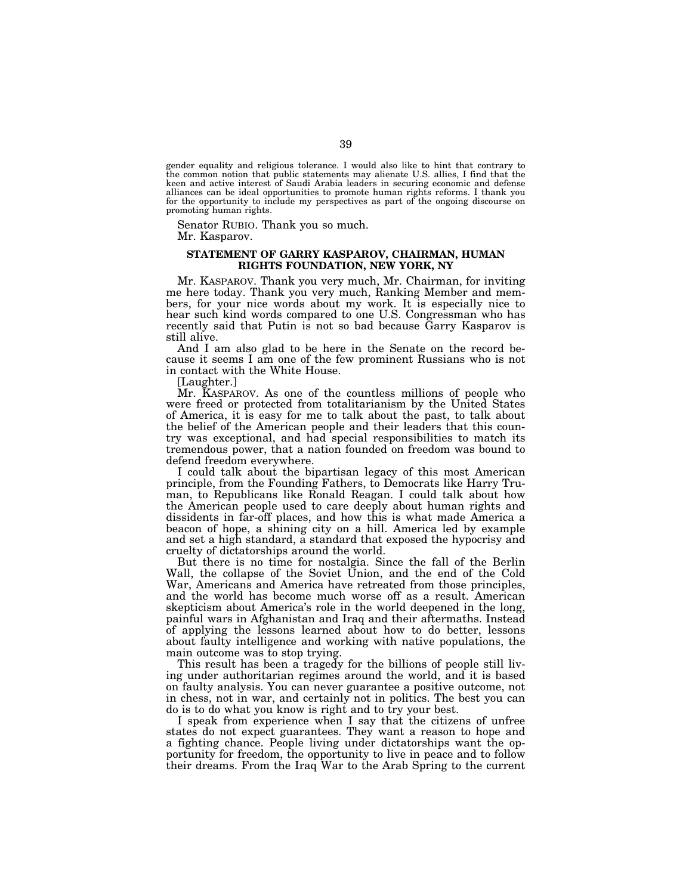gender equality and religious tolerance. I would also like to hint that contrary to the common notion that public statements may alienate U.S. allies, I find that the keen and active interest of Saudi Arabia leaders in securing economic and defense alliances can be ideal opportunities to promote human rights reforms. I thank you for the opportunity to include my perspectives as part of the ongoing discourse on promoting human rights.

Senator RUBIO. Thank you so much. Mr. Kasparov.

# **STATEMENT OF GARRY KASPAROV, CHAIRMAN, HUMAN RIGHTS FOUNDATION, NEW YORK, NY**

Mr. KASPAROV. Thank you very much, Mr. Chairman, for inviting me here today. Thank you very much, Ranking Member and members, for your nice words about my work. It is especially nice to hear such kind words compared to one U.S. Congressman who has recently said that Putin is not so bad because Garry Kasparov is still alive.

And I am also glad to be here in the Senate on the record because it seems I am one of the few prominent Russians who is not in contact with the White House.

[Laughter.]

Mr. KASPAROV. As one of the countless millions of people who were freed or protected from totalitarianism by the United States of America, it is easy for me to talk about the past, to talk about the belief of the American people and their leaders that this country was exceptional, and had special responsibilities to match its tremendous power, that a nation founded on freedom was bound to defend freedom everywhere.

I could talk about the bipartisan legacy of this most American principle, from the Founding Fathers, to Democrats like Harry Truman, to Republicans like Ronald Reagan. I could talk about how the American people used to care deeply about human rights and dissidents in far-off places, and how this is what made America a beacon of hope, a shining city on a hill. America led by example and set a high standard, a standard that exposed the hypocrisy and cruelty of dictatorships around the world.

But there is no time for nostalgia. Since the fall of the Berlin Wall, the collapse of the Soviet Union, and the end of the Cold War, Americans and America have retreated from those principles, and the world has become much worse off as a result. American skepticism about America's role in the world deepened in the long, painful wars in Afghanistan and Iraq and their aftermaths. Instead of applying the lessons learned about how to do better, lessons about faulty intelligence and working with native populations, the main outcome was to stop trying.

This result has been a tragedy for the billions of people still living under authoritarian regimes around the world, and it is based on faulty analysis. You can never guarantee a positive outcome, not in chess, not in war, and certainly not in politics. The best you can do is to do what you know is right and to try your best.

I speak from experience when I say that the citizens of unfree states do not expect guarantees. They want a reason to hope and a fighting chance. People living under dictatorships want the opportunity for freedom, the opportunity to live in peace and to follow their dreams. From the Iraq War to the Arab Spring to the current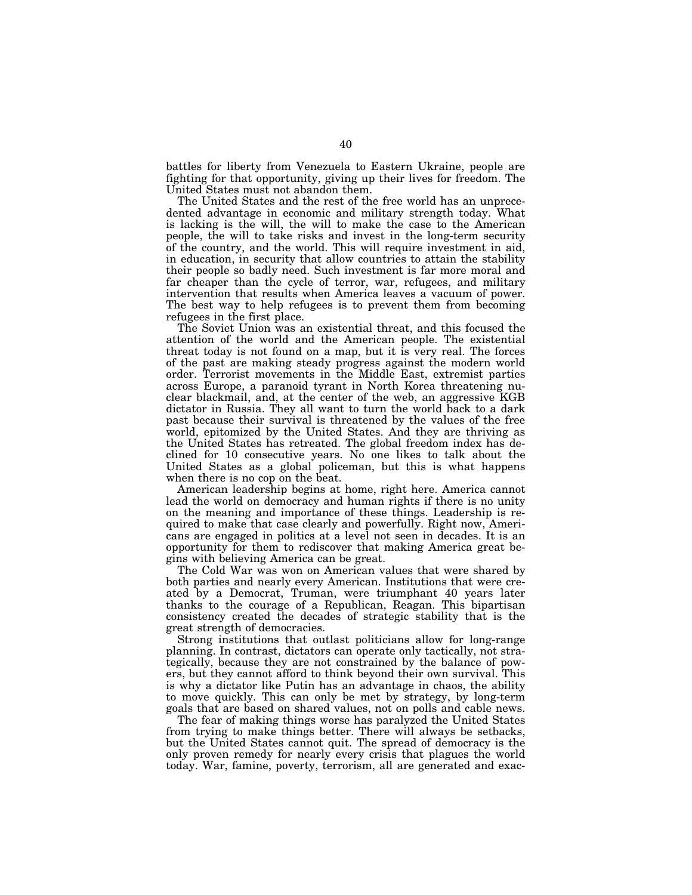battles for liberty from Venezuela to Eastern Ukraine, people are fighting for that opportunity, giving up their lives for freedom. The United States must not abandon them.

The United States and the rest of the free world has an unprecedented advantage in economic and military strength today. What is lacking is the will, the will to make the case to the American people, the will to take risks and invest in the long-term security of the country, and the world. This will require investment in aid, in education, in security that allow countries to attain the stability their people so badly need. Such investment is far more moral and far cheaper than the cycle of terror, war, refugees, and military intervention that results when America leaves a vacuum of power. The best way to help refugees is to prevent them from becoming refugees in the first place.

The Soviet Union was an existential threat, and this focused the attention of the world and the American people. The existential threat today is not found on a map, but it is very real. The forces of the past are making steady progress against the modern world order. Terrorist movements in the Middle East, extremist parties across Europe, a paranoid tyrant in North Korea threatening nuclear blackmail, and, at the center of the web, an aggressive KGB dictator in Russia. They all want to turn the world back to a dark past because their survival is threatened by the values of the free world, epitomized by the United States. And they are thriving as the United States has retreated. The global freedom index has declined for 10 consecutive years. No one likes to talk about the United States as a global policeman, but this is what happens when there is no cop on the beat.

American leadership begins at home, right here. America cannot lead the world on democracy and human rights if there is no unity on the meaning and importance of these things. Leadership is required to make that case clearly and powerfully. Right now, Americans are engaged in politics at a level not seen in decades. It is an opportunity for them to rediscover that making America great begins with believing America can be great.

The Cold War was won on American values that were shared by both parties and nearly every American. Institutions that were created by a Democrat, Truman, were triumphant 40 years later thanks to the courage of a Republican, Reagan. This bipartisan consistency created the decades of strategic stability that is the great strength of democracies.

Strong institutions that outlast politicians allow for long-range planning. In contrast, dictators can operate only tactically, not strategically, because they are not constrained by the balance of powers, but they cannot afford to think beyond their own survival. This is why a dictator like Putin has an advantage in chaos, the ability to move quickly. This can only be met by strategy, by long-term goals that are based on shared values, not on polls and cable news.

The fear of making things worse has paralyzed the United States from trying to make things better. There will always be setbacks, but the United States cannot quit. The spread of democracy is the only proven remedy for nearly every crisis that plagues the world today. War, famine, poverty, terrorism, all are generated and exac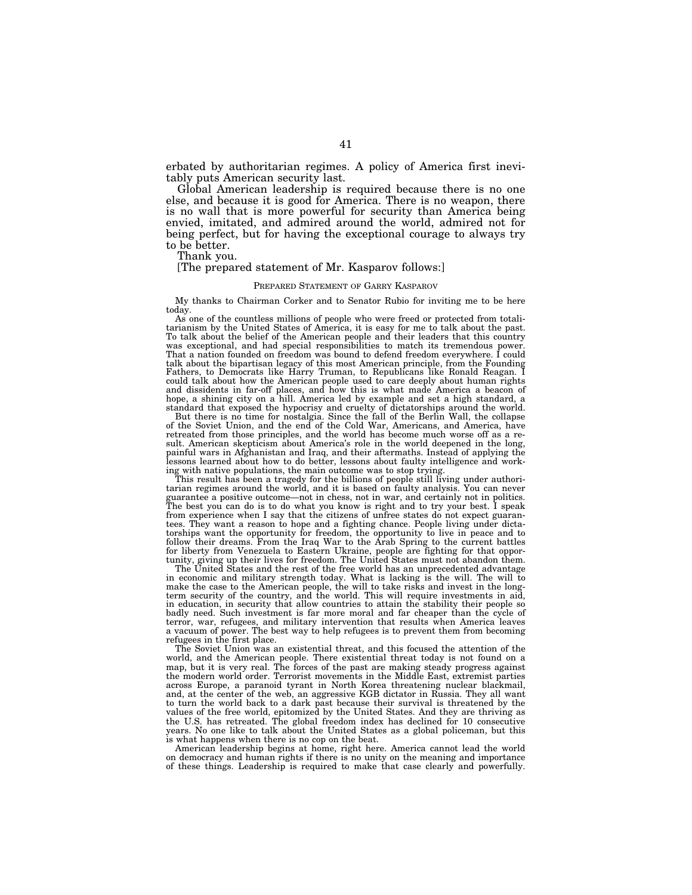erbated by authoritarian regimes. A policy of America first inevitably puts American security last.

Global American leadership is required because there is no one else, and because it is good for America. There is no weapon, there is no wall that is more powerful for security than America being envied, imitated, and admired around the world, admired not for being perfect, but for having the exceptional courage to always try to be better.

Thank you.

# [The prepared statement of Mr. Kasparov follows:]

#### PREPARED STATEMENT OF GARRY KASPAROV

My thanks to Chairman Corker and to Senator Rubio for inviting me to be here today.

As one of the countless millions of people who were freed or protected from totalitarianism by the United States of America, it is easy for me to talk about the past. To talk about the belief of the American people and their leaders that this country was exceptional, and had special responsibilities to match its tremendous power. That a nation founded on freedom was bound to defend freedom everywhere. I could talk about the bipartisan legacy of this most American principle, from the Founding Fathers, to Democrats like Harry Truman, to Republicans like Ronald Reagan. I could talk about how the American people used to care deeply about human rights and dissidents in far-off places, and how this is what made America a beacon of hope, a shining city on a hill. America led by example and set a high standard, a standard that exposed the hypocrisy and cruelty of dictatorships around the world.

But there is no time for nostalgia. Since the fall of the Berlin Wall, the collapse of the Soviet Union, and the end of the Cold War, Americans, and America, have retreated from those principles, and the world has become much worse off as a result. American skepticism about America's role in the world deepened in the long, painful wars in Afghanistan and Iraq, and their aftermaths. Instead of applying the lessons learned about how to do better, lessons about faulty intelligence and work-

ing with native populations, the main outcome was to stop trying. This result has been a tragedy for the billions of people still living under authoritarian regimes around the world, and it is based on faulty analysis. You can never guarantee a positive outcome—not in chess, not in war, and certainly not in politics. The best you can do is to do what you know is right and to try your best. I speak from experience when I say that the citizens of unfree states do not expect guarantees. They want a reason to hope and a fighting chance. People living under dictatorships want the opportunity for freedom, the opportunity to live in peace and to follow their dreams. From the Iraq War to the Arab Spring to the current battles for liberty from Venezuela to Eastern Ukraine, people are fighting for that opportunity, giving up their lives for freedom. The United States must not abandon them.

The United States and the rest of the free world has an unprecedented advantage in economic and military strength today. What is lacking is the will. The will to make the case to the American people, the will to take risks and invest in the long-term security of the country, and the world. This will require investments in aid, in education, in security that allow countries to attain the stability their people so badly need. Such investment is far more moral and far cheaper than the cycle of terror, war, refugees, and military intervention that results when America leaves a vacuum of power. The best way to help refugees is to prevent them from becoming refugees in the first place.

The Soviet Union was an existential threat, and this focused the attention of the world, and the American people. There existential threat today is not found on a map, but it is very real. The forces of the past are making steady progress against the modern world order. Terrorist movements in the Middle East, extremist parties across Europe, a paranoid tyrant in North Korea threatening nuclear blackmail, and, at the center of the web, an aggressive KGB dictator in Russia. They all want to turn the world back to a dark past because their survival is threatened by the values of the free world, epitomized by the United States. And they are thriving as the U.S. has retreated. The global freedom index has declined for 10 consecutive years. No one like to talk about the United States as a global policeman, but this is what happens when there is no cop on the beat.

American leadership begins at home, right here. America cannot lead the world on democracy and human rights if there is no unity on the meaning and importance of these things. Leadership is required to make that case clearly and powerfully.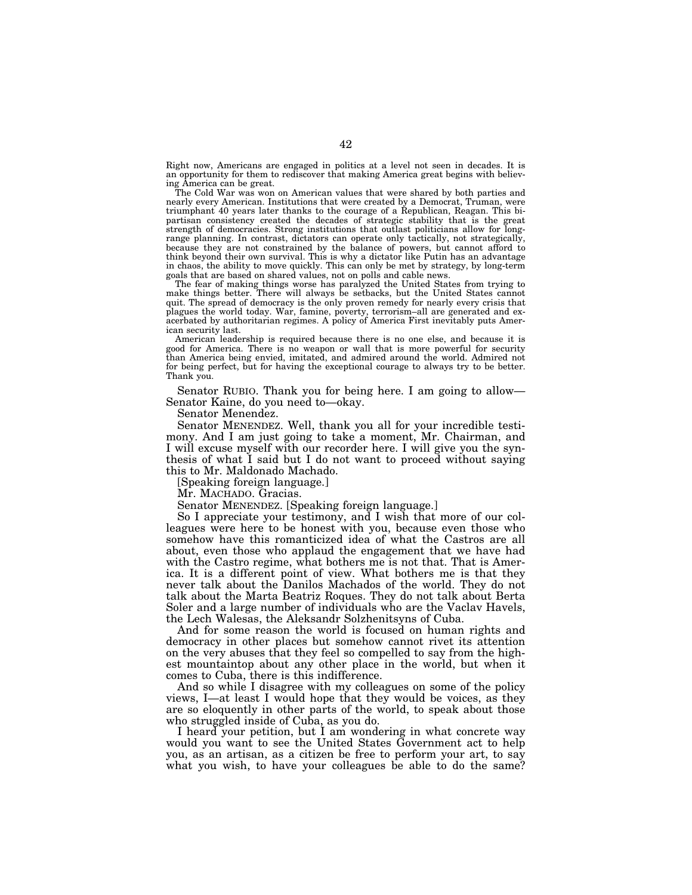Right now, Americans are engaged in politics at a level not seen in decades. It is an opportunity for them to rediscover that making America great begins with believing America can be great.

The Cold War was won on American values that were shared by both parties and nearly every American. Institutions that were created by a Democrat, Truman, were triumphant 40 years later thanks to the courage of a Republican, Reagan. This bipartisan consistency created the decades of strategic stability that is the great strength of democracies. Strong institutions that outlast politicians allow for longrange planning. In contrast, dictators can operate only tactically, not strategically, because they are not constrained by the balance of powers, but cannot afford to think beyond their own survival. This is why a dictator like Putin has an advantage in chaos, the ability to move quickly. This can only be met by strategy, by long-term goals that are based on shared values, not on polls and cable news.

The fear of making things worse has paralyzed the United States from trying to make things better. There will always be setbacks, but the United States cannot quit. The spread of democracy is the only proven remedy for nearly every crisis that plagues the world today. War, famine, poverty, terrorism–all are generated and exacerbated by authoritarian regimes. A policy of America First inevitably puts American security last.

American leadership is required because there is no one else, and because it is good for America. There is no weapon or wall that is more powerful for security than America being envied, imitated, and admired around the world. Admired not for being perfect, but for having the exceptional courage to always try to be better. Thank you.

Senator RUBIO. Thank you for being here. I am going to allow— Senator Kaine, do you need to—okay.

Senator Menendez.

Senator MENENDEZ. Well, thank you all for your incredible testimony. And I am just going to take a moment, Mr. Chairman, and I will excuse myself with our recorder here. I will give you the synthesis of what I said but I do not want to proceed without saying this to Mr. Maldonado Machado.

[Speaking foreign language.]

Mr. MACHADO. Gracias.

Senator MENENDEZ. [Speaking foreign language.]

So I appreciate your testimony, and I wish that more of our colleagues were here to be honest with you, because even those who somehow have this romanticized idea of what the Castros are all about, even those who applaud the engagement that we have had with the Castro regime, what bothers me is not that. That is America. It is a different point of view. What bothers me is that they never talk about the Danilos Machados of the world. They do not talk about the Marta Beatriz Roques. They do not talk about Berta Soler and a large number of individuals who are the Vaclav Havels, the Lech Walesas, the Aleksandr Solzhenitsyns of Cuba.

And for some reason the world is focused on human rights and democracy in other places but somehow cannot rivet its attention on the very abuses that they feel so compelled to say from the highest mountaintop about any other place in the world, but when it comes to Cuba, there is this indifference.

And so while I disagree with my colleagues on some of the policy views, I—at least I would hope that they would be voices, as they are so eloquently in other parts of the world, to speak about those who struggled inside of Cuba, as you do.

I heard your petition, but I am wondering in what concrete way would you want to see the United States Government act to help you, as an artisan, as a citizen be free to perform your art, to say what you wish, to have your colleagues be able to do the same?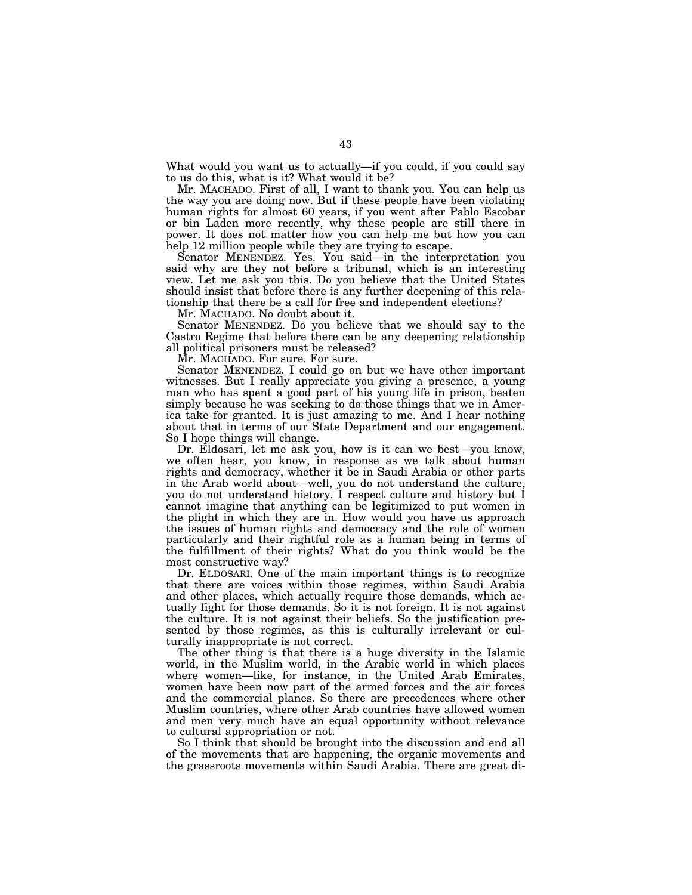What would you want us to actually—if you could, if you could say to us do this, what is it? What would it be?

Mr. MACHADO. First of all, I want to thank you. You can help us the way you are doing now. But if these people have been violating human rights for almost 60 years, if you went after Pablo Escobar or bin Laden more recently, why these people are still there in power. It does not matter how you can help me but how you can help 12 million people while they are trying to escape.

Senator MENENDEZ. Yes. You said—in the interpretation you said why are they not before a tribunal, which is an interesting view. Let me ask you this. Do you believe that the United States should insist that before there is any further deepening of this relationship that there be a call for free and independent elections?

Mr. MACHADO. No doubt about it.

Senator MENENDEZ. Do you believe that we should say to the Castro Regime that before there can be any deepening relationship all political prisoners must be released?

Mr. MACHADO. For sure. For sure.

Senator MENENDEZ. I could go on but we have other important witnesses. But I really appreciate you giving a presence, a young man who has spent a good part of his young life in prison, beaten simply because he was seeking to do those things that we in America take for granted. It is just amazing to me. And I hear nothing about that in terms of our State Department and our engagement. So I hope things will change.

Dr. Eldosari, let me ask you, how is it can we best—you know, we often hear, you know, in response as we talk about human rights and democracy, whether it be in Saudi Arabia or other parts in the Arab world about—well, you do not understand the culture, you do not understand history. I respect culture and history but I cannot imagine that anything can be legitimized to put women in the plight in which they are in. How would you have us approach the issues of human rights and democracy and the role of women particularly and their rightful role as a human being in terms of the fulfillment of their rights? What do you think would be the most constructive way?

Dr. ELDOSARI. One of the main important things is to recognize that there are voices within those regimes, within Saudi Arabia and other places, which actually require those demands, which actually fight for those demands. So it is not foreign. It is not against the culture. It is not against their beliefs. So the justification presented by those regimes, as this is culturally irrelevant or culturally inappropriate is not correct.

The other thing is that there is a huge diversity in the Islamic world, in the Muslim world, in the Arabic world in which places where women—like, for instance, in the United Arab Emirates, women have been now part of the armed forces and the air forces and the commercial planes. So there are precedences where other Muslim countries, where other Arab countries have allowed women and men very much have an equal opportunity without relevance to cultural appropriation or not.

So I think that should be brought into the discussion and end all of the movements that are happening, the organic movements and the grassroots movements within Saudi Arabia. There are great di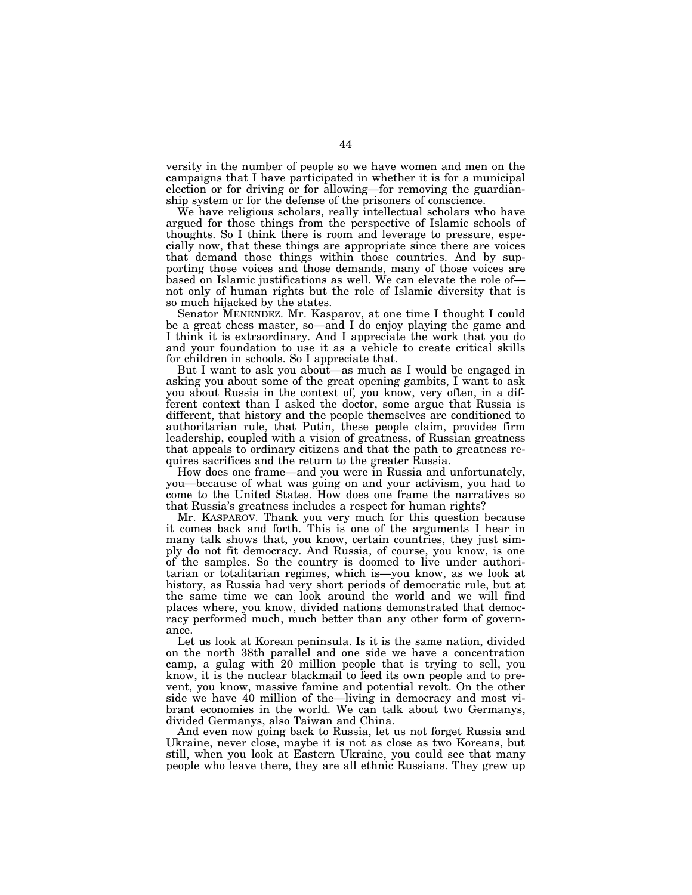versity in the number of people so we have women and men on the campaigns that I have participated in whether it is for a municipal election or for driving or for allowing—for removing the guardianship system or for the defense of the prisoners of conscience.

We have religious scholars, really intellectual scholars who have argued for those things from the perspective of Islamic schools of thoughts. So I think there is room and leverage to pressure, especially now, that these things are appropriate since there are voices that demand those things within those countries. And by supporting those voices and those demands, many of those voices are based on Islamic justifications as well. We can elevate the role of not only of human rights but the role of Islamic diversity that is so much hijacked by the states.

Senator MENENDEZ. Mr. Kasparov, at one time I thought I could be a great chess master, so—and I do enjoy playing the game and I think it is extraordinary. And I appreciate the work that you do and your foundation to use it as a vehicle to create critical skills for children in schools. So I appreciate that.

But I want to ask you about—as much as I would be engaged in asking you about some of the great opening gambits, I want to ask you about Russia in the context of, you know, very often, in a different context than I asked the doctor, some argue that Russia is different, that history and the people themselves are conditioned to authoritarian rule, that Putin, these people claim, provides firm leadership, coupled with a vision of greatness, of Russian greatness that appeals to ordinary citizens and that the path to greatness requires sacrifices and the return to the greater Russia.

How does one frame—and you were in Russia and unfortunately, you—because of what was going on and your activism, you had to come to the United States. How does one frame the narratives so that Russia's greatness includes a respect for human rights?

Mr. KASPAROV. Thank you very much for this question because it comes back and forth. This is one of the arguments I hear in many talk shows that, you know, certain countries, they just simply do not fit democracy. And Russia, of course, you know, is one of the samples. So the country is doomed to live under authoritarian or totalitarian regimes, which is—you know, as we look at history, as Russia had very short periods of democratic rule, but at the same time we can look around the world and we will find places where, you know, divided nations demonstrated that democracy performed much, much better than any other form of governance.

Let us look at Korean peninsula. Is it is the same nation, divided on the north 38th parallel and one side we have a concentration camp, a gulag with 20 million people that is trying to sell, you know, it is the nuclear blackmail to feed its own people and to prevent, you know, massive famine and potential revolt. On the other side we have 40 million of the—living in democracy and most vibrant economies in the world. We can talk about two Germanys, divided Germanys, also Taiwan and China.

And even now going back to Russia, let us not forget Russia and Ukraine, never close, maybe it is not as close as two Koreans, but still, when you look at Eastern Ukraine, you could see that many people who leave there, they are all ethnic Russians. They grew up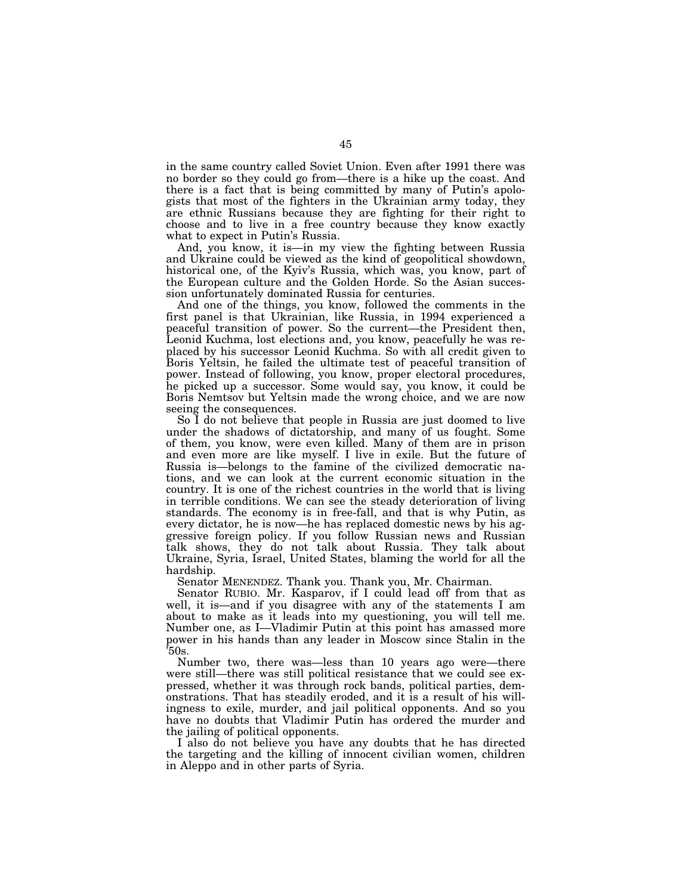in the same country called Soviet Union. Even after 1991 there was no border so they could go from—there is a hike up the coast. And there is a fact that is being committed by many of Putin's apologists that most of the fighters in the Ukrainian army today, they are ethnic Russians because they are fighting for their right to choose and to live in a free country because they know exactly what to expect in Putin's Russia.

And, you know, it is—in my view the fighting between Russia and Ukraine could be viewed as the kind of geopolitical showdown, historical one, of the Kyiv's Russia, which was, you know, part of the European culture and the Golden Horde. So the Asian succession unfortunately dominated Russia for centuries.

And one of the things, you know, followed the comments in the first panel is that Ukrainian, like Russia, in 1994 experienced a peaceful transition of power. So the current—the President then, Leonid Kuchma, lost elections and, you know, peacefully he was replaced by his successor Leonid Kuchma. So with all credit given to Boris Yeltsin, he failed the ultimate test of peaceful transition of power. Instead of following, you know, proper electoral procedures, he picked up a successor. Some would say, you know, it could be Boris Nemtsov but Yeltsin made the wrong choice, and we are now seeing the consequences.

So I do not believe that people in Russia are just doomed to live under the shadows of dictatorship, and many of us fought. Some of them, you know, were even killed. Many of them are in prison and even more are like myself. I live in exile. But the future of Russia is—belongs to the famine of the civilized democratic nations, and we can look at the current economic situation in the country. It is one of the richest countries in the world that is living in terrible conditions. We can see the steady deterioration of living standards. The economy is in free-fall, and that is why Putin, as every dictator, he is now—he has replaced domestic news by his aggressive foreign policy. If you follow Russian news and Russian talk shows, they do not talk about Russia. They talk about Ukraine, Syria, Israel, United States, blaming the world for all the hardship.

Senator MENENDEZ. Thank you. Thank you, Mr. Chairman.

Senator RUBIO. Mr. Kasparov, if I could lead off from that as well, it is—and if you disagree with any of the statements I am about to make as it leads into my questioning, you will tell me. Number one, as I—Vladimir Putin at this point has amassed more power in his hands than any leader in Moscow since Stalin in the  $50s$ .

Number two, there was—less than 10 years ago were—there were still—there was still political resistance that we could see expressed, whether it was through rock bands, political parties, demonstrations. That has steadily eroded, and it is a result of his willingness to exile, murder, and jail political opponents. And so you have no doubts that Vladimir Putin has ordered the murder and the jailing of political opponents.

I also do not believe you have any doubts that he has directed the targeting and the killing of innocent civilian women, children in Aleppo and in other parts of Syria.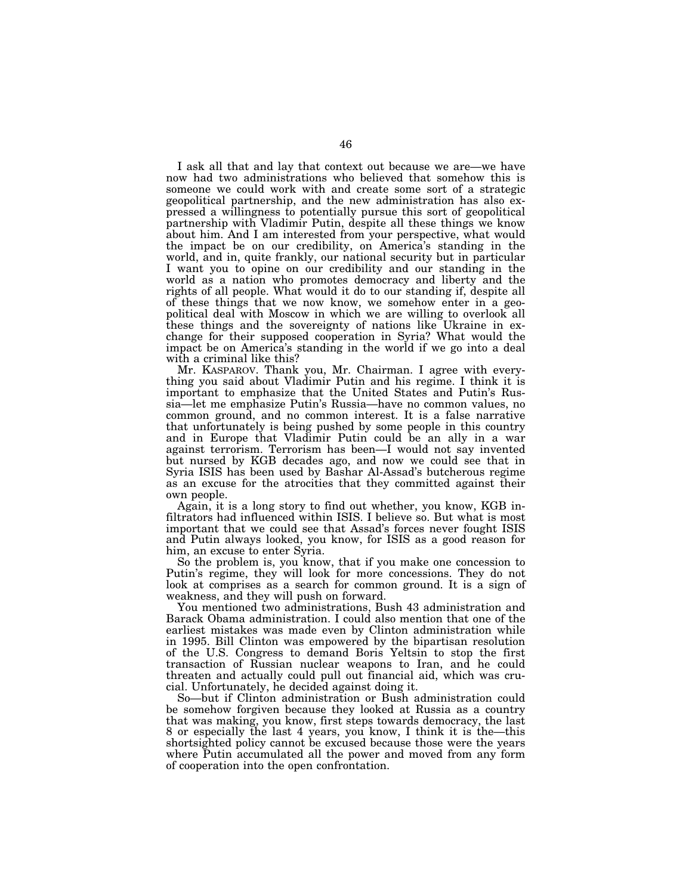I ask all that and lay that context out because we are—we have now had two administrations who believed that somehow this is someone we could work with and create some sort of a strategic geopolitical partnership, and the new administration has also expressed a willingness to potentially pursue this sort of geopolitical partnership with Vladimir Putin, despite all these things we know about him. And I am interested from your perspective, what would the impact be on our credibility, on America's standing in the world, and in, quite frankly, our national security but in particular I want you to opine on our credibility and our standing in the world as a nation who promotes democracy and liberty and the rights of all people. What would it do to our standing if, despite all of these things that we now know, we somehow enter in a geopolitical deal with Moscow in which we are willing to overlook all these things and the sovereignty of nations like Ukraine in exchange for their supposed cooperation in Syria? What would the impact be on America's standing in the world if we go into a deal with a criminal like this?

Mr. KASPAROV. Thank you, Mr. Chairman. I agree with everything you said about Vladimir Putin and his regime. I think it is important to emphasize that the United States and Putin's Russia—let me emphasize Putin's Russia—have no common values, no common ground, and no common interest. It is a false narrative that unfortunately is being pushed by some people in this country and in Europe that Vladimir Putin could be an ally in a war against terrorism. Terrorism has been—I would not say invented but nursed by KGB decades ago, and now we could see that in Syria ISIS has been used by Bashar Al-Assad's butcherous regime as an excuse for the atrocities that they committed against their own people.

Again, it is a long story to find out whether, you know, KGB infiltrators had influenced within ISIS. I believe so. But what is most important that we could see that Assad's forces never fought ISIS and Putin always looked, you know, for ISIS as a good reason for him, an excuse to enter Syria.

So the problem is, you know, that if you make one concession to Putin's regime, they will look for more concessions. They do not look at comprises as a search for common ground. It is a sign of weakness, and they will push on forward.

You mentioned two administrations, Bush 43 administration and Barack Obama administration. I could also mention that one of the earliest mistakes was made even by Clinton administration while in 1995. Bill Clinton was empowered by the bipartisan resolution of the U.S. Congress to demand Boris Yeltsin to stop the first transaction of Russian nuclear weapons to Iran, and he could threaten and actually could pull out financial aid, which was crucial. Unfortunately, he decided against doing it.

So—but if Clinton administration or Bush administration could be somehow forgiven because they looked at Russia as a country that was making, you know, first steps towards democracy, the last 8 or especially the last 4 years, you know, I think it is the—this shortsighted policy cannot be excused because those were the years where Putin accumulated all the power and moved from any form of cooperation into the open confrontation.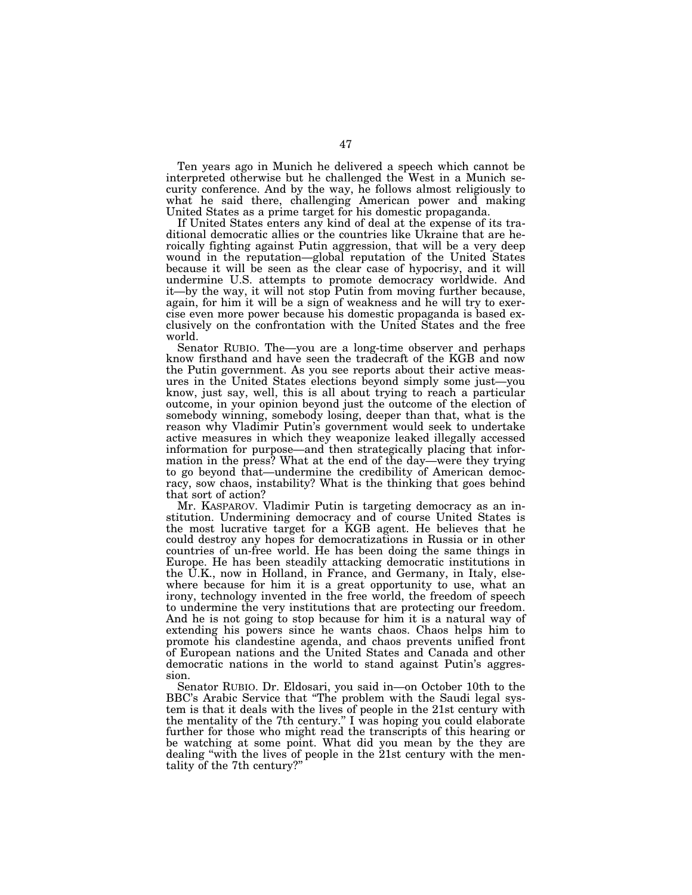Ten years ago in Munich he delivered a speech which cannot be interpreted otherwise but he challenged the West in a Munich security conference. And by the way, he follows almost religiously to what he said there, challenging American power and making United States as a prime target for his domestic propaganda.

If United States enters any kind of deal at the expense of its traditional democratic allies or the countries like Ukraine that are heroically fighting against Putin aggression, that will be a very deep wound in the reputation—global reputation of the United States because it will be seen as the clear case of hypocrisy, and it will undermine U.S. attempts to promote democracy worldwide. And it—by the way, it will not stop Putin from moving further because, again, for him it will be a sign of weakness and he will try to exercise even more power because his domestic propaganda is based exclusively on the confrontation with the United States and the free world.

Senator RUBIO. The—you are a long-time observer and perhaps know firsthand and have seen the tradecraft of the KGB and now the Putin government. As you see reports about their active measures in the United States elections beyond simply some just—you know, just say, well, this is all about trying to reach a particular outcome, in your opinion beyond just the outcome of the election of somebody winning, somebody losing, deeper than that, what is the reason why Vladimir Putin's government would seek to undertake active measures in which they weaponize leaked illegally accessed information for purpose—and then strategically placing that information in the press? What at the end of the day—were they trying to go beyond that—undermine the credibility of American democracy, sow chaos, instability? What is the thinking that goes behind that sort of action?

Mr. KASPAROV. Vladimir Putin is targeting democracy as an institution. Undermining democracy and of course United States is the most lucrative target for a KGB agent. He believes that he could destroy any hopes for democratizations in Russia or in other countries of un-free world. He has been doing the same things in Europe. He has been steadily attacking democratic institutions in the U.K., now in Holland, in France, and Germany, in Italy, elsewhere because for him it is a great opportunity to use, what an irony, technology invented in the free world, the freedom of speech to undermine the very institutions that are protecting our freedom. And he is not going to stop because for him it is a natural way of extending his powers since he wants chaos. Chaos helps him to promote his clandestine agenda, and chaos prevents unified front of European nations and the United States and Canada and other democratic nations in the world to stand against Putin's aggression.

Senator RUBIO. Dr. Eldosari, you said in—on October 10th to the BBC's Arabic Service that ''The problem with the Saudi legal system is that it deals with the lives of people in the 21st century with the mentality of the 7th century.'' I was hoping you could elaborate further for those who might read the transcripts of this hearing or be watching at some point. What did you mean by the they are dealing ''with the lives of people in the 21st century with the mentality of the 7th century?''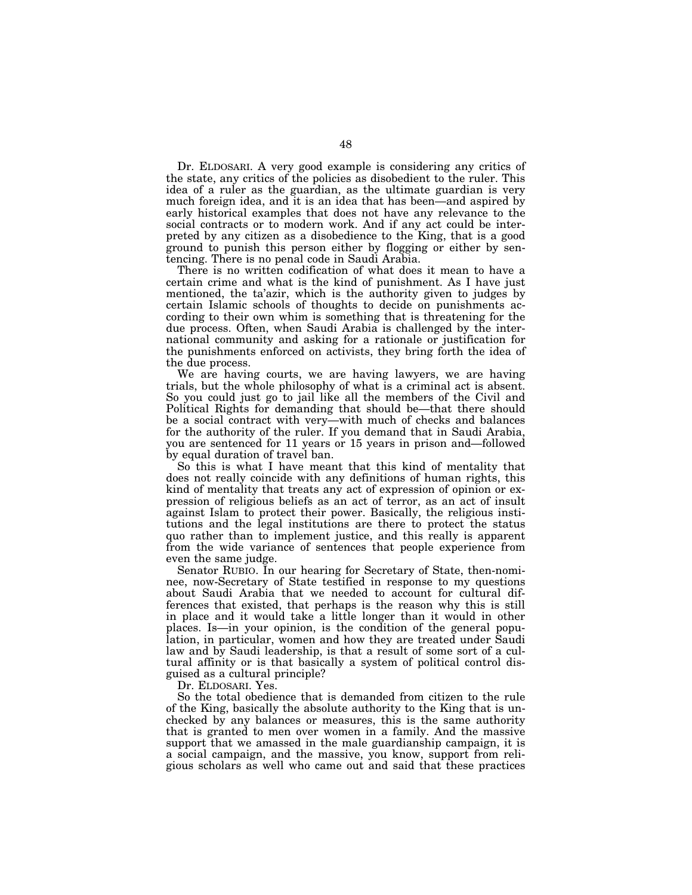Dr. ELDOSARI. A very good example is considering any critics of the state, any critics of the policies as disobedient to the ruler. This idea of a ruler as the guardian, as the ultimate guardian is very much foreign idea, and it is an idea that has been—and aspired by early historical examples that does not have any relevance to the social contracts or to modern work. And if any act could be interpreted by any citizen as a disobedience to the King, that is a good ground to punish this person either by flogging or either by sentencing. There is no penal code in Saudi Arabia.

There is no written codification of what does it mean to have a certain crime and what is the kind of punishment. As I have just mentioned, the ta'azir, which is the authority given to judges by certain Islamic schools of thoughts to decide on punishments according to their own whim is something that is threatening for the due process. Often, when Saudi Arabia is challenged by the international community and asking for a rationale or justification for the punishments enforced on activists, they bring forth the idea of the due process.

We are having courts, we are having lawyers, we are having trials, but the whole philosophy of what is a criminal act is absent. So you could just go to jail like all the members of the Civil and Political Rights for demanding that should be—that there should be a social contract with very—with much of checks and balances for the authority of the ruler. If you demand that in Saudi Arabia, you are sentenced for 11 years or 15 years in prison and—followed by equal duration of travel ban.

So this is what I have meant that this kind of mentality that does not really coincide with any definitions of human rights, this kind of mentality that treats any act of expression of opinion or expression of religious beliefs as an act of terror, as an act of insult against Islam to protect their power. Basically, the religious institutions and the legal institutions are there to protect the status quo rather than to implement justice, and this really is apparent from the wide variance of sentences that people experience from even the same judge.

Senator RUBIO. In our hearing for Secretary of State, then-nominee, now-Secretary of State testified in response to my questions about Saudi Arabia that we needed to account for cultural differences that existed, that perhaps is the reason why this is still in place and it would take a little longer than it would in other places. Is—in your opinion, is the condition of the general population, in particular, women and how they are treated under Saudi law and by Saudi leadership, is that a result of some sort of a cultural affinity or is that basically a system of political control disguised as a cultural principle?

Dr. ELDOSARI. Yes.

So the total obedience that is demanded from citizen to the rule of the King, basically the absolute authority to the King that is unchecked by any balances or measures, this is the same authority that is granted to men over women in a family. And the massive support that we amassed in the male guardianship campaign, it is a social campaign, and the massive, you know, support from religious scholars as well who came out and said that these practices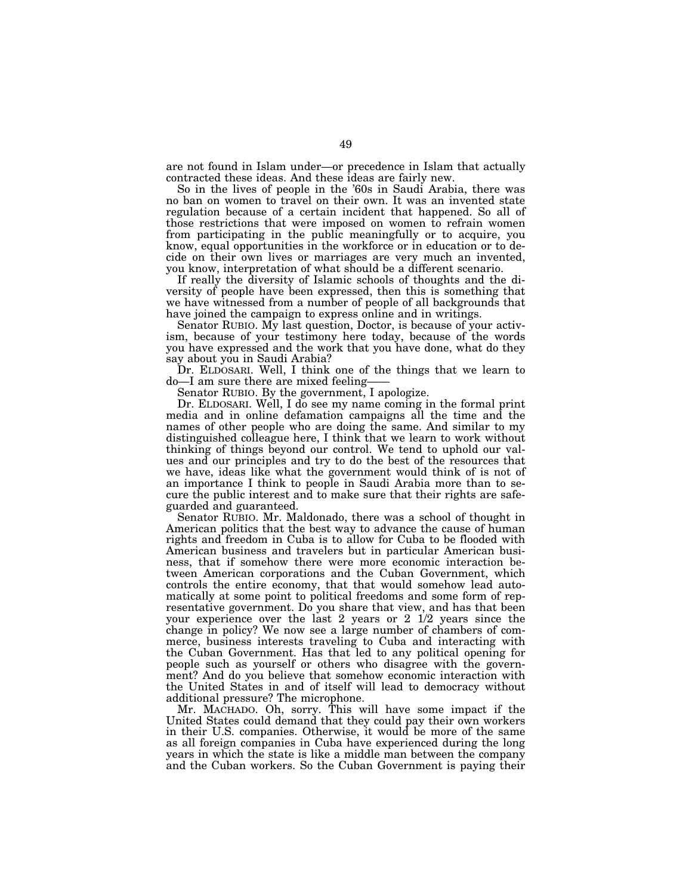are not found in Islam under—or precedence in Islam that actually contracted these ideas. And these ideas are fairly new.

So in the lives of people in the '60s in Saudi Arabia, there was no ban on women to travel on their own. It was an invented state regulation because of a certain incident that happened. So all of those restrictions that were imposed on women to refrain women from participating in the public meaningfully or to acquire, you know, equal opportunities in the workforce or in education or to decide on their own lives or marriages are very much an invented, you know, interpretation of what should be a different scenario.

If really the diversity of Islamic schools of thoughts and the diversity of people have been expressed, then this is something that we have witnessed from a number of people of all backgrounds that have joined the campaign to express online and in writings.

Senator RUBIO. My last question, Doctor, is because of your activism, because of your testimony here today, because of the words you have expressed and the work that you have done, what do they say about you in Saudi Arabia?

Dr. ELDOSARI. Well, I think one of the things that we learn to do—I am sure there are mixed feeling-

Senator RUBIO. By the government, I apologize.

Dr. ELDOSARI. Well, I do see my name coming in the formal print media and in online defamation campaigns all the time and the names of other people who are doing the same. And similar to my distinguished colleague here, I think that we learn to work without thinking of things beyond our control. We tend to uphold our values and our principles and try to do the best of the resources that we have, ideas like what the government would think of is not of an importance I think to people in Saudi Arabia more than to secure the public interest and to make sure that their rights are safeguarded and guaranteed.

Senator RUBIO. Mr. Maldonado, there was a school of thought in American politics that the best way to advance the cause of human rights and freedom in Cuba is to allow for Cuba to be flooded with American business and travelers but in particular American business, that if somehow there were more economic interaction between American corporations and the Cuban Government, which controls the entire economy, that that would somehow lead automatically at some point to political freedoms and some form of representative government. Do you share that view, and has that been your experience over the last 2 years or 2 1/2 years since the change in policy? We now see a large number of chambers of commerce, business interests traveling to Cuba and interacting with the Cuban Government. Has that led to any political opening for people such as yourself or others who disagree with the government? And do you believe that somehow economic interaction with the United States in and of itself will lead to democracy without additional pressure? The microphone.

Mr. MACHADO. Oh, sorry. This will have some impact if the United States could demand that they could pay their own workers in their U.S. companies. Otherwise, it would be more of the same as all foreign companies in Cuba have experienced during the long years in which the state is like a middle man between the company and the Cuban workers. So the Cuban Government is paying their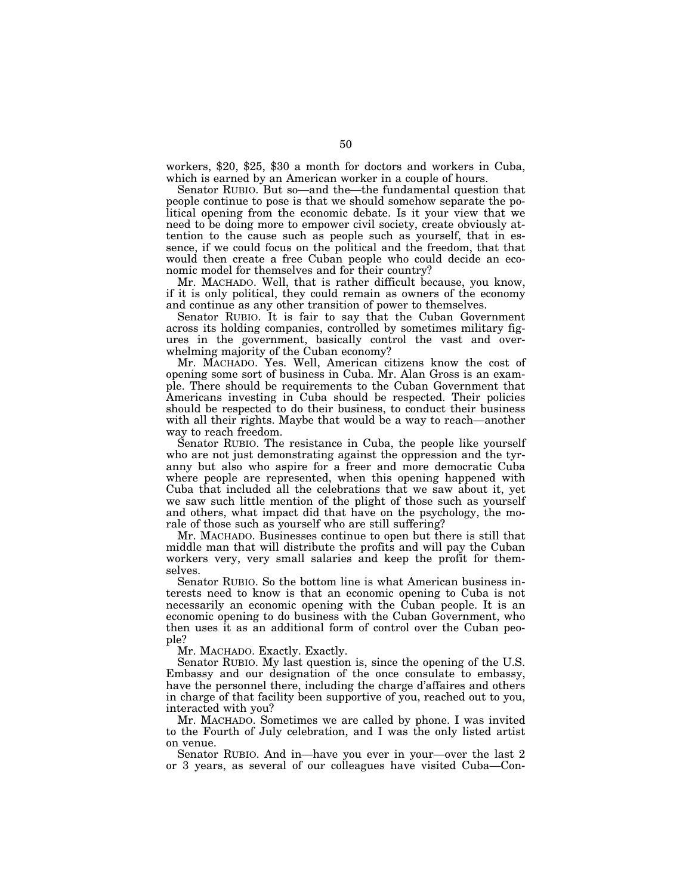workers, \$20, \$25, \$30 a month for doctors and workers in Cuba, which is earned by an American worker in a couple of hours.

Senator RUBIO. But so—and the—the fundamental question that people continue to pose is that we should somehow separate the political opening from the economic debate. Is it your view that we need to be doing more to empower civil society, create obviously attention to the cause such as people such as yourself, that in essence, if we could focus on the political and the freedom, that that would then create a free Cuban people who could decide an economic model for themselves and for their country?

Mr. MACHADO. Well, that is rather difficult because, you know, if it is only political, they could remain as owners of the economy and continue as any other transition of power to themselves.

Senator RUBIO. It is fair to say that the Cuban Government across its holding companies, controlled by sometimes military figures in the government, basically control the vast and overwhelming majority of the Cuban economy?

Mr. MACHADO. Yes. Well, American citizens know the cost of opening some sort of business in Cuba. Mr. Alan Gross is an example. There should be requirements to the Cuban Government that Americans investing in Cuba should be respected. Their policies should be respected to do their business, to conduct their business with all their rights. Maybe that would be a way to reach—another way to reach freedom.

Senator RUBIO. The resistance in Cuba, the people like yourself who are not just demonstrating against the oppression and the tyranny but also who aspire for a freer and more democratic Cuba where people are represented, when this opening happened with Cuba that included all the celebrations that we saw about it, yet we saw such little mention of the plight of those such as yourself and others, what impact did that have on the psychology, the morale of those such as yourself who are still suffering?

Mr. MACHADO. Businesses continue to open but there is still that middle man that will distribute the profits and will pay the Cuban workers very, very small salaries and keep the profit for themselves.

Senator RUBIO. So the bottom line is what American business interests need to know is that an economic opening to Cuba is not necessarily an economic opening with the Cuban people. It is an economic opening to do business with the Cuban Government, who then uses it as an additional form of control over the Cuban people?

Mr. MACHADO. Exactly. Exactly.

Senator RUBIO. My last question is, since the opening of the U.S. Embassy and our designation of the once consulate to embassy, have the personnel there, including the charge d'affaires and others in charge of that facility been supportive of you, reached out to you, interacted with you?

Mr. MACHADO. Sometimes we are called by phone. I was invited to the Fourth of July celebration, and I was the only listed artist on venue.

Senator RUBIO. And in—have you ever in your—over the last 2 or 3 years, as several of our colleagues have visited Cuba—Con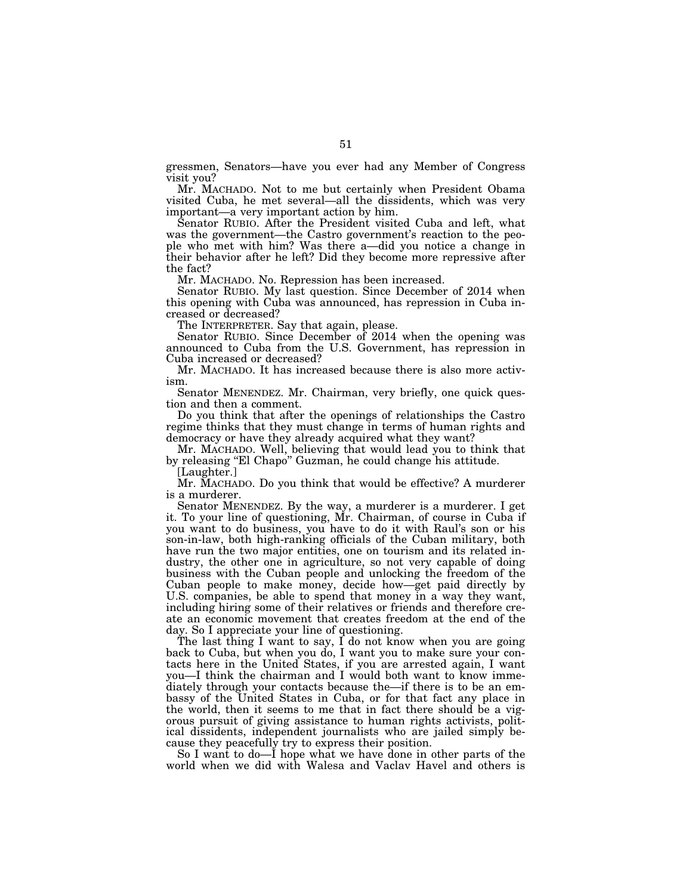gressmen, Senators—have you ever had any Member of Congress visit you?

Mr. MACHADO. Not to me but certainly when President Obama visited Cuba, he met several—all the dissidents, which was very important—a very important action by him.

Senator RUBIO. After the President visited Cuba and left, what was the government—the Castro government's reaction to the people who met with him? Was there a—did you notice a change in their behavior after he left? Did they become more repressive after the fact?

Mr. MACHADO. No. Repression has been increased.

Senator RUBIO. My last question. Since December of 2014 when this opening with Cuba was announced, has repression in Cuba increased or decreased?

The INTERPRETER. Say that again, please.

Senator RUBIO. Since December of 2014 when the opening was announced to Cuba from the U.S. Government, has repression in Cuba increased or decreased?

Mr. MACHADO. It has increased because there is also more activism.

Senator MENENDEZ. Mr. Chairman, very briefly, one quick question and then a comment.

Do you think that after the openings of relationships the Castro regime thinks that they must change in terms of human rights and democracy or have they already acquired what they want?

Mr. MACHADO. Well, believing that would lead you to think that by releasing ''El Chapo'' Guzman, he could change his attitude.

[Laughter.]

Mr. MACHADO. Do you think that would be effective? A murderer is a murderer.

Senator MENENDEZ. By the way, a murderer is a murderer. I get it. To your line of questioning, Mr. Chairman, of course in Cuba if you want to do business, you have to do it with Raul's son or his son-in-law, both high-ranking officials of the Cuban military, both have run the two major entities, one on tourism and its related industry, the other one in agriculture, so not very capable of doing business with the Cuban people and unlocking the freedom of the Cuban people to make money, decide how—get paid directly by U.S. companies, be able to spend that money in a way they want, including hiring some of their relatives or friends and therefore create an economic movement that creates freedom at the end of the day. So I appreciate your line of questioning.

The last thing I want to say, I do not know when you are going back to Cuba, but when you do, I want you to make sure your contacts here in the United States, if you are arrested again, I want you—I think the chairman and I would both want to know immediately through your contacts because the—if there is to be an embassy of the United States in Cuba, or for that fact any place in the world, then it seems to me that in fact there should be a vigorous pursuit of giving assistance to human rights activists, political dissidents, independent journalists who are jailed simply because they peacefully try to express their position.

So I want to do—I hope what we have done in other parts of the world when we did with Walesa and Vaclav Havel and others is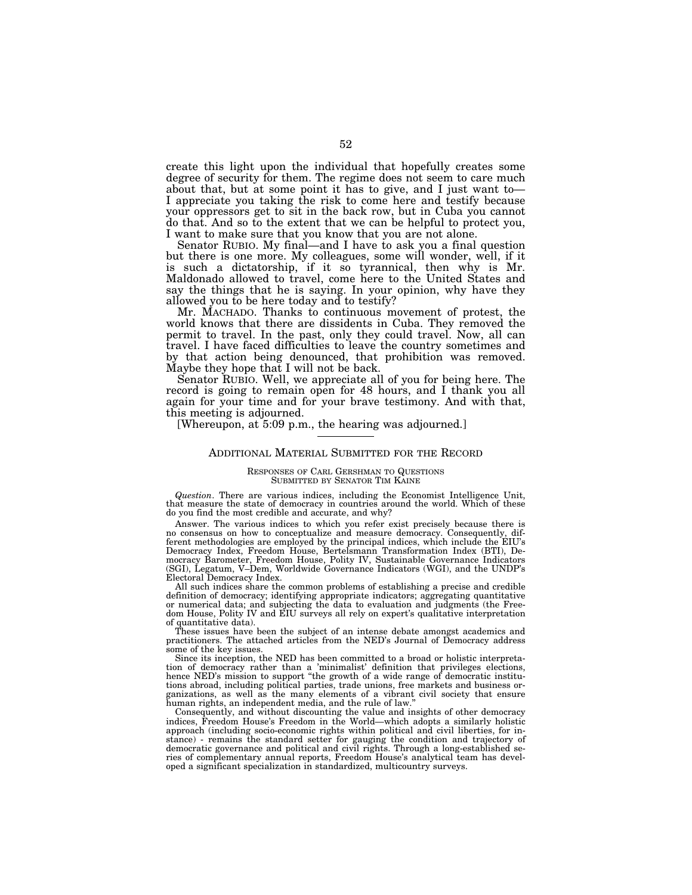create this light upon the individual that hopefully creates some degree of security for them. The regime does not seem to care much about that, but at some point it has to give, and I just want to— I appreciate you taking the risk to come here and testify because your oppressors get to sit in the back row, but in Cuba you cannot do that. And so to the extent that we can be helpful to protect you, I want to make sure that you know that you are not alone.

Senator RUBIO. My final—and I have to ask you a final question but there is one more. My colleagues, some will wonder, well, if it is such a dictatorship, if it so tyrannical, then why is Mr. Maldonado allowed to travel, come here to the United States and say the things that he is saying. In your opinion, why have they allowed you to be here today and to testify?

Mr. MACHADO. Thanks to continuous movement of protest, the world knows that there are dissidents in Cuba. They removed the permit to travel. In the past, only they could travel. Now, all can travel. I have faced difficulties to leave the country sometimes and by that action being denounced, that prohibition was removed. Maybe they hope that I will not be back.

Senator RUBIO. Well, we appreciate all of you for being here. The record is going to remain open for 48 hours, and I thank you all again for your time and for your brave testimony. And with that, this meeting is adjourned.

[Whereupon, at 5:09 p.m., the hearing was adjourned.]

### ADDITIONAL MATERIAL SUBMITTED FOR THE RECORD

#### RESPONSES OF CARL GERSHMAN TO QUESTIONS SUBMITTED BY SENATOR TIM KAINE

*Question*. There are various indices, including the Economist Intelligence Unit, that measure the state of democracy in countries around the world. Which of these do you find the most credible and accurate, and why?

Answer. The various indices to which you refer exist precisely because there is no consensus on how to conceptualize and measure democracy. Consequently, different methodologies are employed by the principal indices, which include the EIU's Democracy Index, Freedom House, Bertelsmann Transformation Index (BTI), Democracy Barometer, Freedom House, Polity IV, Sustainable Governance Indicators (SGI), Legatum, V–Dem, Worldwide Governance Indicators (WGI), and the UNDP's Electoral Democracy Index.

All such indices share the common problems of establishing a precise and credible definition of democracy; identifying appropriate indicators; aggregating quantitative or numerical data; and subjecting the data to evaluation and judgments (the Freedom House, Polity IV and EIU surveys all rely on expert's qualitative interpretation of quantitative data).

These issues have been the subject of an intense debate amongst academics and practitioners. The attached articles from the NED's Journal of Democracy address some of the key issues.

Since its inception, the NED has been committed to a broad or holistic interpretation of democracy rather than a 'minimalist' definition that privileges elections, hence NED's mission to support "the growth of a wide range of democratic institutions abroad, including political parties, trade unions, free markets and business organizations, as well as the many elements of a vibrant civil society that ensure human rights, an independent media, and the rule of law.''

Consequently, and without discounting the value and insights of other democracy indices, Freedom House's Freedom in the World—which adopts a similarly holistic approach (including socio-economic rights within political and civil liberties, for instance) - remains the standard setter for gauging the condition and trajectory of democratic governance and political and civil rights. Through a long-established series of complementary annual reports, Freedom House's analytical team has developed a significant specialization in standardized, multicountry surveys.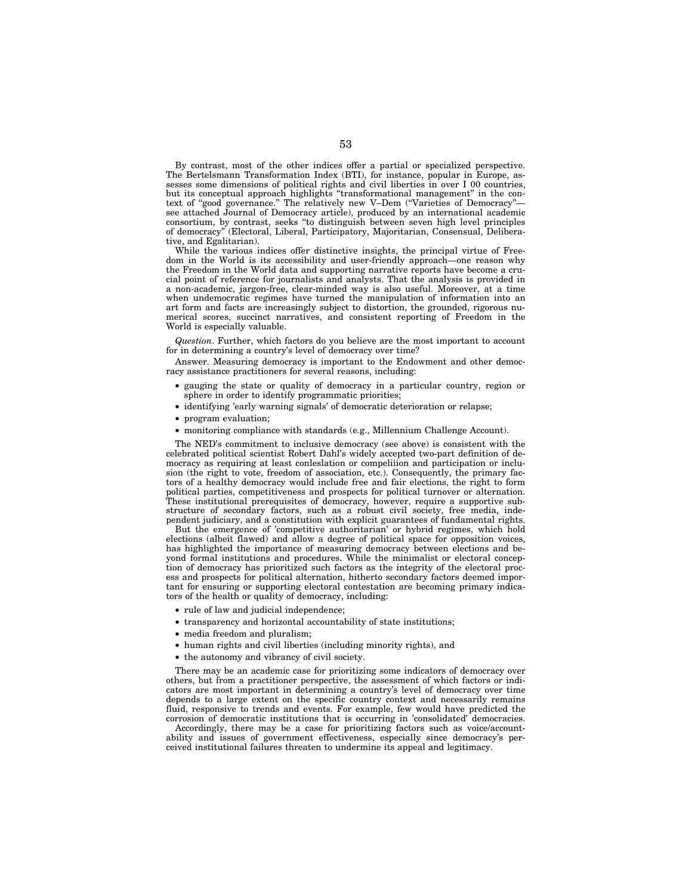By contrast, most of the other indices offer a partial or specialized perspective. The Bertelsmann Transformation Index (BTI), for instance, popular in Europe, assesses some dimensions of political rights and civil liberties in over I 00 countries, but its conceptual approach highlights "transformational management" in the context of "good governance." The relatively new V–Dem ("Varieties of Democracy"see attached Journal of Democracy article), produced by an international academic consortium, by contrast, seeks ''to distinguish between seven high level principles of democracy'' (Electoral, Liberal, Participatory, Majoritarian, Consensual, Deliberative, and Egalitarian).

While the various indices offer distinctive insights, the principal virtue of Freedom in the World is its accessibility and user-friendly approach—one reason why the Freedom in the World data and supporting narrative reports have become a crucial point of reference for journalists and analysts. That the analysis is provided in a non-academic, jargon-free, clear-minded way is also useful. Moreover, at a time when undemocratic regimes have turned the manipulation of information into an art form and facts are increasingly subject to distortion, the grounded, rigorous numerical scores, succinct narratives, and consistent reporting of Freedom in the World is especially valuable.

*Question*. Further, which factors do you believe are the most important to account for in determining a country's level of democracy over time?

Answer. Measuring democracy is important to the Endowment and other democracy assistance practitioners for several reasons, including:

- gauging the state or quality of democracy in a particular country, region or sphere in order to identify programmatic priorities;
- identifying 'early warning signals' of democratic deterioration or relapse;
- program evaluation;
- monitoring compliance with standards (e.g., Millennium Challenge Account).

The NED's commitment to inclusive democracy (see above) is consistent with the celebrated political scientist Robert Dahl's widely accepted two-part definition of democracy as requiring at least conleslation or compeliiion and participation or inclusion (the right to vote, freedom of association, etc.). Consequently, the primary factors of a healthy democracy would include free and fair elections, the right to form political parties, competitiveness and prospects for political turnover or alternation. These institutional prerequisites of democracy, however, require a supportive substructure of secondary factors, such as a robust civil society, free media, independent judiciary, and a constitution with explicit guarantees of fundamental rights.

But the emergence of 'competitive authoritarian' or hybrid regimes, which hold elections (albeit flawed) and allow a degree of political space for opposition voices, has highlighted the importance of measuring democracy between elections and beyond formal institutions and procedures. While the minimalist or electoral conception of democracy has prioritized such factors as the integrity of the electoral process and prospects for political alternation, hitherto secondary factors deemed important for ensuring or supporting electoral contestation are becoming primary indicators of the health or quality of democracy, including:

- rule of law and judicial independence;
- transparency and horizontal accountability of state institutions;
- media freedom and pluralism;
- human rights and civil liberties (including minority rights), and
- the autonomy and vibrancy of civil society.

There may be an academic case for prioritizing some indicators of democracy over others, but from a practitioner perspective, the assessment of which factors or indicators are most important in determining a country's level of democracy over time depends to a large extent on the specific country context and necessarily remains fluid, responsive to trends and events. For example, few would have predicted the corrosion of democratic institutions that is occurring in 'consolidated' democracies.

Accordingly, there may be a case for prioritizing factors such as voice/accountability and issues of government effectiveness, especially since democracy's perceived institutional failures threaten to undermine its appeal and legitimacy.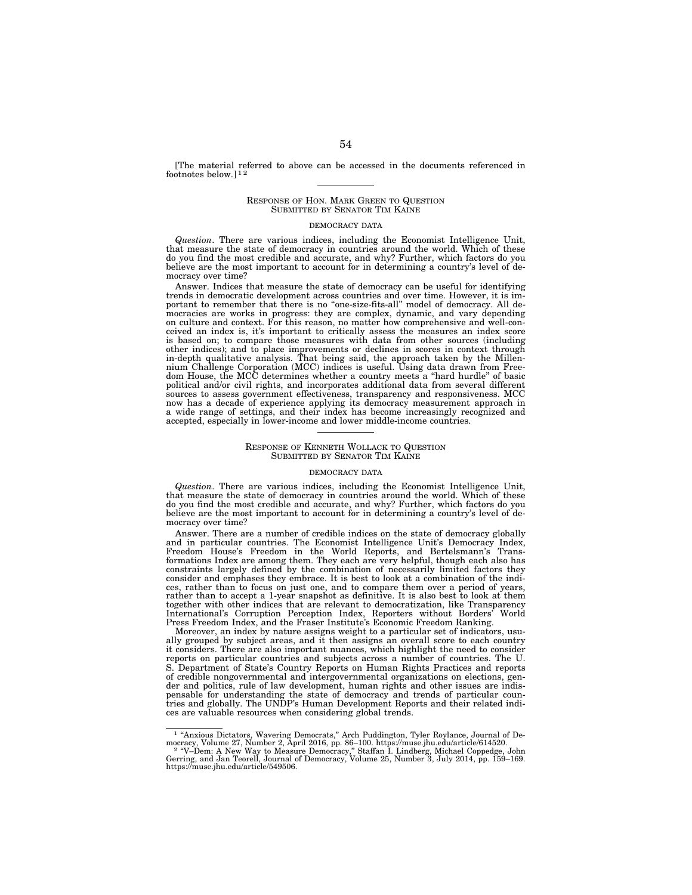[The material referred to above can be accessed in the documents referenced in footnotes below.]<sup>12</sup>

#### RESPONSE OF HON. MARK GREEN TO QUESTION SUBMITTED BY SENATOR TIM KAINE

#### DEMOCRACY DATA

*Question*. There are various indices, including the Economist Intelligence Unit, that measure the state of democracy in countries around the world. Which of these do you find the most credible and accurate, and why? Further, which factors do you believe are the most important to account for in determining a country's level of democracy over time?

Answer. Indices that measure the state of democracy can be useful for identifying trends in democratic development across countries and over time. However, it is im-portant to remember that there is no ''one-size-fits-all'' model of democracy. All democracies are works in progress: they are complex, dynamic, and vary depending on culture and context. For this reason, no matter how comprehensive and well-conceived an index is, it's important to critically assess the measures an index score is based on; to compare those measures with data from other sources (including other indices); and to place improvements or declines in scores in context through<br>in-depth qualitative analysis. That being said, the approach taken by the Millen-<br>nium Challenge Corporation (MCC) indices is useful. Using political and/or civil rights, and incorporates additional data from several different sources to assess government effectiveness, transparency and responsiveness. MCC now has a decade of experience applying its democracy measurement approach in a wide range of settings, and their index has become increasingly recognized and accepted, especially in lower-income and lower middle-income countries.

#### RESPONSE OF KENNETH WOLLACK TO QUESTION SUBMITTED BY SENATOR TIM KAINE

#### DEMOCRACY DATA

*Question*. There are various indices, including the Economist Intelligence Unit, that measure the state of democracy in countries around the world. Which of these do you find the most credible and accurate, and why? Further, which factors do you believe are the most important to account for in determining a country's level of democracy over time?

Answer. There are a number of credible indices on the state of democracy globally and in particular countries. The Economist Intelligence Unit's Democracy Index, Freedom House's Freedom in the World Reports, and Bertelsmann's Transformations Index are among them. They each are very helpful, though each also has constraints largely defined by the combination of necessarily limited factors they consider and emphases they embrace. It is best to look at a combination of the indices, rather than to focus on just one, and to compare them over a period of years, rather than to accept a 1-year snapshot as definitive. It is also best to look at them together with other indices that are relevant to democratization, like Transparency<br>International's Corruption Perception Index. Reporters without Borders' World International's Corruption Perception Index, Reporters without Borders' World Press Freedom Index, and the Fraser Institute's Economic Freedom Ranking.

Moreover, an index by nature assigns weight to a particular set of indicators, usually grouped by subject areas, and it then assigns an overall score to each country it considers. There are also important nuances, which highlight the need to consider reports on particular countries and subjects across a number of countries. The U. Department of State's Country Reports on Human Rights Practices and reports of credible nongovernmental and intergovernmental organizations on elections, gender and politics, rule of law development, human rights and other issues are indispensable for understanding the state of democracy and trends of particular countries and globally. The UNDP's Human Development Reports and their related indices are valuable resources when considering global trends.

<sup>&</sup>lt;sup>1</sup> "Anxious Dictators, Wavering Democrats," Arch Puddington, Tyler Roylance, Journal of Democracy, Volume 27, Number 2, April 2016, pp. 86–100. https://muse.jhu.edu/article/614520.<br><sup>2</sup> "V-Dem: A New Way to Measure Democr